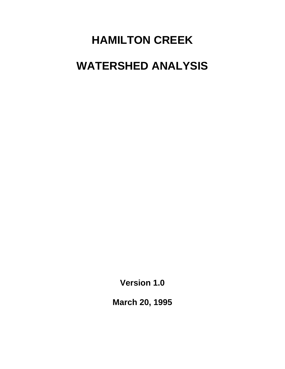# **HAMILTON CREEK WATERSHED ANALYSIS**

**Version 1.0** 

**March 20, 1995**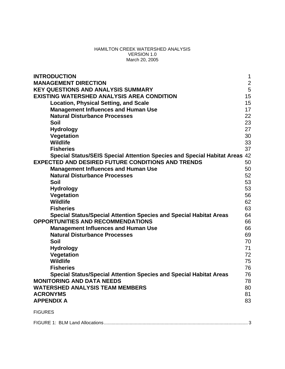#### HAMILTON CREEK WATERSHED ANALYSIS VERSION 1.0 March 20, 2005

| <b>INTRODUCTION</b>                                                            | $\mathbf 1$  |
|--------------------------------------------------------------------------------|--------------|
| <b>MANAGEMENT DIRECTION</b>                                                    | $\mathbf{2}$ |
| <b>KEY QUESTIONS AND ANALYSIS SUMMARY</b>                                      | 5            |
| <b>EXISTING WATERSHED ANALYSIS AREA CONDITION</b>                              | 15           |
| <b>Location, Physical Setting, and Scale</b>                                   | 15           |
| <b>Management Influences and Human Use</b>                                     | 17           |
| <b>Natural Disturbance Processes</b>                                           | 22           |
| <b>Soil</b>                                                                    | 23           |
| <b>Hydrology</b>                                                               | 27           |
| Vegetation                                                                     | 30           |
| <b>Wildlife</b>                                                                | 33           |
| <b>Fisheries</b>                                                               | 37           |
| <b>Special Status/SEIS Special Attention Species and Special Habitat Areas</b> | 42           |
| <b>EXPECTED AND DESIRED FUTURE CONDITIONS AND TRENDS</b>                       | 50           |
| <b>Management Influences and Human Use</b>                                     | 50           |
| <b>Natural Disturbance Processes</b>                                           | 52           |
| <b>Soil</b>                                                                    | 53           |
| <b>Hydrology</b>                                                               | 53           |
| Vegetation                                                                     | 56           |
| <b>Wildlife</b>                                                                | 62           |
| <b>Fisheries</b>                                                               | 63           |
| <b>Special Status/Special Attention Species and Special Habitat Areas</b>      | 64           |
| <b>OPPORTUNITIES AND RECOMMENDATIONS</b>                                       | 66           |
| <b>Management Influences and Human Use</b>                                     | 66           |
| <b>Natural Disturbance Processes</b>                                           | 69           |
| <b>Soil</b>                                                                    | 70           |
| <b>Hydrology</b>                                                               | 71           |
| Vegetation                                                                     | 72           |
| <b>Wildlife</b>                                                                | 75           |
| <b>Fisheries</b>                                                               | 76           |
| <b>Special Status/Special Attention Species and Special Habitat Areas</b>      | 76           |
| <b>MONITORING AND DATA NEEDS</b>                                               | 78           |
| <b>WATERSHED ANALYSIS TEAM MEMBERS</b>                                         | 80           |
| <b>ACRONYMS</b>                                                                | 81           |
| <b>APPENDIX A</b>                                                              | 83           |
| <b>FIGURES</b>                                                                 |              |
|                                                                                |              |

|--|--|--|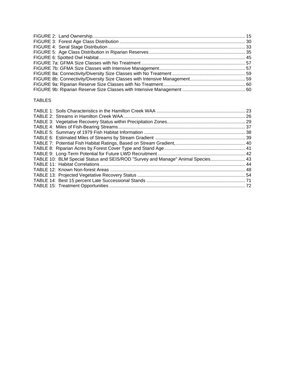#### TABLES

| TABLE 10: BLM Special Status and SEIS/ROD "Survey and Manage" Animal Species 43 |  |
|---------------------------------------------------------------------------------|--|
|                                                                                 |  |
|                                                                                 |  |
|                                                                                 |  |
|                                                                                 |  |
|                                                                                 |  |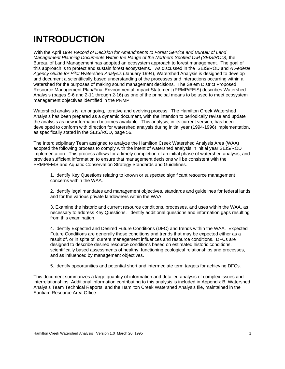## **INTRODUCTION**

<span id="page-4-0"></span>With the April 1994 *Record of Decision for Amendments to Forest Service and Bureau of Land Management Planning Documents Within the Range of the Northern Spotted Owl (SEIS/ROD), the* Bureau of Land Management has adopted an ecosystem approach to forest management. The goal of this approach is to protect and sustain forest ecosystems. As discussed in the SEIS/ROD and *A Federal Agency Guide for Pilot Watershed Analysis* (January 1994), Watershed Analysis is designed to develop and document a scientifically based understanding of the processes and interactions occurring within a watershed for the purposes of making sound management decisions. The Salem District Proposed Resource Management Plan/Final Environmental Impact Statement (PRMP/FEIS) describes Watershed Analysis (pages S-6 and 2-11 through 2-16) as one of the principal means to be used to meet ecosystem management objectives identified in the PRMP.

Watershed analysis is an ongoing, iterative and evolving process. The Hamilton Creek Watershed Analysis has been prepared as a dynamic document, with the intention to periodically revise and update the analysis as new information becomes available. This analysis, in its current version, has been developed to conform with direction for watershed analysis during initial year (1994-1996) implementation, as specifically stated in the SEIS/ROD, page 56.

The Interdisciplinary Team assigned to analyze the Hamilton Creek Watershed Analysis Area (WAA) adopted the following process to comply with the intent of watershed analysis in initial year SEIS/ROD implementation. This process allows for a timely completion of an initial phase of watershed analysis, and provides sufficient information to ensure that management decisions will be consistent with the PRMP/FEIS and Aquatic Conservation Strategy Standards and Guidelines.

1. Identify Key Questions relating to known or suspected significant resource management concerns within the WAA.

2. Identify legal mandates and management objectives, standards and guidelines for federal lands and for the various private landowners within the WAA.

3. Examine the historic and current resource conditions, processes, and uses within the WAA, as necessary to address Key Questions. Identify additional questions and information gaps resulting from this examination.

4. Identify Expected and Desired Future Conditions (DFC) and trends within the WAA. Expected Future Conditions are generally those conditions and trends that may be expected either as a result of, or in spite of, current management influences and resource conditions. DFCs are designed to describe desired resource conditions based on estimated historic conditions, scientifically based assessments of healthy, functioning ecological relationships and processes, and as influenced by management objectives.

5. Identify opportunities and potential short and intermediate term targets for achieving DFCs.

This document summarizes a large quantity of information and detailed analysis of complex issues and interrelationships. Additional information contributing to this analysis is included in Appendix B, Watershed Analysis Team Technical Reports, and the Hamilton Creek Watershed Analysis file, maintained in the Santiam Resource Area Office.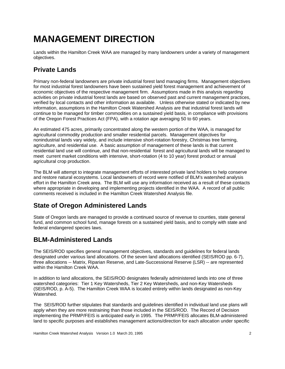## **MANAGEMENT DIRECTION**

<span id="page-5-0"></span>Lands within the Hamilton Creek WAA are managed by many landowners under a variety of management objectives.

## **Private Lands**

Primary non-federal landowners are private industrial forest land managing firms. Management objectives for most industrial forest landowners have been sustained yield forest management and achievement of economic objectives of the respective management firm. Assumptions made in this analysis regarding activities on private industrial forest lands are based on observed past and current management practices, verified by local contacts and other information as available. Unless otherwise stated or indicated by new information, assumptions in the Hamilton Creek Watershed Analysis are that industrial forest lands will continue to be managed for timber commodities on a sustained yield basis, in compliance with provisions of the Oregon Forest Practices Act (FPA), with a rotation age averaging 50 to 60 years.

An estimated 475 acres, primarily concentrated along the western portion of the WAA, is managed for agricultural commodity production and smaller residential parcels. Management objectives for nonindustrial lands vary widely, and include intensive short-rotation forestry, Christmas tree farming, agriculture, and residential use. A basic assumption of management of these lands is that current residential land use will continue, and that non-residential forest and agricultural lands will be managed to meet current market conditions with intensive, short-rotation (4 to 10 year) forest product or annual agricultural crop production.

The BLM will attempt to integrate management efforts of interested private land holders to help conserve and restore natural ecosystems. Local landowners of record were notified of BLM's watershed analysis effort in the Hamilton Creek area. The BLM will use any information received as a result of these contacts where appropriate in developing and implementing projects identified in the WAA. A record of all public comments received is included in the Hamilton Creek Watershed Analysis file.

## **State of Oregon Administered Lands**

State of Oregon lands are managed to provide a continued source of revenue to counties, state general fund, and common school fund, manage forests on a sustained yield basis, and to comply with state and federal endangered species laws.

## **BLM-Administered Lands**

The SEIS/ROD specifies general management objectives, standards and guidelines for federal lands designated under various land allocations. Of the seven land allocations identified (SEIS/ROD pp. 6-7), three allocations -- Matrix, Riparian Reserve, and Late-Successional Reserve (LSR) -- are represented within the Hamilton Creek WAA.

In addition to land allocations, the SEIS/ROD designates federally administered lands into one of three watershed categories: Tier 1 Key Watersheds, Tier 2 Key Watersheds, and non-Key Watersheds (SEIS/ROD, p. A-5). The Hamilton Creek WAA is located entirely within lands designated as non-Key Watershed.

The SEIS/ROD further stipulates that standards and guidelines identified in individual land use plans will apply when they are more restraining than those included in the SEIS/ROD. The Record of Decision implementing the PRMP/FEIS is anticipated early in 1995. The PRMP/FEIS allocates BLM-administered land to specific purposes and establishes management actions/direction for each allocation under specific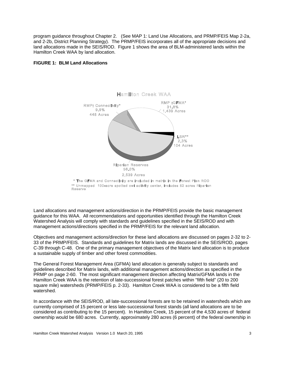program guidance throughout Chapter 2. (See MAP 1: Land Use Allocations, and PRMP/FEIS Map 2-2a, and 2-2b, District Planning Strategy). The PRMP/FEIS incorporates all of the appropriate decisions and land allocations made in the SEIS/ROD. Figure 1 shows the area of BLM-administered lands within the Hamilton Creek WAA by land allocation.

#### **FIGURE 1: BLM Land Allocations**



Land allocations and management actions/direction in the PRMP/FEIS provide the basic management guidance for this WAA. All recommendations and opportunities identified through the Hamilton Creek Watershed Analysis will comply with standards and guidelines specified in the SEIS/ROD and with management actions/directions specified in the PRMP/FEIS for the relevant land allocation.

Objectives and management actions/direction for these land allocations are discussed on pages 2-32 to 2- 33 of the PRMP/FEIS. Standards and guidelines for Matrix lands are discussed in the SEIS/ROD, pages C-39 through C-48. One of the primary management objectives of the Matrix land allocation is to produce a sustainable supply of timber and other forest commodities.

The General Forest Management Area (GFMA) land allocation is generally subject to standards and guidelines described for Matrix lands, with additional management actions/direction as specified in the PRMP on page 2-60. The most significant management direction affecting Matrix/GFMA lands in the Hamilton Creek WAA is the retention of late-successional forest patches within "fifth field" (20 to 200 square mile) watersheds (PRMP/FEIS p. 2-33). Hamilton Creek WAA is considered to be a fifth field watershed.

In accordance with the SEIS/ROD, all late-successional forests are to be retained in watersheds which are currently comprised of 15 percent or less late-successional forest stands (all land allocations are to be considered as contributing to the 15 percent). In Hamilton Creek, 15 percent of the 4,530 acres of federal ownership would be 680 acres. Currently, approximately 280 acres (6 percent) of the federal ownership in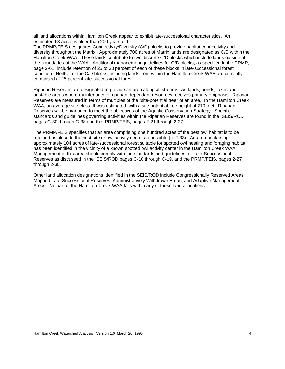all land allocations within Hamilton Creek appear to exhibit late-successional characteristics. An estimated 68 acres is older than 200 years old.

The PRMP/FEIS designates Connectivity/Diversity (C/D) blocks to provide habitat connectivity and diversity throughout the Matrix. Approximately 700 acres of Matrix lands are designated as C/D within the Hamilton Creek WAA. These lands contribute to two discrete C/D blocks which include lands outside of the boundaries of the WAA. Additional management guidelines for C/D blocks, as specified in the PRMP, page 2-61, include retention of 25 to 30 percent of each of these blocks in late-successional forest condition. Neither of the C/D blocks including lands from within the Hamilton Creek WAA are currently comprised of 25 percent late-successional forest.

Riparian Reserves are designated to provide an area along all streams, wetlands, ponds, lakes and unstable areas where maintenance of riparian-dependant resources receives primary emphasis. Riparian Reserves are measured in terms of multiples of the "site-potential tree" of an area. In the Hamilton Creek WAA, an average site class III was estimated, with a site potential tree height of 210 feet. Riparian Reserves will be managed to meet the objectives of the Aquatic Conservation Strategy. Specific standards and guidelines governing activities within the Riparian Reserves are found in the SEIS/ROD pages C-30 through C-38 and the PRMP/FEIS, pages 2-21 through 2-27.

The PRMP/FEIS specifies that an area comprising one hundred acres of the best owl habitat is to be retained as close to the nest site or owl activity center as possible (p. 2-33). An area containing approximately 104 acres of late-successional forest suitable for spotted owl nesting and foraging habitat has been identified in the vicinity of a known spotted owl activity center in the Hamilton Creek WAA. Management of this area should comply with the standards and guidelines for Late-Successional Reserves as discussed in the SEIS/ROD pages C-10 through C-19, and the PRMP/FEIS, pages 2-27 through 2-30.

Other land allocation designations identified in the SEIS/ROD include Congressionally Reserved Areas, Mapped Late-Successional Reserves, Administratively Withdrawn Areas, and Adaptive Management Areas. No part of the Hamilton Creek WAA falls within any of these land allocations.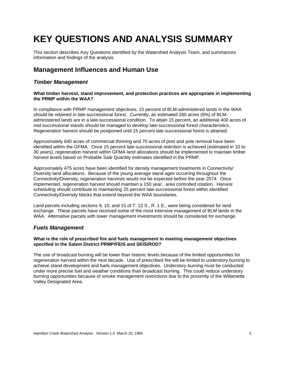## **KEY QUESTIONS AND ANALYSIS SUMMARY**

<span id="page-8-0"></span>This section describes Key Questions identified by the Watershed Analysis Team, and summarizes information and findings of the analysis.

## **Management Influences and Human Use**

#### *Timber Management*

#### **What timber harvest, stand improvement, and protection practices are appropriate in implementing the PRMP within the WAA?**

In compliance with PRMP management objectives, 15 percent of BLM-administered lands in the WAA should be retained in late-successional forest. Currently, an estimated 280 acres (6%) of BLMadministered lands are in a late-successional condition. To attain 15 percent, an additional 400 acres of mid-successional stands should be managed to develop late-successional forest characteristics. Regeneration harvest should be postponed until 15 percent late-successional forest is attained.

Approximately 640 acres of commercial thinning and 70 acres of post and pole removal have been identified within the GFMA. Once 15 percent late-successional retention is achieved (estimated in 10 to 30 years), regeneration harvest within GFMA land allocations should be implemented to maintain timber harvest levels based on Probable Sale Quantity estimates identified in the PRMP.

Approximately 475 acres have been identified for density management treatments in Connectivity/ Diversity land allocations. Because of the young average stand ages occurring throughout the Connectivity/Diversity, regeneration harvests would not be expected before the year 2074. Once implemented, regeneration harvest should maintain a 150 year, area controlled rotation. Harvest scheduling should contribute to maintaining 25 percent late-successional forest within identified Connectivity/Diversity blocks that extend beyond the WAA boundaries.

Land parcels including sections 9, 10, and 15 of T. 12 S., R. 1 E., were being considered for land exchange. These parcels have received some of the most intensive management of BLM lands in the WAA. Alternative parcels with lower management investments should be considered for exchange.

#### *Fuels Management*

#### **What is the role of prescribed fire and fuels management in meeting management objectives specified in the Salem District PRMP/FEIS and SEIS/ROD?**

The use of broadcast burning will be lower than historic levels because of the limited opportunities for regeneration harvest within the next decade. Use of prescribed fire will be limited to understory burning to achieve stand development and fuels management objectives. Understory burning must be conducted under more precise fuel and weather conditions than broadcast burning. This could reduce understory burning opportunities because of smoke management restrictions due to the proximity of the Willamette Valley Designated Area.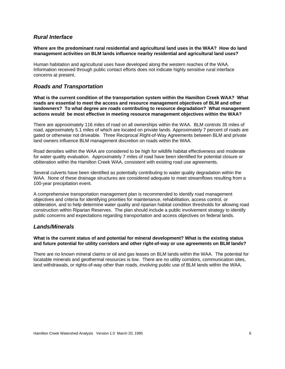#### *Rural Interface*

#### **Where are the predominant rural residential and agricultural land uses in the WAA? How do land management activities on BLM lands influence nearby residential and agricultural land uses?**

Human habitation and agricultural uses have developed along the western reaches of the WAA. Information received through public contact efforts does not indicate highly sensitive rural interface concerns at present.

#### *Roads and Transportation*

**What is the current condition of the transportation system within the Hamilton Creek WAA? What roads are essential to meet the access and resource management objectives of BLM and other landowners? To what degree are roads contributing to resource degradation? What management actions would be most effective in meeting resource management objectives within the WAA?** 

There are approximately 116 miles of road on all ownerships within the WAA. BLM controls 35 miles of road, approximately 5.1 miles of which are located on private lands. Approximately 7 percent of roads are gated or otherwise not driveable. Three Reciprocal Right-of-Way Agreements between BLM and private land owners influence BLM management discretion on roads within the WAA.

Road densities within the WAA are considered to be high for wildlife habitat effectiveness and moderate for water quality evaluation. Approximately 7 miles of road have been identified for potential closure or obliteration within the Hamilton Creek WAA, consistent with existing road use agreements.

Several culverts have been identified as potentially contributing to water quality degradation within the WAA. None of these drainage structures are considered adequate to meet streamflows resulting from a 100-year precipitation event.

A comprehensive transportation management plan is recommended to identify road management objectives and criteria for identifying priorities for maintenance, rehabilitation, access control, or obliteration, and to help determine water quality and riparian habitat condition thresholds for allowing road construction within Riparian Reserves. The plan should include a public involvement strategy to identify public concerns and expectations regarding transportation and access objectives on federal lands.

#### *Lands/Minerals*

#### **What is the current status of and potential for mineral development? What is the existing status and future potential for utility corridors and other right-of-way or use agreements on BLM lands?**

There are no known mineral claims or oil and gas leases on BLM lands within the WAA. The potential for locatable minerals and geothermal resources is low. There are no utility corridors, communication sites, land withdrawals, or rights-of-way other than roads, involving public use of BLM lands within the WAA.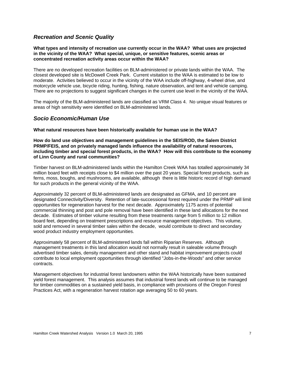#### *Recreation and Scenic Quality*

#### **What types and intensity of recreation use currently occur in the WAA? What uses are projected in the vicinity of the WAA? What special, unique, or sensitive features, scenic areas or concentrated recreation activity areas occur within the WAA?**

There are no developed recreation facilities on BLM-administered or private lands within the WAA. The closest developed site is McDowell Creek Park. Current visitation to the WAA is estimated to be low to moderate. Activities believed to occur in the vicinity of the WAA include off-highway, 4-wheel drive, and motorcycle vehicle use, bicycle riding, hunting, fishing, nature observation, and tent and vehicle camping. There are no projections to suggest significant changes in the current use level in the vicinity of the WAA.

The majority of the BLM-administered lands are classified as VRM Class 4. No unique visual features or areas of high sensitivity were identified on BLM-administered lands.

#### *Socio Economic/Human Use*

#### **What natural resources have been historically available for human use in the WAA?**

**How do land use objectives and management guidelines in the SEIS/ROD, the Salem District PRMP/FEIS, and on privately managed lands influence the availability of natural resources, including timber and special forest products, in the WAA? How will this contribute to the economy of Linn County and rural communities?** 

Timber harvest on BLM-administered lands within the Hamilton Creek WAA has totalled approximately 34 million board feet with receipts close to \$4 million over the past 20 years. Special forest products, such as ferns, moss, boughs, and mushrooms, are available, although there is little historic record of high demand for such products in the general vicinity of the WAA.

Approximately 32 percent of BLM-administered lands are designated as GFMA, and 10 percent are designated Connectivity/Diversity. Retention of late-successional forest required under the PRMP will limit opportunities for regeneration harvest for the next decade. Approximately 1175 acres of potential commercial thinning and post and pole removal have been identified in these land allocations for the next decade. Estimates of timber volume resulting from these treatments range from 5 million to 12 million board feet, depending on treatment prescriptions and resource management objectives. This volume, sold and removed in several timber sales within the decade, would contribute to direct and secondary wood product industry employment opportunities.

Approximately 58 percent of BLM-administered lands fall within Riparian Reserves. Although management treatments in this land allocation would not normally result in saleable volume through advertised timber sales, density management and other stand and habitat improvement projects could contribute to local employment opportunities through identified "Jobs-in-the-Woods" and other service contracts.

Management objectives for industrial forest landowners within the WAA historically have been sustained yield forest management. This analysis assumes that industrial forest lands will continue to be managed for timber commodities on a sustained yield basis, in compliance with provisions of the Oregon Forest Practices Act, with a regeneration harvest rotation age averaging 50 to 60 years.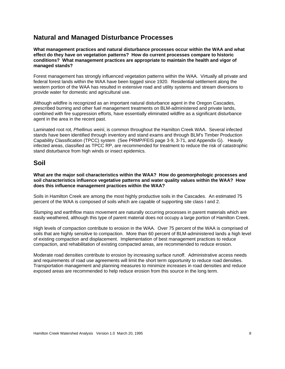## **Natural and Managed Disturbance Processes**

**What management practices and natural disturbance processes occur within the WAA and what effect do they have on vegetation patterns? How do current processes compare to historic conditions? What management practices are appropriate to maintain the health and vigor of managed stands?** 

Forest management has strongly influenced vegetation patterns within the WAA. Virtually all private and federal forest lands within the WAA have been logged since 1920. Residential settlement along the western portion of the WAA has resulted in extensive road and utility systems and stream diversions to provide water for domestic and agricultural use.

Although wildfire is recognized as an important natural disturbance agent in the Oregon Cascades, prescribed burning and other fuel management treatments on BLM-administered and private lands, combined with fire suppression efforts, have essentially eliminated wildfire as a significant disturbance agent in the area in the recent past.

Laminated root rot, *Phellinus weirii*, is common throughout the Hamilton Creek WAA. Several infected stands have been identified through inventory and stand exams and through BLM's Timber Production Capability Classification (TPCC) system (See PRMP/FEIS page 3-9, 3-71, and Appendix G). Heavily infected areas, classified as TPCC RP, are recommended for treatment to reduce the risk of catastrophic stand disturbance from high winds or insect epidemics.

### **Soil**

**What are the major soil characteristics within the WAA? How do geomorphologic processes and soil characteristics influence vegetative patterns and water quality values within the WAA? How does this influence management practices within the WAA?** 

Soils in Hamilton Creek are among the most highly productive soils in the Cascades. An estimated 75 percent of the WAA is composed of soils which are capable of supporting site class I and 2.

Slumping and earthflow mass movement are naturally occurring processes in parent materials which are easily weathered, although this type of parent material does not occupy a large portion of Hamilton Creek.

High levels of compaction contribute to erosion in the WAA. Over 75 percent of the WAA is comprised of soils that are highly sensitive to compaction. More than 60 percent of BLM-administered lands a high level of existing compaction and displacement. Implementation of best management practices to reduce compaction, and rehabilitation of existing compacted areas, are recommended to reduce erosion.

Moderate road densities contribute to erosion by increasing surface runoff. Administrative access needs and requirements of road use agreements will limit the short term opportunity to reduce road densities. Transportation management and planning measures to minimize increases in road densities and reduce exposed areas are recommended to help reduce erosion from this source in the long term.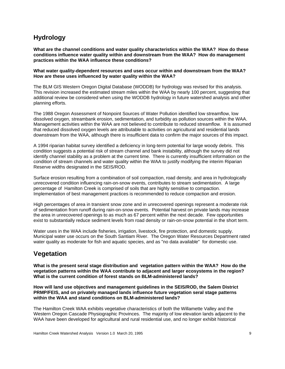## **Hydrology**

**What are the channel conditions and water quality characteristics within the WAA? How do these conditions influence water quality within and downstream from the WAA? How do management practices within the WAA influence these conditions?** 

**What water quality-dependent resources and uses occur within and downstream from the WAA? How are these uses influenced by water quality within the WAA?** 

The BLM GIS Western Oregon Digital Database (WODDB) for hydrology was revised for this analysis. This revision increased the estimated stream miles within the WAA by nearly 100 percent, suggesting that additional review be considered when using the WODDB hydrology in future watershed analysis and other planning efforts.

The 1988 Oregon Assessment of Nonpoint Sources of Water Pollution identified low streamflow, low dissolved oxygen, streambank erosion, sedimentation, and turbidity as pollution sources within the WAA. Management activities within the WAA are not believed to contribute to reduced streamflow. It is assumed that reduced dissolved oxygen levels are attributable to activities on agricultural and residential lands downstream from the WAA, although there is insufficient data to confirm the major sources of this impact.

A 1994 riparian habitat survey identified a deficiency in long-term potential for large woody debris. This condition suggests a potential risk of stream channel and bank instability, although the survey did not identify channel stability as a problem at the current time. There is currently insufficient information on the condition of stream channels and water quality within the WAA to justify modifying the interim Riparian Reserve widths designated in the SEIS/ROD.

Surface erosion resulting from a combination of soil compaction, road density, and area in hydrologically unrecovered condition influencing rain-on-snow events, contributes to stream sedimentation. A large percentage of Hamilton Creek is comprised of soils that are highly sensitive to compaction. Implementation of best management practices is recommended to reduce compaction and erosion.

High percentages of area in transient snow zone and in unrecovered openings represent a moderate risk of sedimentation from runoff during rain-on-snow events. Potential harvest on private lands may increase the area in unrecovered openings to as much as 67 percent within the next decade. Few opportunities exist to substantially reduce sediment levels from road density or rain-on-snow potential in the short term.

Water uses in the WAA include fisheries, irrigation, livestock, fire protection, and domestic supply. Municipal water use occurs on the South Santiam River. The Oregon Water Resources Department rated water quality as moderate for fish and aquatic species, and as "no data available" for domestic use.

## **Vegetation**

**What is the present seral stage distribution and vegetation pattern within the WAA? How do the vegetation patterns within the WAA contribute to adjacent and larger ecosystems in the region? What is the current condition of forest stands on BLM-administered lands?** 

**How will land use objectives and management guidelines in the SEIS/ROD, the Salem District PRMP/FEIS, and on privately managed lands influence future vegetation seral stage patterns within the WAA and stand conditions on BLM-administered lands?** 

The Hamilton Creek WAA exhibits vegetative characteristics of both the Willamette Valley and the Western Oregon Cascade Physiographic Provinces. The majority of low elevation lands adjacent to the WAA have been developed for agricultural and rural residential use, and no longer exhibit historical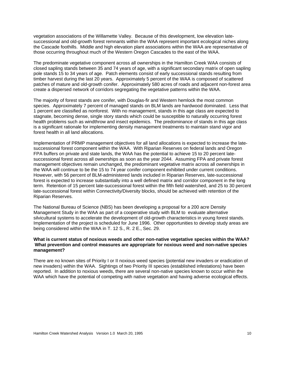vegetation associations of the Willamette Valley. Because of this development, low elevation latesuccessional and old-growth forest remnants within the WAA represent important ecological niches along the Cascade foothills. Middle and high elevation plant associations within the WAA are representative of those occurring throughout much of the Western Oregon Cascades to the east of the WAA.

The predominate vegetative component across all ownerships in the Hamilton Creek WAA consists of closed sapling stands between 35 and 74 years of age, with a significant secondary matrix of open sapling pole stands 15 to 34 years of age. Patch elements consist of early successional stands resulting from timber harvest during the last 20 years. Approximately 5 percent of the WAA is composed of scattered patches of mature and old-growth conifer. Approximately 580 acres of roads and adjacent non-forest area create a dispersed network of corridors segregating the vegetative patterns within the WAA.

The majority of forest stands are conifer, with Douglas-fir and Western hemlock the most common species. Approximately 7 percent of managed stands on BLM lands are hardwood dominated. Less that 1 percent are classified as nonforest. With no management, stands in this age class are expected to stagnate, becoming dense, single story stands which could be susceptible to naturally occurring forest health problems such as windthrow and insect epidemics. The predominance of stands in this age class is a significant rationale for implementing density management treatments to maintain stand vigor and forest health in all land allocations.

Implementation of PRMP management objectives for all land allocations is expected to increase the latesuccessional forest component within the WAA. With Riparian Reserves on federal lands and Oregon FPA buffers on private and state lands, the WAA has the potential to achieve 15 to 20 percent latesuccessional forest across all ownerships as soon as the year 2044. Assuming FPA and private forest management objectives remain unchanged, the predominant vegetative matrix across all ownerships in the WAA will continue to be the 15 to 74 year conifer component exhibited under current conditions. However, with 56 percent of BLM-administered lands included in Riparian Reserves, late-successional forest is expected to increase substantially into a well defined matrix and corridor component in the long term. Retention of 15 percent late-successional forest within the fifth field watershed, and 25 to 30 percent late-successional forest within Connectivity/Diversity blocks, should be achieved with retention of the Riparian Reserves.

The National Bureau of Science (NBS) has been developing a proposal for a 200 acre Density Management Study in the WAA as part of a cooperative study with BLM to evaluate alternative silvicultural systems to accelerate the development of old-growth characteristics in young forest stands. Implementation of the project is scheduled for June 1996. Other opportunities to develop study areas are being considered within the WAA in T. 12 S., R. 2 E., Sec. 29.

#### **What is current status of noxious weeds and other non-native vegetative species within the WAA? What prevention and control measures are appropriate for noxious weed and non-native species management?**

There are no known sites of Priority I or II noxious weed species (potential new invaders or eradication of new invaders) within the WAA. Sightings of two Priority III species (established infestations) have been reported. In addition to noxious weeds, there are several non-native species known to occur within the WAA which have the potential of competing with native vegetation and having adverse ecological effects.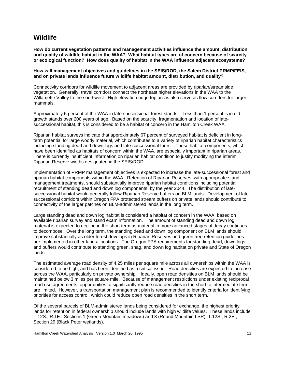#### **Wildlife**

**How do current vegetation patterns and management activities influence the amount, distribution, and quality of wildlife habitat in the WAA? What habitat types are of concern because of scarcity or ecological function? How does quality of habitat in the WAA influence adjacent ecosystems?** 

**How will management objectives and guidelines in the SEIS/ROD, the Salem District PRMP/FEIS, and on private lands influence future wildlife habitat amount, distribution, and quality?** 

Connectivity corridors for wildlife movement to adjacent areas are provided by riparian/streamside vegetation. Generally, travel corridors connect the northeast higher elevations in the WAA to the Willamette Valley to the southwest. High elevation ridge top areas also serve as flow corridors for larger mammals.

Approximately 5 percent of the WAA in late-successional forest stands. Less than 1 percent is in oldgrowth stands over 200 years of age. Based on the scarcity, fragmentation and location of latesuccessional habitat, this is considered to be a habitat of concern in the Hamilton Creek WAA.

Riparian habitat surveys indicate that approximately 67 percent of surveyed habitat is deficient in longterm potential for large woody material, which contributes to a variety of riparian habitat characteristics including standing dead and down logs and late-successional forest. These habitat components, which have been identified as habitats of concern within the WAA, are especially important in riparian areas. There is currently insufficient information on riparian habitat condition to justify modifying the interim Riparian Reserve widths designated in the SEIS/ROD.

Implementation of PRMP management objectives is expected to increase the late-successional forest and riparian habitat components within the WAA. Retention of Riparian Reserves, with appropriate stand management treatments, should substantially improve riparian habitat conditions including potential recruitment of standing dead and down log components, by the year 2044. The distribution of latesuccessional habitat would generally follow Riparian Reserve buffers on BLM lands. Development of latesuccessional corridors within Oregon FPA protected stream buffers on private lands should contribute to connectivity of the larger patches on BLM-administered lands in the long term.

Large standing dead and down log habitat is considered a habitat of concern in the WAA, based on available riparian survey and stand exam information. The amount of standing dead and down log material is expected to decline in the short term as material in more advanced stages of decay continues to decompose. Over the long term, the standing dead and down log component on BLM lands should improve substantially as older forest develops in Riparian Reserves and green tree retention guidelines are implemented in other land allocations. The Oregon FPA requirements for standing dead, down logs and buffers would contribute to standing green, snag, and down log habitat on private and State of Oregon lands.

The estimated average road density of 4.25 miles per square mile across all ownerships within the WAA is considered to be high, and has been identified as a critical issue. Road densities are expected to increase across the WAA, particularly on private ownership. Ideally, open road densities on BLM lands should be maintained below 3 miles per square mile. Because of management restrictions under existing reciprocal road use agreements, opportunities to significantly reduce road densities in the short to intermediate term are limited. However, a transportation management plan is recommended to identify criteria for identifying priorities for access control, which could reduce open road densities in the short term.

Of the several parcels of BLM-administered lands being considered for exchange, the highest priority lands for retention in federal ownership should include lands with high wildlife values. These lands include T.12S., R.1E., Sections 1 (Green Mountain meadows) and 3 (Round Mountain LSR); T.12S., R.2E., Section 29 (Black Peter wetlands).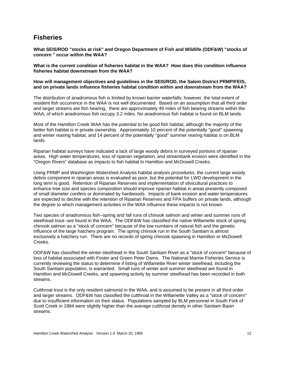#### **Fisheries**

**What SEIS/ROD "stocks at risk" and Oregon Department of Fish and Wildlife (ODF&W) "stocks of concern " occur within the WAA?** 

**What is the current condition of fisheries habitat in the WAA? How does this condition influence fisheries habitat downstream from the WAA?** 

**How will management objectives and guidelines in the SEIS/ROD, the Salem District PRMP/FEIS, and on private lands influence fisheries habitat condition within and downstream from the WAA?** 

The distribution of anadromous fish is limited by known barrier waterfalls; however, the total extent of resident fish occurrence in the WAA is not well documented. Based on an assumption that all third order and larger streams are fish bearing, there are approximately 49 miles of fish bearing streams within the WAA, of which anadromous fish occupy 3.2 miles. No anadromous fish habitat is found on BLM lands.

Most of the Hamilton Creek WAA has the potential to be good fish habitat, although the majority of the better fish habitat is in private ownership. Approximately 10 percent of the potentially "good" spawning and winter rearing habitat, and 14 percent of the potentially "good" summer rearing habitat is on BLM lands.

Riparian habitat surveys have indicated a lack of large woody debris in surveyed portions of riparian areas. High water temperatures, loss of riparian vegetation, and streambank erosion were identified in the "Oregon Rivers" database as impacts to fish habitat in Hamilton and McDowell Creeks.

Using PRMP and Washington Watershed Analysis habitat analysis procedures, the current large woody debris component in riparian areas is evaluated as poor, but the potential for LWD development in the long term is good. Retention of Riparian Reserves and implementation of silvicultural practices to enhance tree size and species composition should improve riparian habitat in areas presently composed of small diameter conifers or dominated by hardwoods. Impacts of bank erosion and water temperatures are expected to decline with the retention of Riparian Reserves and FPA buffers on private lands, although the degree to which management activities in the WAA influence these impacts is not known.

Two species of anadromous fish--spring and fall runs of chinook salmon and winter and summer runs of steelhead trout--are found in the WAA. The ODF&W has classified the native Willamette stock of spring chinook salmon as a "stock of concern" because of the low numbers of natural fish and the genetic influence of the large hatchery program. The spring chinook run in the South Santiam is almost exclusively a hatchery run. There are no records of spring chinook spawning in Hamilton or McDowell Creeks.

ODF&W has classified the winter steelhead in the South Santiam River as a "stock of concern" because of loss of habitat associated with Foster and Green Peter Dams. The National Marine Fisheries Service is currently reviewing the status to determine if listing of Willamette River winter steelhead, including the South Santiam population, is warranted. Small runs of winter and summer steelhead are found in Hamilton and McDowell Creeks, and spawning activity by summer steelhead has been recorded in both streams.

Cutthroat trout is the only resident salmonid in the WAA, and is assumed to be present in all third order and larger streams. ODF&W has classified the cutthroat in the Willamette Valley as a "stock of concern" due to insufficient information on their status. Populations sampled by BLM personnel in South Fork of Scott Creek in 1984 were slightly higher than the average cutthroat density in other Santiam Basin streams.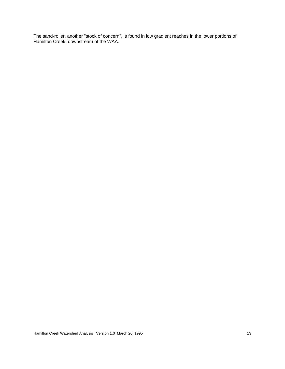The sand-roller, another "stock of concern", is found in low gradient reaches in the lower portions of Hamilton Creek, downstream of the WAA.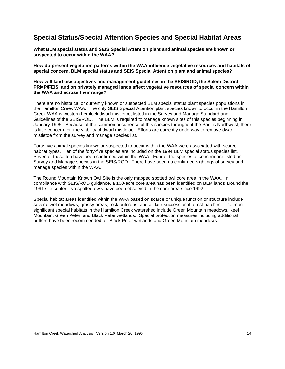### **Special Status/Special Attention Species and Special Habitat Areas**

**What BLM special status and SEIS Special Attention plant and animal species are known or suspected to occur within the WAA?** 

**How do present vegetation patterns within the WAA influence vegetative resources and habitats of special concern, BLM special status and SEIS Special Attention plant and animal species?** 

**How will land use objectives and management guidelines in the SEIS/ROD, the Salem District PRMP/FEIS, and on privately managed lands affect vegetative resources of special concern within the WAA and across their range?** 

There are no historical or currently known or suspected BLM special status plant species populations in the Hamilton Creek WAA. The only SEIS Special Attention plant species known to occur in the Hamilton Creek WAA is western hemlock dwarf mistletoe, listed in the Survey and Manage Standard and Guidelines of the SEIS/ROD. The BLM is required to manage known sites of this species beginning in January 1995. Because of the common occurrence of this species throughout the Pacific Northwest, there is little concern for the viability of dwarf mistletoe. Efforts are currently underway to remove dwarf mistletoe from the survey and manage species list.

Forty-five animal species known or suspected to occur within the WAA were associated with scarce habitat types. Ten of the forty-five species are included on the 1994 BLM special status species list. Seven of these ten have been confirmed within the WAA. Four of the species of concern are listed as Survey and Manage species in the SEIS/ROD. There have been no confirmed sightings of survey and manage species within the WAA.

The Round Mountain Known Owl Site is the only mapped spotted owl core area in the WAA. In compliance with SEIS/ROD guidance, a 100-acre core area has been identified on BLM lands around the 1991 site center. No spotted owls have been observed in the core area since 1992.

Special habitat areas identified within the WAA based on scarce or unique function or structure include several wet meadows, grassy areas, rock outcrops, and all late-successional forest patches. The most significant special habitats in the Hamilton Creek watershed include Green Mountain meadows, Keel Mountain, Green Peter, and Black Peter wetlands. Special protection measures including additional buffers have been recommended for Black Peter wetlands and Green Mountain meadows.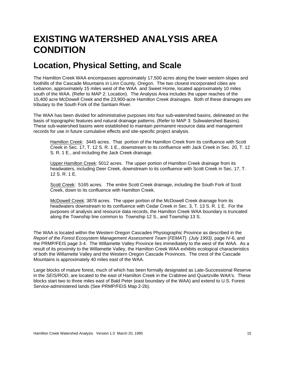## **EXISTING WATERSHED ANALYSIS AREA CONDITION**

## <span id="page-18-0"></span>**Location, Physical Setting, and Scale**

<span id="page-18-1"></span>The Hamilton Creek WAA encompasses approximately 17,500 acres along the lower western slopes and foothills of the Cascade Mountains in Linn County, Oregon. The two closest incorporated cities are Lebanon, approximately 15 miles west of the WAA and Sweet Home, located approximately 10 miles south of the WAA. (Refer to MAP 2: Location). The Analysis Area includes the upper reaches of the 15,400 acre McDowell Creek and the 23,900-acre Hamilton Creek drainages. Both of these drainages are tributary to the South Fork of the Santiam River.

The WAA has been divided for administrative purposes into four sub-watershed basins, delineated on the basis of topographic features and natural drainage patterns. (Refer to MAP 3: Subwatershed Basins). These sub-watershed basins were established to maintain permanent resource data and management records for use in future cumulative effects and site-specific project analysis.

Hamilton Creek: 3445 acres. That portion of the Hamilton Creek from its confluence with Scott Creek in Sec. 17, T. 12 S. R. 1 E., downstream to its confluence with Jack Creek in Sec. 20, T. 12 S. R. 1 E., and including the Jack Creek drainage.

Upper Hamilton Creek: 5012 acres. The upper portion of Hamilton Creek drainage from its headwaters, including Deer Creek, downstream to its confluence with Scott Creek in Sec. 17, T. 12 S. R. 1 E.

Scott Creek: 5165 acres. The entire Scott Creek drainage, including the South Fork of Scott Creek, down to its confluence with Hamilton Creek.

McDowell Creek: 3878 acres. The upper portion of the McDowell Creek drainage from its headwaters downstream to its confluence with Cedar Creek in Sec. 3, T. 13 S. R. 1 E. For the purposes of analysis and resource data records, the Hamilton Creek WAA boundary is truncated along the Township line common to Township 12 S., and Township 13 S.

The WAA is located within the Western Oregon Cascades Physiographic Province as described in the *Report of the Forest Ecosystem Management Assessment Team* (*FEMAT*) *(July 1993)*, page IV-6, and the PRMP/FEIS page 3-4. The Willamette Valley Province lies immediately to the west of the WAA. As a result of its proximity to the Willamette Valley, the Hamilton Creek WAA exhibits ecological characteristics of both the Willamette Valley and the Western Oregon Cascade Provinces. The crest of the Cascade Mountains is approximately 40 miles east of the WAA.

Large blocks of mature forest, much of which has been formally designated as Late-Successional Reserve in the *SEIS/ROD*, are located to the east of Hamilton Creek in the Crabtree and Quartzville WAA's. These blocks start two to three miles east of Bald Peter (east boundary of the WAA) and extend to U.S. Forest Service-administered lands (See PRMP/FEIS Map 2-2b).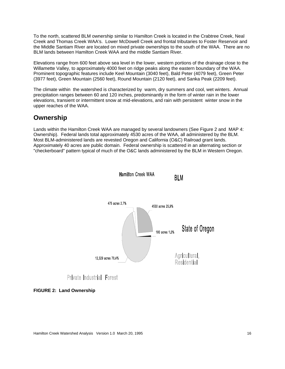To the north, scattered BLM ownership similar to Hamilton Creek is located in the Crabtree Creek, Neal Creek and Thomas Creek WAA's. Lower McDowell Creek and frontal tributaries to Foster Reservoir and the Middle Santiam River are located on mixed private ownerships to the south of the WAA. There are no BLM lands between Hamilton Creek WAA and the middle Santiam River.

Elevations range from 600 feet above sea level in the lower, western portions of the drainage close to the Willamette Valley, to approximately 4000 feet on ridge peaks along the eastern boundary of the WAA. Prominent topographic features include Keel Mountain (3040 feet), Bald Peter (4079 feet), Green Peter (3977 feet), Green Mountain (2560 feet), Round Mountain (2120 feet), and Sanka Peak (2209 feet).

The climate within the watershed is characterized by warm, dry summers and cool, wet winters. Annual precipitation ranges between 60 and 120 inches, predominantly in the form of winter rain in the lower elevations, transient or intermittent snow at mid-elevations, and rain with persistent winter snow in the upper reaches of the WAA.

### **Ownership**

Lands within the Hamilton Creek WAA are managed by several landowners (See Figure 2 and MAP 4: Ownership). Federal lands total approximately 4530 acres of the WAA, all administered by the BLM. Most BLM-administered lands are revested Oregon and California (O&C) Railroad grant lands. Approximately 40 acres are public domain. Federal ownership is scattered in an alternating section or "checkerboard" pattern typical of much of the O&C lands administered by the BLM in Western Oregon.



Private Industrial Forest

**FIGURE 2: Land Ownership**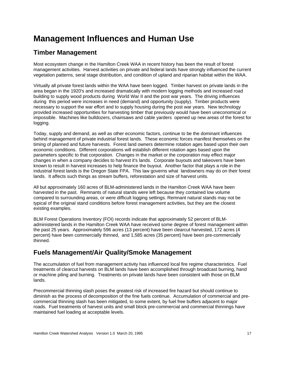## **Management Influences and Human Use**

### <span id="page-20-0"></span>**Timber Management**

Most ecosystem change in the Hamilton Creek WAA in recent history has been the result of forest management activities. Harvest activities on private and federal lands have strongly influenced the current vegetation patterns, seral stage distribution, and condition of upland and riparian habitat within the WAA.

Virtually all private forest lands within the WAA have been logged. Timber harvest on private lands in the area began in the 1920's and increased dramatically with modern logging methods and increased road building to supply wood products during World War II and the post war years. The driving influences during this period were increases in need (demand) and opportunity (supply). Timber products were necessary to support the war effort and to supply housing during the post war years. New technology provided increased opportunities for harvesting timber that previously would have been uneconomical or impossible. Machines like bulldozers, chainsaws and cable yarders opened up new areas of the forest for logging.

Today, supply and demand, as well as other economic factors, continue to be the dominant influences behind management of private industrial forest lands. These economic forces manifest themselves on the timing of planned and future harvests. Forest land owners determine rotation ages based upon their own economic conditions. Different corporations will establish different rotation ages based upon the parameters specific to that corporation. Changes in the market or the corporation may effect major changes in when a company decides to harvest it's lands. Corporate buyouts and takeovers have been known to result in harvest increases to help finance the buyout. Another factor that plays a role in the industrial forest lands is the Oregon State FPA. This law governs what landowners may do on their forest lands. It affects such things as stream buffers, reforestation and size of harvest units.

All but approximately 160 acres of BLM-administered lands in the Hamilton Creek WAA have been harvested in the past. Remnants of natural stands were left because they contained low volume compared to surrounding areas, or were difficult logging settings. Remnant natural stands may not be typical of the original stand conditions before forest management activities, but they are the closest existing examples.

BLM Forest Operations Inventory (FOI) records indicate that approximately 52 percent of BLMadministered lands in the Hamilton Creek WAA have received some degree of forest management within the past 25 years. Approximately 596 acres (13 percent) have been clearcut harvested, 172 acres (4 percent) have been commercially thinned, and 1,585 acres (35 percent) have been pre-commercially thinned.

## **Fuels Management/Air Quality/Smoke Management**

The accumulation of fuel from management activity has influenced local fire regime characteristics. Fuel treatments of clearcut harvests on BLM lands have been accomplished through broadcast burning, hand or machine piling and burning. Treatments on private lands have been consistent with those on BLM lands.

Precommercial thinning slash poses the greatest risk of increased fire hazard but should continue to diminish as the process of decomposition of the fine fuels continue. Accumulation of commercial and precommercial thinning slash has been mitigated, to some extent, by fuel free buffers adjacent to major roads. Fuel treatments of harvest units and small block pre-commercial and commercial thinnings have maintained fuel loading at acceptable levels.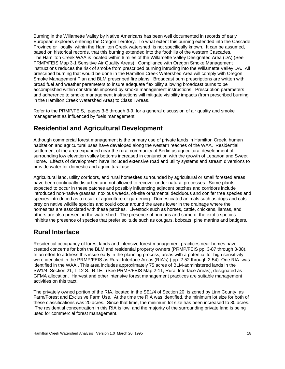Burning in the Willamette Valley by Native Americans has been well documented in records of early European explorers entering the Oregon Territory. To what extent this burning extended into the Cascade Province or locally, within the Hamilton Creek watershed, is not specifically known. It can be assumed, based on historical records, that this burning extended into the foothills of the western Cascades. The Hamilton Creek WAA is located within 6 miles of the Willamette Valley Designated Area (DA) (See PRMP/FEIS Map 3-1 Sensitive Air Quality Areas). Compliance with Oregon Smoke Management instructions reduces the risk of smoke from prescribed burning intruding into the Willamette Valley DA. All prescribed burning that would be done in the Hamilton Creek Watershed Area will comply with Oregon Smoke Management Plan and BLM prescribed fire plans. Broadcast burn prescriptions are written with broad fuel and weather parameters to insure adequate flexibility allowing broadcast burns to be accomplished within constraints imposed by smoke management instructions. Prescription parameters and adherence to smoke management instructions will mitigate visibility impacts (from prescribed burning in the Hamilton Creek Watershed Area) to Class I Areas.

Refer to the PRMP/FEIS, pages 3-5 through 3-9, for a general discussion of air quality and smoke management as influenced by fuels management.

## **Residential and Agricultural Development**

Although commercial forest management is the primary use of private lands in Hamilton Creek, human habitation and agricultural uses have developed along the western reaches of the WAA. Residential settlement of the area expanded near the rural community of Berlin as agricultural development of surrounding low elevation valley bottoms increased in conjunction with the growth of Lebanon and Sweet Home. Effects of development have included extensive road and utility systems and stream diversions to provide water for domestic and agricultural use.

Agricultural land, utility corridors, and rural homesites surrounded by agricultural or small forested areas have been continually disturbed and not allowed to recover under natural processes. Some plants expected to occur in these patches and possibly influencing adjacent patches and corridors include introduced non-native grasses, noxious weeds, off-site ornamental deciduous and conifer tree species and species introduced as a result of agriculture or gardening. Domesticated animals such as dogs and cats prey on native wildlife species and could occur around the areas lower in the drainage where the homesites are associated with these patches. Livestock such as horses, cattle, chickens, llamas, and others are also present in the watershed. The presence of humans and some of the exotic species inhibits the presence of species that prefer solitude such as cougars, bobcats, pine martins and badgers.

### **Rural Interface**

Residential occupancy of forest lands and intensive forest management practices near homes have created concerns for both the BLM and residential property owners (PRMP/FEIS pp. 3-87 through 3-88). In an effort to address this issue early in the planning process, areas with a potential for high sensitivity were identified in the PRMP/FEIS as Rural Interface Areas (RIA's) ( pp. 2-52 through 2-54). One RIA was identified in the WAA . This area includes approximately 75 acres of BLM-administered lands in the SW1/4, Section 21, T.12 S., R.1E. (See PRMP/FEIS Map 2-11, Rural Interface Areas), designated as GFMA allocation. Harvest and other intensive forest management practices are suitable management activities on this tract.

The privately owned portion of the RIA, located in the SE1/4 of Section 20, is zoned by Linn County as Farm/Forest and Exclusive Farm Use. At the time the RIA was identified, the minimum lot size for both of these classifications was 20 acres. Since that time, the minimum lot size has been increased to 80 acres. The residential concentration in this RIA is low, and the majority of the surrounding private land is being used for commercial forest management.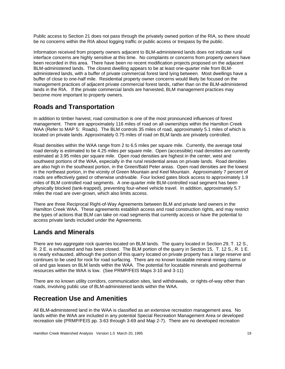Public access to Section 21 does not pass through the privately owned portion of the RIA, so there should be no concerns within the RIA about logging traffic or public access or trespass by the public.

Information received from property owners adjacent to BLM-administered lands does not indicate rural interface concerns are highly sensitive at this time. No complaints or concerns from property owners have been recorded in this area. There have been no recent modification projects proposed on the adjacent BLM-administered lands. The closest dwelling appears to be at least one-quarter mile from BLMadministered lands, with a buffer of private commercial forest land lying between. Most dwellings have a buffer of close to one-half mile. Residential property owner concerns would likely be focused on the management practices of adjacent private commercial forest lands, rather than on the BLM-administered lands in the RIA. If the private commercial lands are harvested, BLM management practices may become more important to property owners.

## **Roads and Transportation**

In addition to timber harvest, road construction is one of the most pronounced influences of forest management. There are approximately 116 miles of road on all ownerships within the Hamilton Creek WAA (Refer to MAP 5: Roads). The BLM controls 35 miles of road, approximately 5.1 miles of which is located on private lands. Approximately 0.75 miles of road on BLM lands are privately controlled.

Road densities within the WAA range from 2 to 6.5 miles per square mile. Currently, the average total road density is estimated to be 4.25 miles per square mile. Open (accessible) road densities are currently estimated at 3.95 miles per square mile. Open road densities are highest in the center, west and southwest portions of the WAA, especially in the rural residential areas on private lands. Road densities are also high in the southeast portion, in the Green/Bald Peter areas. Open road densities are the lowest in the northeast portion, in the vicinity of Green Mountain and Keel Mountain. Approximately 7 percent of roads are effectively gated or otherwise undrivable. Four locked gates block access to approximately 1.9 miles of BLM controlled road segments. A one-quarter mile BLM-controlled road segment has been physically blocked (tank-trapped), preventing four-wheel vehicle travel. In addition, approximately 5.7 miles the road are over-grown, which also limits access.

There are three Reciprocal Right-of-Way Agreements between BLM and private land owners in the Hamilton Creek WAA. These agreements establish access and road construction rights, and may restrict the types of actions that BLM can take on road segments that currently access or have the potential to access private lands included under the Agreements.

## **Lands and Minerals**

There are two aggregate rock quarries located on BLM lands. The quarry located in Section 29, T. 12 S., R. 2 E. is exhausted and has been closed. The BLM portion of the quarry in Section 15, T. 12 S., R. 1 E. is nearly exhausted, although the portion of this quarry located on private property has a large reserve and continues to be used for rock for road surfacing. There are no known locatable mineral mining claims or oil and gas leases on BLM lands within the WAA. The potential for locatable minerals and geothermal resources within the WAA is low. (See PRMP/FEIS Maps 3-10 and 3-11)

There are no known utility corridors, communication sites, land withdrawals, or rights-of-way other than roads, involving public use of BLM-administered lands within the WAA.

## **Recreation Use and Amenities**

All BLM-administered land in the WAA is classified as an extensive recreation management area. No lands within the WAA are included in any potential Special Recreation Management Area or developed recreation site (PRMP/FEIS pp. 3-63 through 3-69 and Map 2-7). There are no developed recreation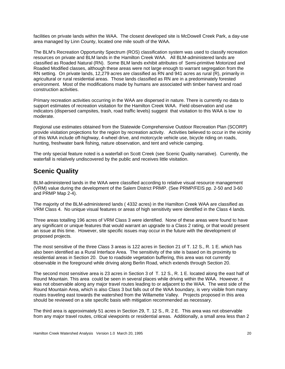facilities on private lands within the WAA. The closest developed site is McDowell Creek Park, a day-use area managed by Linn County, located one mile south of the WAA.

The BLM's Recreation Opportunity Spectrum (ROS) classification system was used to classify recreation resources on private and BLM lands in the Hamilton Creek WAA. All BLM-administered lands are classified as Roaded Natural (RN). Some BLM lands exhibit attributes of Semi-primitive Motorized and Roaded Modified classes, although these areas were not large enough to warrant segregation from the RN setting. On private lands, 12,279 acres are classified as RN and 941 acres as rural (R), primarily in agricultural or rural residential areas. Those lands classified as RN are in a predominately forested environment. Most of the modifications made by humans are associated with timber harvest and road construction activities.

Primary recreation activities occurring in the WAA are dispersed in nature. There is currently no data to support estimates of recreation visitation for the Hamilton Creek WAA. Field observation and use indicators (dispersed campsites, trash, road traffic levels) suggest that visitation to this WAA is low to moderate.

Regional use estimates obtained from the Statewide Comprehensive Outdoor Recreation Plan (SCORP) provide visitation projections for the region by recreation activity. Activities believed to occur in the vicinity of this WAA include off-highway, 4-wheel drive, and motorcycle vehicle use, bicycle riding on roads, hunting, freshwater bank fishing, nature observation, and tent and vehicle camping.

The only special feature noted is a waterfall on Scott Creek (see Scenic Quality narrative). Currently, the waterfall is relatively undiscovered by the public and receives little visitation.

## **Scenic Quality**

BLM-administered lands in the WAA were classified according to relative visual resource management (VRM) value during the development of the Salem District PRMP. (See PRMP/FEIS pp. 2-50 and 3-60 and PRMP Map 2-4).

The majority of the BLM-administered lands ( 4332 acres) in the Hamilton Creek WAA are classified as VRM Class 4. No unique visual features or areas of high sensitivity were identified in the Class 4 lands.

Three areas totalling 196 acres of VRM Class 3 were identified. None of these areas were found to have any significant or unique features that would warrant an upgrade to a Class 2 rating, or that would present an issue at this time. However, site specific issues may occur in the future with the development of proposed projects.

The most sensitive of the three Class 3 areas is 122 acres in Section 21 of T. 12 S., R. 1 E. which has also been identified as a Rural Interface Area. The sensitivity of the site is based on its proximity to residential areas in Section 20. Due to roadside vegetation buffering, this area was not currently observable in the foreground while driving along Berlin Road, which extends through Section 20.

The second most sensitive area is 23 acres in Section 3 of T. 12 S., R. 1 E. located along the east half of Round Mountain. This area could be seen in several places while driving within the WAA. However, it was not observable along any major travel routes leading to or adjacent to the WAA. The west side of the Round Mountain Area, which is also Class 3 but falls out of the WAA boundary, is very visible from many routes traveling east towards the watershed from the Willamette Valley. Projects proposed in this area should be reviewed on a site specific basis with mitigation recommended as necessary.

The third area is approximately 51 acres in Section 29, T. 12 S., R. 2 E. This area was not observable from any major travel routes, critical viewpoints or residential areas. Additionally, a small area less than 2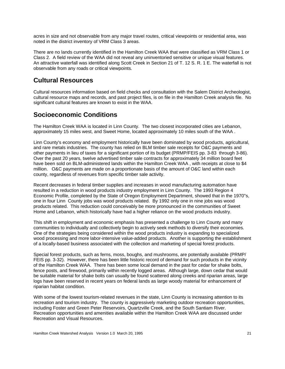acres in size and not observable from any major travel routes, critical viewpoints or residential area, was noted in the district inventory of VRM Class 3 areas.

There are no lands currently identified in the Hamilton Creek WAA that were classified as VRM Class 1 or Class 2. A field review of the WAA did not reveal any uninventoried sensitive or unique visual features. An attractive waterfall was identified along Scott Creek in Section 21 of T. 12 S. R. 1 E. The waterfall is not observable from any roads or critical viewpoints.

## **Cultural Resources**

Cultural resources information based on field checks and consultation with the Salem District Archeologist, cultural resource maps and records, and past project files, is on file in the Hamilton Creek analysis file. No significant cultural features are known to exist in the WAA.

## **Socioeconomic Conditions**

The Hamilton Creek WAA is located in Linn County. The two closest incorporated cities are Lebanon, approximately 15 miles west, and Sweet Home, located approximately 10 miles south of the WAA .

Linn County's economy and employment historically have been dominated by wood products, agricultural, and rare metals industries. The county has relied on BLM timber sale receipts for O&C payments and other payments in lieu of taxes for a significant portion of its budget (PRMP/FEIS pp. 3-83 through 3-86). Over the past 20 years, twelve advertised timber sale contracts for approximately 34 million board feet have been sold on BLM-administered lands within the Hamilton Creek WAA, with receipts at close to \$4 million. O&C payments are made on a proportionate basis of the amount of O&C land within each county, regardless of revenues from specific timber sale activity.

Recent decreases in federal timber supplies and increases in wood manufacturing automation have resulted in a reduction in wood products industry employment in Linn County. The 1993 Region 4 Economic Profile, completed by the State of Oregon Employment Department, showed that in the 1970''s, one in four Linn County jobs was wood products related. By 1992 only one in nine jobs was wood products related. This reduction could conceivably be more pronounced in the communities of Sweet Home and Lebanon, which historically have had a higher reliance on the wood products industry.

This shift in employment and economic emphasis has presented a challenge to Linn County and many communities to individually and collectively begin to actively seek methods to diversify their economies. One of the strategies being considered within the wood products industry is expanding to specialized wood processing and more labor-intensive value-added products. Another is supporting the establishment of a locally-based business associated with the collection and marketing of special forest products.

Special forest products, such as ferns, moss, boughs, and mushrooms, are potentially available (PRMP/ FEIS pp. 3-32). However, there has been little historic record of demand for such products in the vicinity of the Hamilton Creek WAA. There has been some local demand in the past for cedar for shake bolts, fence posts, and firewood, primarily within recently logged areas. Although large, down cedar that would be suitable material for shake bolts can usually be found scattered along creeks and riparian areas, large logs have been reserved in recent years on federal lands as large woody material for enhancement of riparian habitat condition.

With some of the lowest tourism-related revenues in the state, Linn County is increasing attention to its recreation and tourism industry. The county is aggressively marketing outdoor recreation opportunities, including Foster and Green Peter Reservoirs, Quartzville Creek, and the South Santiam River. Recreation opportunities and amenities available within the Hamilton Creek WAA are discussed under Recreation and Visual Resources.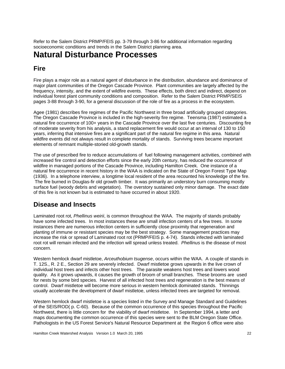Refer to the Salem District PRMP/FEIS pp. 3-79 through 3-86 for additional information regarding socioeconomic conditions and trends in the Salem District planning area.

## **Natural Disturbance Processes**

## <span id="page-25-0"></span>**Fire**

Fire plays a major role as a natural agent of disturbance in the distribution, abundance and dominance of major plant communities of the Oregon Cascade Province. Plant communities are largely affected by the frequency, intensity, and the extent of wildfire events. These effects, both direct and indirect, depend on individual forest plant community conditions and composition. Refer to the Salem District PRMP/SEIS pages 3-88 through 3-90, for a general discussion of the role of fire as a process in the ecosystem.

Agee (1981) describes fire regimes of the Pacific Northwest in three broad artificially grouped categories. The Oregon Cascade Province is included in the high-severity fire regime. Teensma (1987) estimated a natural fire occurrence of 100+ years in the Cascade Province over the last five centuries. Discounting fire of moderate severity from his analysis, a stand replacement fire would occur at an interval of 130 to 150 years, inferring that intensive fires are a significant part of the natural fire regime in this area. Natural wildfire events did not always result in complete mortality of stands. Surviving trees became important elements of remnant multiple-storied old-growth stands.

The use of prescribed fire to reduce accumulations of fuel following management activities, combined with increased fire control and detection efforts since the early 20th century, has reduced the occurrence of wildfire in managed portions of the Cascade Province, including Hamilton Creek. One instance of a natural fire occurrence in recent history in the WAA is indicated on the State of Oregon Forest Type Map (1936). In a telephone interview, a longtime local resident of the area recounted his knowledge of the fire. The fire burned in Douglas-fir old growth timber. It was primarily an understory burn consuming mostly surface fuel (woody debris and vegetation). The overstory sustained only minor damage. The exact date of this fire is not known but is estimated to have occurred in about 1920.

## **Disease and Insects**

Laminated root rot, *Phellinus weirii*, is common throughout the WAA. The majority of stands probably have some infected trees. In most instances these are small infection centers of a few trees. In some instances there are numerous infection centers in sufficiently close proximity that regeneration and planting of immune or resistant species may be the best strategy. Some management practices may increase the risk or spread of Laminated root rot (PRMP/FEIS p. 4-74). Stands infected with laminated root rot will remain infected and the infection will spread unless treated. *Phellinus* is the disease of most concern.

Western hemlock dwarf mistletoe, *Arceuthobium tsugense*, occurs within the WAA. A couple of stands in T. 12S., R. 2 E., Section 29 are severely infected. Dwarf mistletoe grows upwards in the live crown of individual host trees and infects other host trees. The parasite weakens host trees and lowers wood quality. As it grows upwards, it causes the growth of broom of small branches. These brooms are used for nests by some bird species. Harvest of all infected host trees and regeneration is the best means of control. Dwarf mistletoe will become more serious in western hemlock dominated stands. Thinnings usually accelerate the development of dwarf mistletoe, unless infected trees are targeted for removal.

Western hemlock dwarf mistletoe is a species listed in the Survey and Manage Standard and Guidelines of the SEIS/ROD( p. C-60). Because of the common occurrence of this species throughout the Pacific Northwest, there is little concern for the viability of dwarf mistletoe. In September 1994, a letter and maps documenting the common occurrence of this species were sent to the BLM Oregon State Office. Pathologists in the US Forest Service's Natural Resource Department at the Region 6 office were also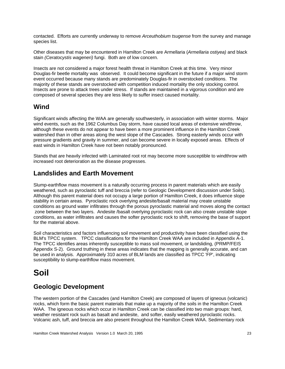contacted. Efforts are currently underway to remove *Arceuthobium tsugense* from the survey and manage species list.

Other diseases that may be encountered in Hamilton Creek are Armellaria (*Armellaria ostiyea)* and black stain *(Ceratocystis wageneri)* fungi. Both are of low concern.

Insects are not considered a major forest health threat in Hamilton Creek at this time. Very minor Douglas-fir beetle mortality was observed. It could become significant in the future if a major wind storm event occurred because many stands are predominately Douglas-fir in overstocked conditions. The majority of these stands are overstocked with competition induced mortality the only stocking control. Insects are prone to attack trees under stress. If stands are maintained in a vigorous condition and are composed of several species they are less likely to suffer insect caused mortality.

## **Wind**

Significant winds affecting the WAA are generally southwesterly, in association with winter storms. Major wind events, such as the 1962 Columbus Day storm, have caused local areas of extensive windthrow, although these events do not appear to have been a more prominent influence in the Hamilton Creek watershed than in other areas along the west slope of the Cascades. Strong easterly winds occur with pressure gradients and gravity in summer, and can become severe in locally exposed areas. Effects of east winds in Hamilton Creek have not been notably pronounced.

Stands that are heavily infected with Laminated root rot may become more susceptible to windthrow with increased root deterioration as the disease progresses.

### **Landslides and Earth Movement**

Slump-earthflow mass movement is a naturally occurring process in parent materials which are easily weathered, such as pyroclastic tuff and breccia (refer to Geologic Development discussion under Soils). Although this parent material does not occupy a large portion of Hamilton Creek, it does influence slope stability in certain areas. Pyroclastic rock overlying andesite/basalt material may create unstable conditions as ground water infiltrates through the porous pyroclastic material and moves along the contact zone between the two layers. Andesite /basalt overlying pyroclastic rock can also create unstable slope conditions, as water infiltrates and causes the softer pyroclastic rock to shift, removing the base of support for the material above.

Soil characteristics and factors influencing soil movement and productivity have been classified using the BLM's TPCC system. TPCC classifications for the Hamilton Creek WAA are included in Appendix A-1. The TPCC identifies areas inherently susceptible to mass soil movement, or landsliding, (PRMP/FEIS Appendix S-2). Ground truthing in these areas indicates that the mapping is generally accurate, and can be used in analysis. Approximately 310 acres of BLM lands are classified as TPCC 'FP', indicating susceptibility to slump-earthflow mass movement.

## **Soil**

## <span id="page-26-0"></span>**Geologic Development**

The western portion of the Cascades (and Hamilton Creek) are composed of layers of igneous (volcanic) rocks, which form the basic parent materials that make up a majority of the soils in the Hamilton Creek WAA. The igneous rocks which occur in Hamilton Creek can be classified into two main groups: hard, weather resistant rock such as basalt and andesite, and softer, easily weathered pyroclastic rocks. Volcanic ash, tuff, and breccia are also present throughout the Hamilton Creek WAA. Sedimentary rock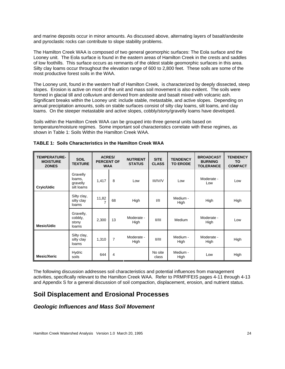and marine deposits occur in minor amounts. As discussed above, alternating layers of basalt/andesite and pyroclastic rocks can contribute to slope stability problems.

The Hamilton Creek WAA is composed of two general geomorphic surfaces: The Eola surface and the Looney unit. The Eola surface is found in the eastern areas of Hamilton Creek in the crests and saddles of low foothills. This surface occurs as remnants of the oldest stable geomorphic surfaces in this area. Silty clay loams occur throughout the elevation range of 600 to 2,800 feet. These soils are some of the most productive forest soils in the WAA.

The Looney unit, found in the western half of Hamilton Creek, is characterized by deeply dissected, steep slopes. Erosion is active on most of the unit and mass soil movement is also evident. The soils were formed in glacial till and colluvium and derived from andesite and basalt mixed with volcanic ash. Significant breaks within the Looney unit: include stable, metastable, and active slopes. Depending on annual precipitation amounts, soils on stable surfaces consist of silty clay loams, silt loams, and clay loams. On the steeper metastable and active slopes, cobbly/stony/gravelly loams have developed.

Soils within the Hamilton Creek WAA can be grouped into three general units based on temperature/moisture regimes. Some important soil characteristics correlate with these regimes, as shown in Table 1: Soils Within the Hamilton Creek WAA.

| <b>TEMPERATURE-</b><br><b>MOISTURE</b><br><b>ZONES</b> | <b>SOIL</b><br><b>TEXTURE</b>                | <b>ACRES/</b><br><b>PERCENT OF</b><br><b>WAA</b> |                | <b>NUTRIENT</b><br><b>STATUS</b> | <b>SITE</b><br><b>CLASS</b> | <b>TENDENCY</b><br><b>TO ERODE</b> | <b>BROADCAST</b><br><b>BURNING</b><br><b>TOLERANCE</b> | <b>TENDENCY</b><br><b>TO</b><br><b>COMPACT</b> |
|--------------------------------------------------------|----------------------------------------------|--------------------------------------------------|----------------|----------------------------------|-----------------------------|------------------------------------|--------------------------------------------------------|------------------------------------------------|
| Cryic/Udic                                             | Gravelly<br>loams,<br>gravelly<br>silt loams | 1,417                                            | 8              | Low                              | <b>III/IV/V</b>             | Low                                | Moderate -<br>Low                                      | Low                                            |
|                                                        | Silty clay,<br>silty clay<br>loams           | 11,82<br>7                                       | 68             | High                             | VII                         | Medium -<br>High                   | High                                                   | High                                           |
| Mesic/Udic                                             | Gravelly,<br>cobbly,<br>stony<br>loams       | 2,300                                            | 13             | Moderate -<br>High               | II/III                      | Medium                             | Moderate -<br>High                                     | Low                                            |
|                                                        | Silty clay,<br>silty clay<br>loams           | 1,310                                            | $\overline{7}$ | Moderate -<br>High               | II/III                      | Medium -<br>High                   | Moderate -<br>High                                     | High                                           |
| <b>Mesic/Xeric</b>                                     | Hydric<br>soils                              | 644                                              | 4              |                                  | No site<br>class            | Medium -<br>High                   | Low                                                    | High                                           |

**TABLE 1: Soils Characteristics in the Hamilton Creek WAA**

The following discussion addresses soil characteristics and potential influences from management activities, specifically relevant to the Hamilton Creek WAA. Refer to PRMP/FEIS pages 4-11 through 4-13 and Appendix S for a general discussion of soil compaction, displacement, erosion, and nutrient status.

## **Soil Displacement and Erosional Processes**

#### *Geologic Influences and Mass Soil Movement*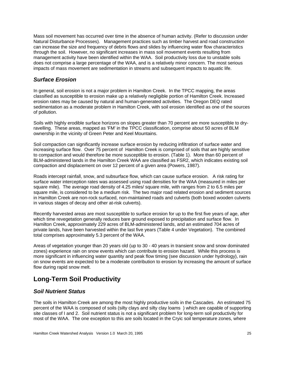Mass soil movement has occurred over time in the absence of human activity. (Refer to discussion under Natural Disturbance Processes). Management practices such as timber harvest and road construction can increase the size and frequency of debris flows and slides by influencing water flow characteristics through the soil. However, no significant increases in mass soil movement events resulting from management activity have been identified within the WAA. Soil productivity loss due to unstable soils does not comprise a large percentage of the WAA, and is a relatively minor concern. The most serious impacts of mass movement are sedimentation in streams and subsequent impacts to aquatic life.

#### *Surface Erosion*

In general, soil erosion is not a major problem in Hamilton Creek. In the TPCC mapping, the areas classified as susceptible to erosion make up a relatively negligible portion of Hamilton Creek. Increased erosion rates may be caused by natural and human-generated activities. The Oregon DEQ rated sedimentation as a moderate problem in Hamilton Creek, with soil erosion identified as one of the sources of pollution.

Soils with highly erodible surface horizons on slopes greater than 70 percent are more susceptible to dryravelling. These areas, mapped as 'FM' in the TPCC classification, comprise about 50 acres of BLM ownership in the vicinity of Green Peter and Keel Mountains.

Soil compaction can significantly increase surface erosion by reducing infiltration of surface water and increasing surface flow. Over 75 percent of Hamilton Creek is comprised of soils that are highly sensitive to compaction and would therefore be more susceptible to erosion. (Table 1). More than 60 percent of BLM-administered lands in the Hamilton Creek WAA are classified as FSR2, which indicates existing soil compaction and displacement on over 12 percent of a given area (Powers, 1987).

Roads intercept rainfall, snow, and subsurface flow, which can cause surface erosion. A risk rating for surface water interception rates was assessed using road densities for the WAA (measured in miles per square mile). The average road density of 4.25 miles/ square mile, with ranges from 2 to 6.5 miles per square mile, is considered to be a medium risk. The two major road related erosion and sediment sources in Hamilton Creek are non-rock surfaced, non-maintained roads and culverts (both boxed wooden culverts in various stages of decay and other at-risk culverts).

Recently harvested areas are most susceptible to surface erosion for up to the first five years of age, after which time revegetation generally reduces bare ground exposed to precipitation and surface flow. In Hamilton Creek, approximately 229 acres of BLM-administered lands, and an estimated 704 acres of private lands, have been harvested within the last five years (Table 4 under Vegetation). The combined total comprises approximately 5.3 percent of the WAA.

Areas of vegetation younger than 20 years old (up to 30 - 40 years in transient snow and snow dominated zones) experience rain on snow events which can contribute to erosion hazard. While this process is more significant in influencing water quantity and peak flow timing (see discussion under hydrology), rain on snow events are expected to be a moderate contribution to erosion by increasing the amount of surface flow during rapid snow melt.

## **Long-Term Soil Productivity**

#### *Soil Nutrient Status*

The soils in Hamilton Creek are among the most highly productive soils in the Cascades. An estimated 75 percent of the WAA is composed of soils (silty clays and silty clay loams ) which are capable of supporting site classes of I and 2. Soil nutrient status is not a significant problem for long-term soil productivity for most of the WAA. The one exception to this are soils located in the Cryic soil temperature zones, where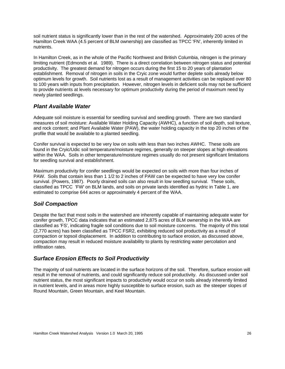soil nutrient status is significantly lower than in the rest of the watershed. Approximately 200 acres of the Hamilton Creek WAA (4.5 percent of BLM ownership) are classified as TPCC 'FN', inherently limited in nutrients.

In Hamilton Creek, as in the whole of the Pacific Northwest and British Columbia, nitrogen is the primary limiting nutrient (Edmonds et al. 1989). There is a direct correlation between nitrogen status and potential productivity. The greatest demand for nitrogen occurs during the first 15 to 20 years of plantation establishment. Removal of nitrogen in soils in the Cryic zone would further deplete soils already below optimum levels for growth. Soil nutrients lost as a result of management activities can be replaced over 80 to 100 years with inputs from precipitation. However, nitrogen levels in deficient soils may not be sufficient to provide nutrients at levels necessary for optimum productivity during the period of maximum need by newly planted seedlings.

#### *Plant Available Water*

Adequate soil moisture is essential for seedling survival and seedling growth. There are two standard measures of soil moisture: Available Water Holding Capacity (AWHC), a function of soil depth, soil texture, and rock content; and Plant Available Water (PAW), the water holding capacity in the top 20 inches of the profile that would be available to a planted seedling.

Conifer survival is expected to be very low on soils with less than two inches AWHC. These soils are found in the Cryic/Udic soil temperature/moisture regimes, generally on steeper slopes at high elevations within the WAA. Soils in other temperature/moisture regimes usually do not present significant limitations for seedling survival and establishment.

Maximum productivity for conifer seedlings would be expected on soils with more than four inches of PAW. Soils that contain less than 1 1/2 to 2 inches of PAW can be expected to have very low conifer survival. (Powers, 1987). Poorly drained soils can also result in low seedling survival. These soils, classified as TPCC 'FW' on BLM lands, and soils on private lands identified as hydric in Table 1, are estimated to comprise 644 acres or approximately 4 percent of the WAA.

#### *Soil Compaction*

Despite the fact that most soils in the watershed are inherently capable of maintaining adequate water for conifer growth, TPCC data indicates that an estimated 2,875 acres of BLM ownership in the WAA are classified as 'FS', indicating fragile soil conditions due to soil moisture concerns. The majority of this total (2,770 acres) has been classified as TPCC FSR2, exhibiting reduced soil productivity as a result of compaction or topsoil displacement. In addition to contributing to surface erosion, as discussed above, compaction may result in reduced moisture availability to plants by restricting water percolation and infiltration rates.

#### *Surface Erosion Effects to Soil Productivity*

The majority of soil nutrients are located in the surface horizons of the soil. Therefore, surface erosion will result in the removal of nutrients, and could significantly reduce soil productivity. As discussed under soil nutrient status, the most significant impacts to productivity would occur on soils already inherently limited in nutrient levels, and in areas more highly susceptible to surface erosion, such as the steeper slopes of Round Mountain, Green Mountain, and Keel Mountain.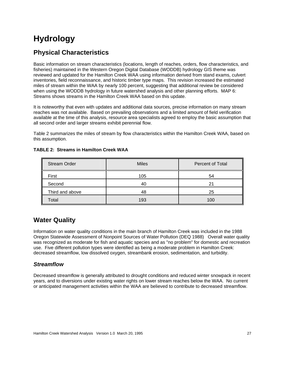## **Hydrology**

## <span id="page-30-0"></span>**Physical Characteristics**

Basic information on stream characteristics (locations, length of reaches, orders, flow characteristics, and fisheries) maintained in the Western Oregon Digital Database (WODDB) hydrology GIS theme was reviewed and updated for the Hamilton Creek WAA using information derived from stand exams, culvert inventories, field reconnaissance, and historic timber type maps. This revision increased the estimated miles of stream within the WAA by nearly 100 percent, suggesting that additional review be considered when using the WODDB hydrology in future watershed analysis and other planning efforts. MAP 6: Streams shows streams in the Hamilton Creek WAA based on this update.

It is noteworthy that even with updates and additional data sources, precise information on many stream reaches was not available. Based on prevailing observations and a limited amount of field verification available at the time of this analysis, resource area specialists agreed to employ the basic assumption that all second order and larger streams exhibit perennial flow.

Table 2 summarizes the miles of stream by flow characteristics within the Hamilton Creek WAA, based on this assumption.

| <b>Stream Order</b> | <b>Miles</b> | Percent of Total |
|---------------------|--------------|------------------|
| First               | 105          | 54               |
| Second              | 40           | 21               |
| Third and above     | 48           | 25               |
| Total               | 193          | 100              |

#### **TABLE 2: Streams in Hamilton Creek WAA**

## **Water Quality**

Information on water quality conditions in the main branch of Hamilton Creek was included in the 1988 Oregon Statewide Assessment of Nonpoint Sources of Water Pollution (DEQ 1988) Overall water quality was recognized as moderate for fish and aquatic species and as "no problem" for domestic and recreation use. Five different pollution types were identified as being a moderate problem in Hamilton Creek: decreased streamflow, low dissolved oxygen, streambank erosion, sedimentation, and turbidity.

#### *Streamflow*

Decreased streamflow is generally attributed to drought conditions and reduced winter snowpack in recent years, and to diversions under existing water rights on lower stream reaches below the WAA. No current or anticipated management activities within the WAA are believed to contribute to decreased streamflow.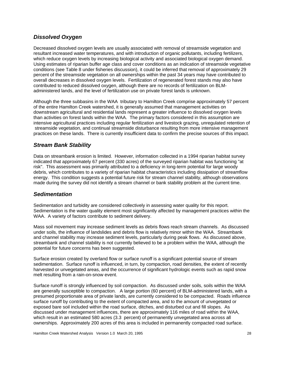#### *Dissolved Oxygen*

Decreased dissolved oxygen levels are usually associated with removal of streamside vegetation and resultant increased water temperatures, and with introduction of organic pollutants, including fertilizers, which reduce oxygen levels by increasing biological activity and associated biological oxygen demand. Using estimates of riparian buffer age class and cover conditions as an indication of streamside vegetative conditions (see Table 8 under fisheries discussion), it could be inferred that removal of approximately 29 percent of the streamside vegetation on all ownerships within the past 34 years may have contributed to overall decreases in dissolved oxygen levels. Fertilization of regenerated forest stands may also have contributed to reduced dissolved oxygen, although there are no records of fertilization on BLMadministered lands, and the level of fertilization use on private forest lands is unknown.

Although the three subbasins in the WAA tributary to Hamilton Creek comprise approximately 57 percent of the entire Hamilton Creek watershed, it is generally assumed that management activities on downstream agricultural and residential lands represent a greater influence to dissolved oxygen levels than activities on forest lands within the WAA. The primary factors considered in this assumption are intensive agricultural practices including regular fertilization and livestock grazing, unregulated retention of streamside vegetation, and continual streamside disturbance resulting from more intensive management practices on these lands. There is currently insufficient data to confirm the precise sources of this impact.

#### *Stream Bank Stability*

Data on streambank erosion is limited. However, information collected in a 1994 riparian habitat survey indicated that approximately 67 percent (330 acres) of the surveyed riparian habitat was functioning "at risk". This assessment was primarily attributed to a deficiency in long-term potential for large woody debris, which contributes to a variety of riparian habitat characteristics including dissipation of streamflow energy. This condition suggests a potential future risk for stream channel stability, although observations made during the survey did not identify a stream channel or bank stability problem at the current time.

#### *Sedimentation*

Sedimentation and turbidity are considered collectively in assessing water quality for this report. Sedimentation is the water quality element most significantly affected by management practices within the WAA. A variety of factors contribute to sediment delivery.

Mass soil movement may increase sediment levels as debris flows reach stream channels. As discussed under soils, the influence of landslides and debris flow is relatively minor within the WAA. Streambank and channel stability may increase sediment levels, particularly during peak flows. As discussed above, streambank and channel stability is not currently believed to be a problem within the WAA, although the potential for future concerns has been suggested.

Surface erosion created by overland flow or surface runoff is a significant potential source of stream sedimentation. Surface runoff is influenced, in turn, by compaction, road densities, the extent of recently harvested or unvegetated areas, and the occurrence of significant hydrologic events such as rapid snow melt resulting from a rain-on-snow event.

Surface runoff is strongly influenced by soil compaction. As discussed under soils, soils within the WAA are generally susceptible to compaction. A large portion (60 percent) of BLM-administered lands, with a presumed proportionate area of private lands, are currently considered to be compacted. Roads influence surface runoff by contributing to the extent of compacted area, and to the amount of unvegetated or exposed bare soil included within the road surface, ditches, and disturbed cut and fill slopes. As discussed under management influences, there are approximately 116 miles of road within the WAA, which result in an estimated 580 acres (3.3 percent) of permanently unvegetated area across all ownerships. Approximately 200 acres of this area is included in permanently compacted road surface.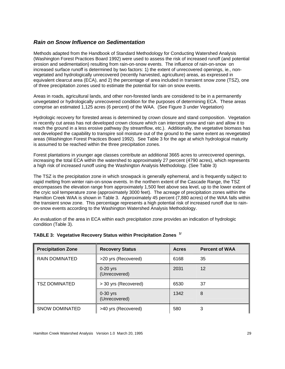#### *Rain on Snow Influence on Sedimentation*

Methods adapted from the Handbook of Standard Methodology for Conducting Watershed Analysis (Washington Forest Practices Board 1992) were used to assess the risk of increased runoff (and potential erosion and sedimentation) resulting from rain-on-snow events. The influence of rain-on-snow on increased surface runoff is determined by two factors: 1) the extent of unrecovered openings, ie., nonvegetated and hydrologically unrecovered (recently harvested, agriculture) areas, as expressed in equivalent clearcut area (ECA), and 2) the percentage of area included in transient snow zone (TSZ), one of three precipitation zones used to estimate the potential for rain on snow events.

Areas in roads, agricultural lands, and other non-forested lands are considered to be in a permanently unvegetated or hydrologically unrecovered condition for the purposes of determining ECA. These areas comprise an estimated 1,125 acres (6 percent) of the WAA. (See Figure 3 under Vegetation)

Hydrologic recovery for forested areas is determined by crown closure and stand composition. Vegetation in recently cut areas has not developed crown closure which can intercept snow and rain and allow it to reach the ground in a less erosive pathway (by streamflow, etc.). Additionally, the vegetative biomass has not developed the capability to transpire soil moisture out of the ground to the same extent as revegetated areas (Washington Forest Practices Board 1992). See Table 3 for the age at which hydrological maturity is assumed to be reached within the three precipitation zones.

Forest plantations in younger age classes contribute an additional 3665 acres to unrecovered openings, increasing the total ECA within the watershed to approximately 27 percent (4790 acres), which represents a high risk of increased runoff using the Washington Analysis Methodology. (See Table 3)

The TSZ is the precipitation zone in which snowpack is generally ephemeral, and is frequently subject to rapid melting from winter rain-on-snow events. In the northern extent of the Cascade Range, the TSZ encompasses the elevation range from approximately 1,500 feet above sea level, up to the lower extent of the cryic soil temperature zone (approximately 3000 feet). The acreage of precipitation zones within the Hamilton Creek WAA is shown in Table 3. Approximately 45 percent (7,880 acres) of the WAA falls within the transient snow zone. This percentage represents a high potential risk of increased runoff due to rainon-snow events according to the Washington Watershed Analysis Methodology.

An evaluation of the area in ECA within each precipitation zone provides an indication of hydrologic condition (Table 3).

| <b>Precipitation Zone</b> | <b>Recovery Status</b>      | <b>Acres</b> | <b>Percent of WAA</b> |
|---------------------------|-----------------------------|--------------|-----------------------|
| <b>RAIN DOMINATED</b>     | >20 yrs (Recovered)         | 6168         | 35                    |
|                           | $0-20$ yrs<br>(Unrecovered) | 2031         | 12                    |
| TSZ DOMINATED             | > 30 yrs (Recovered)        | 6530         | 37                    |
|                           | $0-30$ yrs<br>(Unrecovered) | 1342         | 8                     |
| <b>SNOW DOMINATED</b>     | >40 yrs (Recovered)         | 580          |                       |

#### **TABLE 3: Vegetative Recovery Status within Precipitation Zones 1/**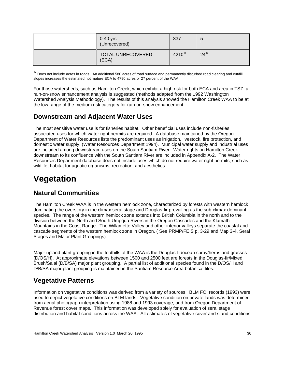| $0-40$ yrs<br>(Unrecovered) | 837          |            |
|-----------------------------|--------------|------------|
| TOTAL UNRECOVERED<br>(ECA)  | $4210^{1/2}$ | $24^{1/2}$ |

 $1/$  Does not include acres in roads. An additional 580 acres of road surface and permanently disturbed road clearing and cut/fill slopes increases the estimated not mature ECA to 4790 acres or 27 percent of the WAA.

For those watersheds, such as Hamilton Creek, which exhibit a high risk for both ECA and area in TSZ, a rain-on-snow enhancement analysis is suggested (methods adapted from the 1992 Washington Watershed Analysis Methodology). The results of this analysis showed the Hamilton Creek WAA to be at the low range of the medium risk category for rain-on-snow enhancement.

## **Downstream and Adjacent Water Uses**

The most sensitive water use is for fisheries habitat. Other beneficial uses include non-fisheries associated uses for which water right permits are required. A database maintained by the Oregon Department of Water Resources lists the predominant uses as irrigation, livestock, fire protection, and domestic water supply. (Water Resources Department 1994). Municipal water supply and industrial uses are included among downstream uses on the South Santiam River. Water rights on Hamilton Creek downstream to its confluence with the South Santiam River are included in Appendix A-2. The Water Resources Department database does not include uses which do not require water right permits, such as wildlife, habitat for aquatic organisms, recreation, and aesthetics.

## **Vegetation**

## <span id="page-33-0"></span>**Natural Communities**

The Hamilton Creek WAA is in the western hemlock zone, characterized by forests with western hemlock dominating the overstory in the climax seral stage and Douglas-fir prevailing as the sub-climax dominant species. The range of the western hemlock zone extends into British Columbia in the north and to the division between the North and South Umpqua Rivers in the Oregon Cascades and the Klamath Mountains in the Coast Range. The Willamette Valley and other interior valleys separate the coastal and cascade segments of the western hemlock zone in Oregon. ( See PRMP/FEIS p. 3-29 and Map 3-4, Seral Stages and Major Plant Groupings).

Major upland plant grouping in the foothills of the WAA is the Douglas-fir/ocean spray/herbs and grasses (D/OS/H). At approximate elevations between 1500 and 2500 feet are forests in the Douglas-fir/Mixed Brush/Salal (D/B/SA) major plant grouping. A partial list of additional species found in the D/OS/H and D/B/SA major plant grouping is maintained in the Santiam Resource Area botanical files.

## **Vegetative Patterns**

Information on vegetative conditions was derived from a variety of sources. BLM FOI records (1993) were used to depict vegetative conditions on BLM lands. Vegetative condition on private lands was determined from aerial photograph interpretation using 1988 and 1993 coverage, and from Oregon Department of Revenue forest cover maps. This information was developed solely for evaluation of seral stage distribution and habitat conditions across the WAA. All estimates of vegetative cover and stand conditions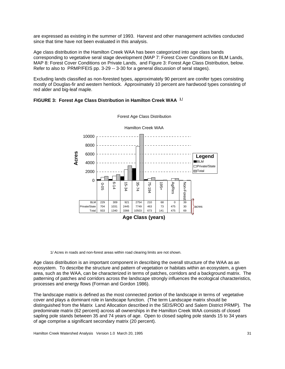are expressed as existing in the summer of 1993. Harvest and other management activities conducted since that time have not been evaluated in this analysis.

Age class distribution in the Hamilton Creek WAA has been categorized into age class bands corresponding to vegetative seral stage development (MAP 7: Forest Cover Conditions on BLM Lands, MAP 8: Forest Cover Conditions on Private Lands, and Figure 3: Forest Age Class Distribution, below. Refer to also to PRMP/FEIS pp. 3-29 -- 3-30 for a general discussion of seral stages).

Excluding lands classified as non-forested types, approximately 90 percent are conifer types consisting mostly of Douglas-fir and western hemlock. Approximately 10 percent are hardwood types consisting of red alder and big-leaf maple.





Forest Age Class Distribution

1/ Acres in roads and non-forest areas within road clearing limits are not shown.

Age class distribution is an important component in describing the overall structure of the WAA as an ecosystem. To describe the structure and pattern of vegetation or habitats within an ecosystem, a given area, such as the WAA, can be characterized in terms of patches, corridors and a background matrix. The patterning of patches and corridors across the landscape strongly influences the ecological characteristics, processes and energy flows (Forman and Gordon 1986).

The landscape matrix is defined as the most connected portion of the landscape in terms of vegetative cover and plays a dominant role in landscape function. (The term Landscape matrix should be distinguished from the Matrix Land Allocation described in the SEIS/ROD and Salem District PRMP). The predominate matrix (62 percent) across all ownerships in the Hamilton Creek WAA consists of closed sapling pole stands between 35 and 74 years of age. Open to closed sapling pole stands 15 to 34 years of age comprise a significant secondary matrix (20 percent).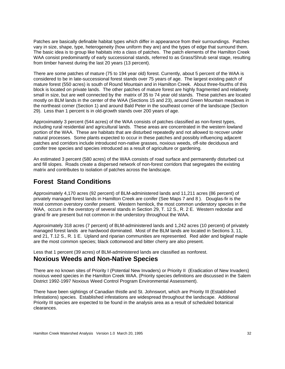Patches are basically definable habitat types which differ in appearance from their surroundings. Patches vary in size, shape, type, heterogeneity (how uniform they are) and the types of edge that surround them. The basic idea is to group like habitats into a class of patches. The patch elements of the Hamilton Creek WAA consist predominantly of early successional stands, referred to as Grass/Shrub seral stage, resulting from timber harvest during the last 20 years (13 percent).

There are some patches of mature (75 to 194 year old) forest. Currently, about 5 percent of the WAA is considered to be in late-successional forest stands over 75 years of age. The largest existing patch of mature forest (550 acres) is south of Round Mountain and in Hamilton Creek. About three-fourths of this block is located on private lands. The other patches of mature forest are highly fragmented and relatively small in size, but are well connected by the matrix of 35 to 74 year old stands. These patches are located mostly on BLM lands in the center of the WAA (Sections 15 and 23), around Green Mountain meadows in the northeast corner (Section 1) and around Bald Peter in the southeast corner of the landscape (Section 29). Less than 1 percent is in old-growth stands over 200 years of age.

Approximately 3 percent (544 acres) of the WAA consists of patches classified as non-forest types, including rural residential and agricultural lands. These areas are concentrated in the western lowland portion of the WAA. These are habitats that are disturbed repeatedly and not allowed to recover under natural processes. Some plants expected to occur in these patches and possibly influencing adjacent patches and corridors include introduced non-native grasses, noxious weeds, off-site deciduous and conifer tree species and species introduced as a result of agriculture or gardening.

An estimated 3 percent (580 acres) of the WAA consists of road surface and permanently disturbed cut and fill slopes. Roads create a dispersed network of non-forest corridors that segregates the existing matrix and contributes to isolation of patches across the landscape.

#### **Forest Stand Conditions**

Approximately 4,170 acres (92 percent) of BLM-administered lands and 11,211 acres (86 percent) of privately managed forest lands in Hamilton Creek are conifer (See Maps 7 and 8 ). Douglas-fir is the most common overstory conifer present. Western hemlock, the most common understory species in the WAA, occurs in the overstory of several stands in Section 29, T. 12 S., R. 2 E. Western redcedar and grand fir are present but not common in the understory throughout the WAA.

Approximately 318 acres (7 percent) of BLM-administered lands and 1,242 acres (10 percent) of privately managed forest lands are hardwood dominated. Most of the BLM lands are located in Sections 3, 11, and 21, T.12 S., R. 1 E. Upland and riparian communities are represented. Red alder and bigleaf maple are the most common species; black cottonwood and bitter cherry are also present.

Less that 1 percent (39 acres) of BLM-administered lands are classified as nonforest.

#### **Noxious Weeds and Non-Native Species**

There are no known sites of Priority I (Potential New Invaders) or Priority II (Eradication of New Invaders) noxious weed species in the Hamilton Creek WAA. (Priority species definitions are discussed in the Salem District 1992-1997 Noxious Weed Control Program Environmental Assessment).

There have been sightings of Canadian thistle and St. Johnswort, which are Priority III (Established Infestations) species. Established infestations are widespread throughout the landscape. Additional Priority III species are expected to be found in the analysis area as a result of scheduled botanical clearances.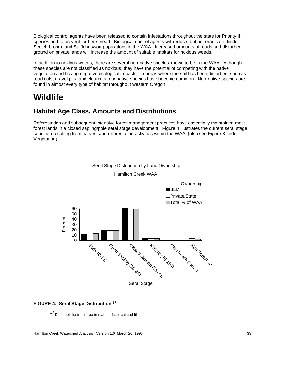Biological control agents have been released to contain infestations throughout the state for Priority III species and to prevent further spread. Biological control agents will reduce, but not eradicate thistle, Scotch broom, and St. Johnswort populations in the WAA. Increased amounts of roads and disturbed ground on private lands will increase the amount of suitable habitats for noxious weeds.

In addition to noxious weeds, there are several non-native species known to be in the WAA. Although these species are not classified as noxious, they have the potential of competing with the native vegetation and having negative ecological impacts. In areas where the soil has been disturbed, such as road cuts, gravel pits, and clearcuts, nonnative species have become common. Non-native species are found in almost every type of habitat throughout western Oregon.

## **Wildlife**

#### **Habitat Age Class, Amounts and Distributions**

Reforestation and subsequent intensive forest management practices have essentially maintained most forest lands in a closed sapling/pole seral stage development. Figure 4 illustrates the current seral stage condition resulting from harvest and reforestation activities within the WAA. (also see Figure 3 under Vegetation).



# Seral Stage Distribution by Land Ownership

#### **FIGURE 4: Seral Stage Distribution 1/**

**1 /** Does not illustrate area in road surface, cut and fill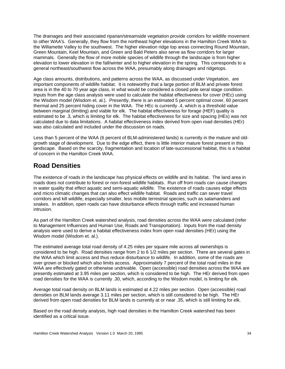The drainages and their associated riparian/streamside vegetation provide corridors for wildlife movement to other WAA's. Generally, they flow from the northeast higher elevations in the Hamilton Creek WAA to the Willamette Valley to the southwest. The higher elevation ridge top areas connecting Round Mountain, Green Mountain, Keel Mountain, and Green and Bald Peters also serve as flow corridors for larger mammals. Generally the flow of more mobile species of wildlife through the landscape is from higher elevation to lower elevation in the fall/winter and to higher elevation in the spring. This corresponds to a general northeast/southwest flow across the WAA, presumably along drainages and ridgetops.

Age class amounts, distributions, and patterns across the WAA, as discussed under Vegetation, are important components of wildlife habitat. It is noteworthy that a large portion of BLM and private forest area is in the 40 to 70 year age class, in what would be considered a closed pole seral stage condition. Inputs from the age class analysis were used to calculate the habitat effectiveness for cover (HEc) using the Wisdom model (Wisdom et. al.). Presently, there is an estimated 5 percent optimal cover, 60 percent thermal and 25 percent hiding cover in the WAA. The HEc is currently .4, which is a threshold value between marginal (limiting) and viable for elk. The habitat effectiveness for forage (HEF) quality is estimated to be .3, which is limiting for elk. The habitat effectiveness for size and spacing (HEs) was not calculated due to data limitations. A habitat effectiveness index derived from open road densities (HEr) was also calculated and included under the discussion on roads.

Less than 5 percent of the WAA (6 percent of BLM-administered lands) is currently in the mature and oldgrowth stage of development. Due to the edge effect, there is little interior mature forest present in this landscape. Based on the scarcity, fragmentation and location of late-successional habitat, this is a habitat of concern in the Hamilton Creek WAA.

#### **Road Densities**

The existence of roads in the landscape has physical effects on wildlife and its habitat. The land area in roads does not contribute to forest or non-forest wildlife habitats. Run off from roads can cause changes in water quality that effect aquatic and semi-aquatic wildlife. The existence of roads causes edge effects and micro climatic changes that can also effect wildlife habitat. Roads and traffic can sever travel corridors and kill wildlife, especially smaller, less mobile terrestrial species, such as salamanders and snakes. In addition, open roads can have disturbance effects through traffic and increased human intrusion.

As part of the Hamilton Creek watershed analysis, road densities across the WAA were calculated (refer to Management Influences and Human Use, Roads and Transportation). Inputs from the road density analysis were used to derive a habitat effectiveness index from open road densities (HEr) using the Wisdom model (Wisdom et. al.).

The estimated average total road density of 4.25 miles per square mile across all ownerships is considered to be high. Road densities range from 2 to 6 1/2 miles per section. There are several gates in the WAA which limit access and thus reduce disturbance to wildlife. In addition, some of the roads are over grown or blocked which also limits access. Approximately 7 percent of the total road miles in the WAA are effectively gated or otherwise undrivable. Open (accessible) road densities across the WAA are presently estimated at 3.95 miles per section, which is considered to be high. The HEr derived from open road densities for the WAA is currently .30, which, according to the Wisdom model, is limiting for elk.

Average total road density on BLM lands is estimated at 4.22 miles per section. Open (accessible) road densities on BLM lands average 3.11 miles per section, which is still considered to be high. The HEr derived from open road densities for BLM lands is currently at or near .35, which is still limiting for elk.

Based on the road density analysis, high road densities in the Hamilton Creek watershed has been identified as a critical issue.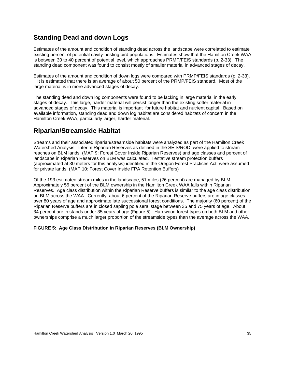#### **Standing Dead and down Logs**

Estimates of the amount and condition of standing dead across the landscape were correlated to estimate existing percent of potential cavity-nesting bird populations. Estimates show that the Hamilton Creek WAA is between 30 to 40 percent of potential level, which approaches PRMP/FEIS standards (p. 2-33). The standing dead component was found to consist mostly of smaller material in advanced stages of decay.

Estimates of the amount and condition of down logs were compared with PRMP/FEIS standards (p. 2-33). It is estimated that there is an average of about 50 percent of the PRMP/FEIS standard. Most of the large material is in more advanced stages of decay.

The standing dead and down log components were found to be lacking in large material in the early stages of decay. This large, harder material will persist longer than the existing softer material in advanced stages of decay. This material is important for future habitat and nutrient capital. Based on available information, standing dead and down log habitat are considered habitats of concern in the Hamilton Creek WAA, particularly larger, harder material.

#### **Riparian/Streamside Habitat**

Streams and their associated riparian/streamside habitats were analyzed as part of the Hamilton Creek Watershed Analysis. Interim Riparian Reserves as defined in the SEIS/ROD, were applied to stream reaches on BLM lands, (MAP 9: Forest Cover Inside Riparian Reserves) and age classes and percent of landscape in Riparian Reserves on BLM was calculated. Tentative stream protection buffers (approximated at 30 meters for this analysis) identified in the Oregon Forest Practices Act were assumed for private lands. (MAP 10: Forest Cover Inside FPA Retention Buffers)

Of the 193 estimated stream miles in the landscape, 51 miles (26 percent) are managed by BLM. Approximately 56 percent of the BLM ownership in the Hamilton Creek WAA falls within Riparian Reserves. Age class distribution within the Riparian Reserve buffers is similar to the age class distribution on BLM across the WAA. Currently, about 6 percent of the Riparian Reserve buffers are in age classes over 80 years of age and approximate late successional forest conditions. The majority (60 percent) of the Riparian Reserve buffers are in closed sapling pole seral stage between 35 and 75 years of age. About 34 percent are in stands under 35 years of age (Figure 5). Hardwood forest types on both BLM and other ownerships comprise a much larger proportion of the streamside types than the average across the WAA.

#### **FIGURE 5: Age Class Distribution in Riparian Reserves (BLM Ownership)**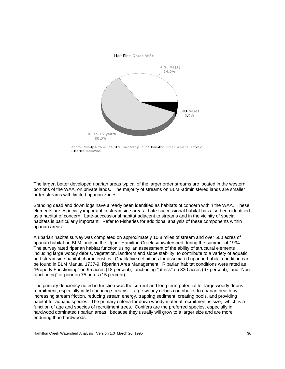

Approximately 57% of the BLM ownership in the Hamilton Creek WAA falls within Riparian Reserves.

The larger, better developed riparian areas typical of the larger order streams are located in the western portions of the WAA, on private lands. The majority of streams on BLM -administered lands are smaller order streams with limited riparian zones.

Standing dead and down logs have already been identified as habitats of concern within the WAA. These elements are especially important in streamside areas. Late-successional habitat has also been identified as a habitat of concern. Late-successional habitat adjacent to streams and in the vicinity of special habitats is particularly important. Refer to Fisheries for additional analysis of these components within riparian areas.

A riparian habitat survey was completed on approximately 10.8 miles of stream and over 500 acres of riparian habitat on BLM lands in the Upper Hamilton Creek subwatershed during the summer of 1994. The survey rated riparian habitat function using an assessment of the ability of structural elements including large woody debris, vegetation, landform and slope stability, to contribute to a variety of aquatic and streamside habitat characteristics. Qualitative definitions for associated riparian habitat condition can be found in BLM Manual 1737-9, Riparian Area Management. Riparian habitat conditions were rated as "Properly Functioning" on 95 acres (18 percent), functioning "at risk" on 330 acres (67 percent), and "Non functioning" or poor on 75 acres (15 percent).

The primary deficiency noted in function was the current and long term potential for large woody debris recruitment, especially in fish-bearing streams. Large woody debris contributes to riparian health by increasing stream friction, reducing stream energy, trapping sediment, creating pools, and providing habitat for aquatic species. The primary criteria for down woody material recruitment is size, which is a function of age and species of recruitment trees. Conifers are the preferred species, especially in hardwood dominated riparian areas, because they usually will grow to a larger size and are more enduring than hardwoods.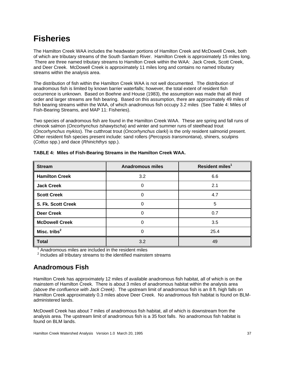## **Fisheries**

The Hamilton Creek WAA includes the headwater portions of Hamilton Creek and McDowell Creek, both of which are tributary streams of the South Santiam River. Hamilton Creek is approximately 15 miles long. There are three named tributary streams to Hamilton Creek within the WAA: Jack Creek, Scott Creek, and Deer Creek. McDowell Creek is approximately 11 miles long and contains no named tributary streams within the analysis area.

The distribution of fish within the Hamilton Creek WAA is not well documented. The distribution of anadromous fish is limited by known barrier waterfalls; however, the total extent of resident fish occurrence is unknown. Based on Boehne and House (1983), the assumption was made that all third order and larger streams are fish bearing. Based on this assumption, there are approximately 49 miles of fish bearing streams within the WAA, of which anadromous fish occupy 3.2 miles (See Table 4: Miles of Fish-Bearing Streams, and MAP 11: Fisheries).

Two species of anadromous fish are found in the Hamilton Creek WAA. These are spring and fall runs of chinook salmon (*Oncorhynchus tshawytscha*) and winter and summer runs of steelhead trout (*Oncorhynchus mykiss*). The cutthroat trout (*Oncorhynchus clarki*) is the only resident salmonid present. Other resident fish species present include: sand rollers (*Percopsis transmontana*), shiners, sculpins (*Cottus* spp.) and dace (*Rhinichthys* spp.).

| <b>Stream</b>         | <b>Anadromous miles</b> | Resident miles <sup>1</sup> |
|-----------------------|-------------------------|-----------------------------|
| <b>Hamilton Creek</b> | 3.2                     | 6.6                         |
| <b>Jack Creek</b>     |                         | 2.1                         |
| <b>Scott Creek</b>    |                         | 4.7                         |
| S. Fk. Scott Creek    |                         | 5                           |
| <b>Deer Creek</b>     | O                       | 0.7                         |
| <b>McDowell Creek</b> | O                       | 3.5                         |
| Misc. tribs $2$       |                         | 25.4                        |
| <b>Total</b>          | 3.2                     | 49                          |

**TABLE 4: Miles of Fish-Bearing Streams in the Hamilton Creek WAA.**

 <sup>1</sup> Anadromous miles are included in the resident miles

 $<sup>2</sup>$  Includes all tributary streams to the identified mainstem streams</sup>

### **Anadromous Fish**

Hamilton Creek has approximately 12 miles of available anadromous fish habitat, all of which is on the mainstem of Hamilton Creek. There is about 3 miles of anadromous habitat within the analysis area *(above the confluence with Jack Creek)*. The upstream limit of anadromous fish is an 8 ft. high falls on Hamilton Creek approximately 0.3 miles above Deer Creek. No anadromous fish habitat is found on BLMadministered lands.

McDowell Creek has about 7 miles of anadromous fish habitat, all of which is downstream from the analysis area. The upstream limit of anadromous fish is a 35 foot falls. No anadromous fish habitat is found on BLM lands.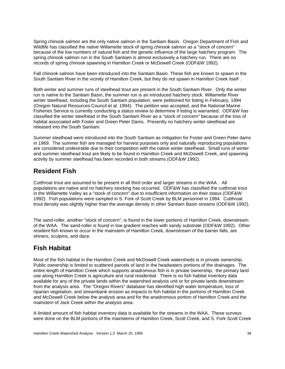Spring chinook salmon are the only native salmon in the Santiam Basin. Oregon Department of Fish and Wildlife has classified the native Willamette stock of spring chinook salmon as a "stock of concern" because of the low numbers of natural fish and the genetic influence of the large hatchery program. The spring chinook salmon run in the South Santiam is almost exclusively a hatchery run. There are no records of spring chinook spawning in Hamilton Creek or McDowell Creek (ODF&W 1992).

Fall chinook salmon have been introduced into the Santiam Basin. These fish are known to spawn in the South Santiam River in the vicinity of Hamilton Creek, but they do not spawn in Hamilton Creek itself .

Both winter and summer runs of steelhead trout are present in the South Santiam River. Only the winter run is native to the Santiam Basin, the summer run is an introduced hatchery stock. Willamette River winter steelhead, including the South Santiam population, were petitioned for listing in February, 1994 (Oregon Natural Resources Council et al. 1994). The petition was accepted, and the National Marine Fisheries Service is currently conducting a status review to determine if listing is warranted. ODF&W has classified the winter steelhead in the South Santiam River as a "stock of concern" because of the loss of habitat associated with Foster and Green Peter Dams. Presently no hatchery winter steelhead are released into the South Santiam.

Summer steelhead were introduced into the South Santiam as mitigation for Foster and Green Peter dams in 1969. The summer fish are managed for harvest purposes only and naturally reproducing populations are considered undesirable due to their competition with the native winter steelhead. Small runs of winter and summer steelhead trout are likely to be found in Hamilton Creek and McDowell Creek, and spawning activity by summer steelhead has been recorded in both streams (ODF&W 1992).

#### **Resident Fish**

Cutthroat trout are assumed to be present in all third order and larger streams in the WAA . All populations are native and no hatchery stocking has occurred. ODF&W has classified the cutthroat trout in the Willamette Valley as a "stock of concern" due to insufficient information on their status (ODF&W 1992). Fish populations were sampled in S. Fork of Scott Creek by BLM personnel in 1984. Cutthroat trout density was slightly higher than the average density in other Santiam Basin streams (ODF&W 1992).

The sand-roller, another "stock of concern", is found in the lower portions of Hamilton Creek, downstream of the WAA. The sand-roller is found in low gradient reaches with sandy substrate (ODF&W 1992). Other resident fish known to occur in the mainstem of Hamilton Creek, downstream of the barrier falls, are shiners, sculpins, and dace.

### **Fish Habitat**

Most of the fish habitat in the Hamilton Creek and McDowell Creek watersheds is in private ownership. Public ownership is limited to scattered parcels of land in the headwaters portions of the drainages. The entire length of Hamilton Creek which supports anadromous fish is in private ownership; the primary land use along Hamilton Creek is agriculture and rural residential. There is no fish habitat inventory data available for any of the private lands within the watershed analysis unit or for private lands downstream from the analysis area. The "Oregon Rivers" database has identified high water temperature, loss of riparian vegetation, and streambank erosion as impacts to fish habitat in the portions of Hamilton Creek and McDowell Creek below the analysis area and for the anadromous portion of Hamilton Creek and the mainstem of Jack Creek within the analysis area.

A limited amount of fish habitat inventory data is available for the streams in the WAA. These surveys were done on the BLM portions of the mainstems of Hamilton Creek, Scott Creek, and S. Fork Scott Creek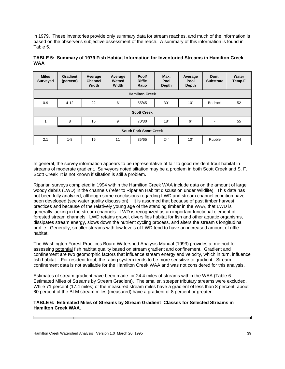in 1979. These inventories provide only summary data for stream reaches, and much of the information is based on the observer's subjective assessment of the reach. A summary of this information is found in Table 5.

| <b>Miles</b><br><b>Surveyed</b> | <b>Gradient</b><br>(percent) | Average<br>Channel<br>Width | Average<br>Wetted<br>Width | Pool/<br><b>Riffle</b><br>Ratio | Max.<br>Pool<br><b>Depth</b> | Average<br>Pool<br><b>Depth</b> | Dom.<br><b>Substrate</b> | Water<br>Temp.F |
|---------------------------------|------------------------------|-----------------------------|----------------------------|---------------------------------|------------------------------|---------------------------------|--------------------------|-----------------|
| <b>Hamilton Creek</b>           |                              |                             |                            |                                 |                              |                                 |                          |                 |
| 0.9                             | $4 - 12$                     | 22'                         | 6'                         | 55/45                           | 30"                          | 10"                             | Bedrock                  | 52              |
|                                 |                              |                             |                            | <b>Scott Creek</b>              |                              |                                 |                          |                 |
| 1                               | 8                            | 15'                         | 9'                         | 70/30                           | 18"                          | 6"                              | $\blacksquare$           | 55              |
| <b>South Fork Scott Creek</b>   |                              |                             |                            |                                 |                              |                                 |                          |                 |
| 2.1                             | $1 - 8$                      | 16'                         | 11'                        | 35/65                           | 24"                          | 10"                             | Rubble                   | 54              |

**TABLE 5: Summary of 1979 Fish Habitat Information for Inventoried Streams in Hamilton Creek WAA** 

In general, the survey information appears to be representative of fair to good resident trout habitat in streams of moderate gradient. Surveyors noted siltation may be a problem in both Scott Creek and S. F. Scott Creek It is not known if siltation is still a problem.

Riparian surveys completed in 1994 within the Hamilton Creek WAA include data on the amount of large woody debris (LWD) in the channels (refer to Riparian Habitat discussion under Wildlife). This data has not been fully analyzed, although some conclusions regarding LWD and stream channel condition have been developed (see water quality discussion). It is assumed that because of past timber harvest practices and because of the relatively young age of the standing timber in the WAA, that LWD is generally lacking in the stream channels. LWD is recognized as an important functional element of forested stream channels. LWD retains gravel, diversifies habitat for fish and other aquatic organisms, dissipates stream energy, slows down the nutrient cycling process, and alters the stream's longitudinal profile. Generally, smaller streams with low levels of LWD tend to have an increased amount of riffle habitat.

The Washington Forest Practices Board Watershed Analysis Manual (1993) provides a method for assessing potential fish habitat quality based on stream gradient and confinement. Gradient and confinement are two geomorphic factors that influence stream energy and velocity, which in turn, influence fish habitat. For resident trout, the rating system tends to be more sensitive to gradient. Stream confinement data is not available for the Hamilton Creek WAA and was not considered for this analysis.

Estimates of stream gradient have been made for 24.4 miles of streams within the WAA (Table 6: Estimated Miles of Streams by Stream Gradient). The smaller, steeper tributary streams were excluded. While 71 percent (17.4 miles) of the measured stream miles have a gradient of less than 8 percent, about 80 percent of the BLM stream miles (measured) have a gradient of 8 percent or greater.

#### **TABLE 6: Estimated Miles of Streams by Stream Gradient Classes for Selected Streams in Hamilton Creek WAA.**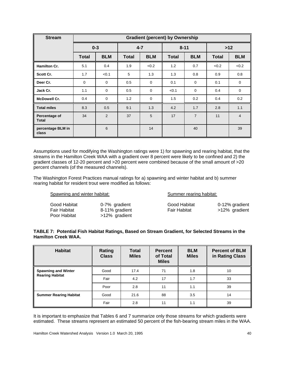| <b>Stream</b>              | <b>Gradient (percent) by Ownership</b> |             |              |             |              |                |       |                |
|----------------------------|----------------------------------------|-------------|--------------|-------------|--------------|----------------|-------|----------------|
|                            |                                        | $0 - 3$     | $4 - 7$      |             |              | $8 - 11$       | $>12$ |                |
|                            | <b>Total</b>                           | <b>BLM</b>  | <b>Total</b> | <b>BLM</b>  | <b>Total</b> | <b>BLM</b>     | Total | <b>BLM</b>     |
| <b>Hamilton Cr.</b>        | 5.1                                    | 0.4         | 1.9          | < 0.2       | 1.2          | 0.7            | < 0.2 | < 0.2          |
| Scott Cr.                  | 1.7                                    | < 0.1       | 5            | 1.3         | 1.3          | 0.8            | 0.9   | 0.8            |
| Deer Cr.                   | $\mathbf 0$                            | 0           | 0.5          | $\mathbf 0$ | 0.1          | 0              | 0.1   | $\mathbf 0$    |
| Jack Cr.                   | 1.1                                    | $\mathbf 0$ | 0.5          | $\mathbf 0$ | < 0.1        | $\mathbf 0$    | 0.4   | $\mathbf 0$    |
| <b>McDowell Cr.</b>        | 0.4                                    | $\mathbf 0$ | 1.2          | $\mathbf 0$ | 1.5          | 0.2            | 0.4   | 0.2            |
| <b>Total miles</b>         | 8.3                                    | 0.5         | 9.1          | 1.3         | 4.2          | 1.7            | 2.8   | 1.1            |
| Percentage of<br>Total     | 34                                     | 2           | 37           | 5           | 17           | $\overline{7}$ | 11    | $\overline{4}$ |
| percentage BLM in<br>class |                                        | 6           |              | 14          |              | 40             |       | 39             |

Assumptions used for modifying the Washington ratings were 1) for spawning and rearing habitat, that the streams in the Hamilton Creek WAA with a gradient over 8 percent were likely to be confined and 2) the gradient classes of 12-20 percent and >20 percent were combined because of the small amount of >20 percent channels (of the measured channels).

The Washington Forest Practices manual ratings for a) spawning and winter habitat and b) summer rearing habitat for resident trout were modified as follows:

| Spawning and winter habitat:                 |                                                  |                                     | Summer rearing habitat:         |  |  |
|----------------------------------------------|--------------------------------------------------|-------------------------------------|---------------------------------|--|--|
| Good Habitat<br>Fair Habitat<br>Poor Habitat | 0-7% gradient<br>8-11% gradient<br>>12% gradient | Good Habitat<br><b>Fair Habitat</b> | 0-12% gradient<br>>12% gradient |  |  |

#### **TABLE 7: Potential Fish Habitat Ratings, Based on Stream Gradient, for Selected Streams in the Hamilton Creek WAA.**

| <b>Habitat</b>                                       | Rating<br><b>Class</b> | <b>Total</b><br><b>Miles</b> | <b>Percent</b><br>of Total<br><b>Miles</b> | <b>BLM</b><br><b>Miles</b> | <b>Percent of BLM</b><br>in Rating Class |
|------------------------------------------------------|------------------------|------------------------------|--------------------------------------------|----------------------------|------------------------------------------|
| <b>Spawning and Winter</b><br><b>Rearing Habitat</b> | Good                   | 17.4                         | 71                                         | 1.8                        | 10                                       |
|                                                      | Fair                   | 4.2                          | 17                                         | 1.7                        | 33                                       |
|                                                      | Poor                   | 2.8                          | 11                                         | 1.1                        | 39                                       |
| <b>Summer Rearing Habitat</b>                        | Good                   | 21.6                         | 88                                         | 3.5                        | 14                                       |
|                                                      | Fair                   | 2.8                          | 11                                         | 1.1                        | 39                                       |

It is important to emphasize that Tables 6 and 7 summarize only those streams for which gradients were estimated. These streams represent an estimated 50 percent of the fish-bearing stream miles in the WAA.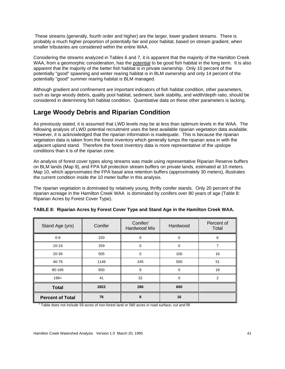These streams (generally, fourth order and higher) are the larger, lower gradient streams. There is probably a much higher proportion of potentially fair and poor habitat, based on stream gradient, when smaller tributaries are considered within the entire WAA.

Considering the streams analyzed in Tables 6 and 7, it is apparent that the majority of the Hamilton Creek WAA, from a geomorphic consideration, has the potential to be good fish habitat in the long term. It is also apparent that the majority of the better fish habitat is in private ownership. Only 10 percent of the potentially "good" spawning and winter rearing habitat is in BLM ownership and only 14 percent of the potentially "good" summer rearing habitat is BLM managed.

Although gradient and confinement are important indicators of fish habitat condition, other parameters, such as large woody debris, quality pool habitat, sediment, bank stability, and width/depth ratio, should be considered in determining fish habitat condition. Quantitative data on these other parameters is lacking.

### **Large Woody Debris and Riparian Condition**

As previously stated, it is assumed that LWD levels may be at less than optimum levels in the WAA. The following analysis of LWD potential recruitment uses the best available riparian vegetation data available. However, it is acknowledged that the riparian information is inadequate. This is because the riparian vegetation data is taken from the forest inventory which generally lumps the riparian area in with the adjacent upland stand. Therefore the forest inventory data is more representative of the upslope conditions than it is of the riparian zone.

An analysis of forest cover types along streams was made using representative Riparian Reserve buffers on BLM lands (Map 9), and FPA full protection stream buffers on private lands, estimated at 10 meters. Map 10, which approximates the FPA basal area retention buffers (approximately 30 meters), illustrates the current condition inside the 10 meter buffer in this analysis.

The riparian vegetation is dominated by relatively young, thrifty conifer stands. Only 20 percent of the riparian acreage in the Hamilton Creek WAA is dominated by conifers over 80 years of age (Table 8: Riparian Acres by Forest Cover Type).

| Stand Age (yrs)         | Conifer | Conifer/<br>Hardwood Mix | Hardwood | Percent of<br>Total |
|-------------------------|---------|--------------------------|----------|---------------------|
| $0-9$                   | 220     | $\mathbf 0$              | 0        | 6                   |
| $10 - 19$               | 259     | $\mathbf 0$              | 0        | 7                   |
| 20-39                   | 505     | $\mathbf 0$              | 100      | 16                  |
| 40-79                   | 1146    | 245                      | 500      | 51                  |
| 80-195                  | 650     | 9                        | 0        | 18                  |
| $196+$                  | 41      | 32                       | 0        | $\overline{2}$      |
| <b>Total</b>            | 2822    | 286                      | 600      |                     |
| <b>Percent of Total</b> | 76      | 8                        | 16       |                     |

| TABLE 8: Riparian Acres by Forest Cover Type and Stand Age in the Hamilton Creek WAA. |  |  |  |
|---------------------------------------------------------------------------------------|--|--|--|
|                                                                                       |  |  |  |

 $\overline{\phantom{a}}$ Table does not include 59 acres of non-forest land or 580 acres in road surface, cut and fill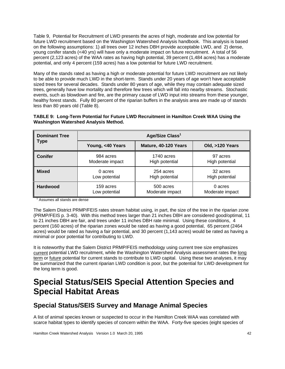Table 9, Potential for Recruitment of LWD presents the acres of high, moderate and low potential for future LWD recruitment based on the Washington Watershed Analysis handbook. This analysis is based on the following assumptions: 1) all trees over 12 inches DBH provide acceptable LWD, and 2) dense, young conifer stands (<40 yrs) will have only a moderate impact on future recruitment. A total of 56 percent (2,123 acres) of the WAA rates as having high potential, 39 percent (1,484 acres) has a moderate potential, and only 4 percent (159 acres) has a low potential for future LWD recruitment.

Many of the stands rated as having a high or moderate potential for future LWD recruitment are not likely to be able to provide much LWD in the short-term. Stands under 20 years of age won't have acceptable sized trees for several decades. Stands under 80 years of age, while they may contain adequate sized trees, generally have low mortality and therefore few trees which will fall into nearby streams. Stochastic events, such as blowdown and fire, are the primary cause of LWD input into streams from these younger, healthy forest stands. Fully 80 percent of the riparian buffers in the analysis area are made up of stands less than 80 years old (Table 8).

| TABLE 9: Long-Term Potential for Future LWD Recruitment in Hamilton Creek WAA Using the |  |
|-----------------------------------------------------------------------------------------|--|
| <b>Washington Watershed Analysis Method.</b>                                            |  |

| <b>Dominant Tree</b> | Age/Size Class <sup>1</sup> |                      |                 |  |  |  |
|----------------------|-----------------------------|----------------------|-----------------|--|--|--|
| Type                 | Young, <40 Years            | Mature, 40-120 Years | Old, >120 Years |  |  |  |
| <b>Conifer</b>       | 984 acres                   | 1740 acres           | 97 acres        |  |  |  |
|                      | Moderate impact             | High potential       | High potential  |  |  |  |
| <b>Mixed</b>         | 0 acres                     | 254 acres            | 32 acres        |  |  |  |
|                      | Low potential               | High potential       | High potential  |  |  |  |
| <b>Hardwood</b>      | 159 acres                   | 500 acres            | 0 acres         |  |  |  |
|                      | Low potential               | Moderate impact      | Moderate impact |  |  |  |

<sup>1</sup> Assumes all stands are dense

The Salem District PRMP/FEIS rates stream habitat using, in part, the size of the tree in the riparian zone (PRMP/FEIS p. 3-40). With this method trees larger than 21 inches DBH are considered good/optimal, 11 to 21 inches DBH are fair, and trees under 11 inches DBH rate minimal. Using these conditions, 4 percent (160 acres) of the riparian zones would be rated as having a good potential, 65 percent (2464 acres) would be rated as having a fair potential, and 30 percent (1,143 acres) would be rated as having a minimal or poor potential for contributing to LWD.

It is noteworthy that the Salem District PRMP/FEIS methodology using current tree size emphasizes current potential LWD recruitment, while the Washington Watershed Analysis assessment rates the long term or future potential for current stands to contribute to LWD capital. Using these two analyses, it may be summarized that the current riparian LWD condition is poor, but the potential for LWD development for the long term is good.

## **Special Status/SEIS Special Attention Species and Special Habitat Areas**

## **Special Status/SEIS Survey and Manage Animal Species**

A list of animal species known or suspected to occur in the Hamilton Creek WAA was correlated with scarce habitat types to identify species of concern within the WAA. Forty-five species (eight species of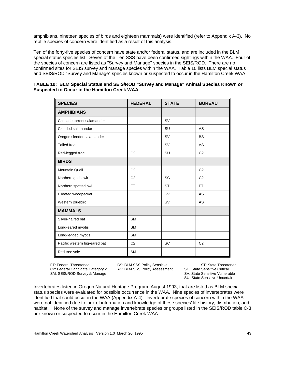amphibians, nineteen species of birds and eighteen mammals) were identified (refer to Appendix A-3). No reptile species of concern were identified as a result of this analysis.

Ten of the forty-five species of concern have state and/or federal status, and are included in the BLM special status species list. Seven of the Ten SSS have been confirmed sightings within the WAA. Four of the species of concern are listed as "Survey and Manage" species in the SEIS/ROD. There are no confirmed sites for SEIS survey and manage species within the WAA. Table 10 lists BLM special status and SEIS/ROD "Survey and Manage" species known or suspected to occur in the Hamilton Creek WAA.

| <b>SPECIES</b>                | <b>FEDERAL</b> | <b>STATE</b> | <b>BUREAU</b>  |
|-------------------------------|----------------|--------------|----------------|
| <b>AMPHIBIANS</b>             |                |              |                |
| Cascade torrent salamander    |                | <b>SV</b>    |                |
| Clouded salamander            |                | SU           | AS             |
| Oregon slender salamander     |                | <b>SV</b>    | <b>BS</b>      |
| Tailed frog                   |                | <b>SV</b>    | AS             |
| Red-legged frog               | C <sub>2</sub> | SU           | C <sub>2</sub> |
| <b>BIRDS</b>                  |                |              |                |
| <b>Mountain Quail</b>         | C <sub>2</sub> |              | C <sub>2</sub> |
| Northern goshawk              | C <sub>2</sub> | SC           | C <sub>2</sub> |
| Northern spotted owl          | <b>FT</b>      | <b>ST</b>    | <b>FT</b>      |
| Pileated woodpecker           |                | <b>SV</b>    | <b>AS</b>      |
| <b>Western Bluebird</b>       |                | <b>SV</b>    | AS             |
| <b>MAMMALS</b>                |                |              |                |
| Silver-haired bat             | <b>SM</b>      |              |                |
| Long-eared myotis             | <b>SM</b>      |              |                |
| Long-legged myotis            | <b>SM</b>      |              |                |
| Pacific western big-eared bat | C <sub>2</sub> | SC           | C <sub>2</sub> |
| Red tree vole                 | <b>SM</b>      |              |                |

| TABLE 10: BLM Special Status and SEIS/ROD "Survey and Manage" Animal Species Known or |  |  |
|---------------------------------------------------------------------------------------|--|--|
| Suspected to Occur in the Hamilton Creek WAA                                          |  |  |

C2: Federal Candidate Category 2 AS: BLM SSS Policy Assessment SC: State Sensitive Critical<br>SM: SEIS/ROD Survey & Manage SSV: State Sensitive Vulnerable SM: SEIS/ROD Survey & Manage

FT: Federal Threatened **BS: BLM SSS Policy Sensitive** ST: State Threatened C2: Federal Candidate Category 2 AS: BLM SSS Policy Assessment SC: State Sensitive Critical SU: State Sensitive Uncertain

Invertebrates listed in Oregon Natural Heritage Program, August 1993, that are listed as BLM special status species were evaluated for possible occurrence in the WAA. Nine species of invertebrates were identified that could occur in the WAA (Appendix A-4). Invertebrate species of concern within the WAA were not identified due to lack of information and knowledge of these species' life history, distribution, and habitat. None of the survey and manage invertebrate species or groups listed in the SEIS/ROD table C-3 are known or suspected to occur in the Hamilton Creek WAA.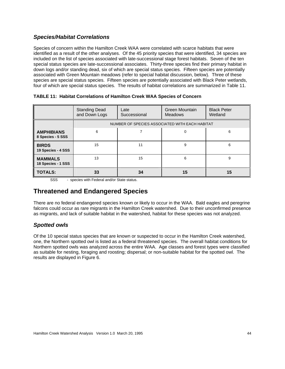#### *Species/Habitat Correlations*

Species of concern within the Hamilton Creek WAA were correlated with scarce habitats that were identified as a result of the other analyses. Of the 45 priority species that were identified, 34 species are included on the list of species associated with late-successional stage forest habitats. Seven of the ten special status species are late-successional associates. Thirty-three species find their primary habitat in down logs and/or standing dead, six of which are special status species. Fifteen species are potentially associated with Green Mountain meadows (refer to special habitat discussion, below). Three of these species are special status species. Fifteen species are potentially associated with Black Peter wetlands, four of which are special status species. The results of habitat correlations are summarized in Table 11.

|                                        | <b>Standing Dead</b><br>and Down Logs | Late<br>Successional | Green Mountain<br><b>Meadows</b>               | <b>Black Peter</b><br>Wetland |
|----------------------------------------|---------------------------------------|----------------------|------------------------------------------------|-------------------------------|
|                                        |                                       |                      | NUMBER OF SPECIES ASSOCIATED WITH EACH HABITAT |                               |
| <b>AMPHIBIANS</b><br>8 Species - 5 SSS | 6                                     |                      | $\Omega$                                       | 6                             |
| <b>BIRDS</b><br>19 Species - 4 SSS     | 15                                    | 11                   | 9                                              | 6                             |
| <b>MAMMALS</b><br>18 Species - 1 SSS   | 13                                    | 15                   | 6                                              | 9                             |
| <b>TOTALS:</b>                         | 33                                    | 34                   | 15                                             | 15                            |

**TABLE 11: Habitat Correlations of Hamilton Creek WAA Species of Concern**

SSS - species with Federal and/or State status.

#### **Threatened and Endangered Species**

There are no federal endangered species known or likely to occur in the WAA. Bald eagles and peregrine falcons could occur as rare migrants in the Hamilton Creek watershed. Due to their unconfirmed presence as migrants, and lack of suitable habitat in the watershed, habitat for these species was not analyzed.

#### *Spotted owls*

Of the 10 special status species that are known or suspected to occur in the Hamilton Creek watershed, one, the Northern spotted owl is listed as a federal threatened species. The overall habitat conditions for Northern spotted owls was analyzed across the entire WAA. Age classes and forest types were classified as suitable for nesting, foraging and roosting; dispersal; or non-suitable habitat for the spotted owl. The results are displayed in Figure 6.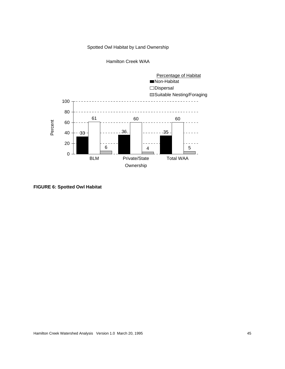#### Spotted Owl Habitat by Land Ownership





**FIGURE 6: Spotted Owl Habitat**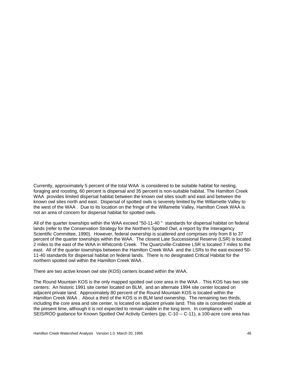Currently, approximately 5 percent of the total WAA is considered to be suitable habitat for nesting, foraging and roosting, 60 percent is dispersal and 35 percent is non-suitable habitat. The Hamilton Creek WAA provides limited dispersal habitat between the known owl sites south and east and between the known owl sites north and east. Dispersal of spotted owls is severely limited by the Willamette Valley to the west of the WAA . Due to its location on the fringe of the Willamette Valley, Hamilton Creek WAA is not an area of concern for dispersal habitat for spotted owls.

All of the quarter townships within the WAA exceed "50-11-40 " standards for dispersal habitat on federal lands (refer to the Conservation Strategy for the Northern Spotted Owl, a report by the Interagency Scientific Committee, 1990). However, federal ownership is scattered and comprises only from 8 to 37 percent of the quarter townships within the WAA. The closest Late Successional Reserve (LSR) is located 2 miles to the east of the WAA in Whitcomb Creek. The Quartzville-Crabtree LSR is located 7 miles to the east. All of the quarter townships between the Hamilton Creek WAA and the LSRs to the east exceed 50- 11-40 standards for dispersal habitat on federal lands. There is no designated Critical Habitat for the northern spotted owl within the Hamilton Creek WAA .

There are two active known owl site (KOS) centers located within the WAA.

The Round Mountain KOS is the only mapped spotted owl core area in the WAA . This KOS has two site centers: An historic 1991 site center located on BLM, and an alternate 1994 site center located on adjacent private land. Approximately 80 percent of the Round Mountain KOS is located within the Hamilton Creek WAA . About a third of the KOS is in BLM land ownership. The remaining two thirds, including the core area and site center, is located on adjacent private land. This site is considered viable at the present time, although it is not expected to remain viable in the long term. In compliance with SEIS/ROD guidance for Known Spotted Owl Activity Centers (pp. C-10 -- C-11), a 100-acre core area has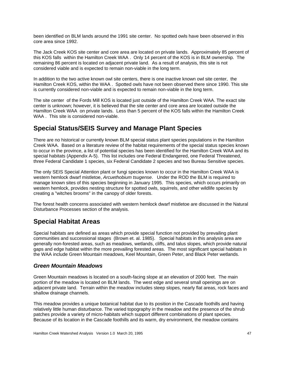been identified on BLM lands around the 1991 site center. No spotted owls have been observed in this core area since 1992.

The Jack Creek KOS site center and core area are located on private lands. Approximately 85 percent of this KOS falls within the Hamilton Creek WAA . Only 14 percent of the KOS is in BLM ownership. The remaining 86 percent is located on adjacent private land. As a result of analysis, this site is not considered viable and is expected to remain non-viable in the long term.

In addition to the two active known owl site centers, there is one inactive known owl site center, the Hamilton Creek KOS, within the WAA . Spotted owls have not been observed there since 1990. This site is currently considered non-viable and is expected to remain non-viable in the long term.

The site center of the Fords Mill KOS is located just outside of the Hamilton Creek WAA. The exact site center is unknown; however, it is believed that the site center and core area are located outside the Hamilton Creek WAA on private lands. Less than 5 percent of the KOS falls within the Hamilton Creek WAA . This site is considered non-viable.

### **Special Status/SEIS Survey and Manage Plant Species**

There are no historical or currently known BLM special status plant species populations in the Hamilton Creek WAA. Based on a literature review of the habitat requirements of the special status species known to occur in the province, a list of potential species has been identified for the Hamilton Creek WAA and its special habitats (Appendix A-5). This list includes one Federal Endangered, one Federal Threatened, three Federal Candidate 1 species, six Federal Candidate 2 species and two Bureau Sensitive species.

The only SEIS Special Attention plant or fungi species known to occur in the Hamilton Creek WAA is western hemlock dwarf mistletoe, *Arcuethobium tsugense*. Under the ROD the BLM is required to manage known sites of this species beginning in January 1995. This species, which occurs primarily on western hemlock, provides nesting structure for spotted owls, squirrels, and other wildlife species by creating a "witches brooms" in the canopy of older forests.

The forest health concerns associated with western hemlock dwarf mistletoe are discussed in the Natural Disturbance Processes section of the analysis.

### **Special Habitat Areas**

Special habitats are defined as areas which provide special function not provided by prevailing plant communities and successional stages (Brown et. al. 1985). Special habitats in this analysis area are generally non-forested areas, such as meadows, wetlands, cliffs, and talus slopes, which provide natural gaps and edge habitat within the more prevailing forested areas. The most significant special habitats in the WAA include Green Mountain meadows, Keel Mountain, Green Peter, and Black Peter wetlands.

#### *Green Mountain Meadows*

Green Mountain meadows is located on a south-facing slope at an elevation of 2000 feet. The main portion of the meadow is located on BLM lands. The west edge and several small openings are on adjacent private land. Terrain within the meadow includes steep slopes, nearly flat areas, rock faces and shallow drainage channels.

This meadow provides a unique botanical habitat due to its position in the Cascade foothills and having relatively little human disturbance. The varied topography in the meadow and the presence of the shrub patches provide a variety of micro-habitats which support different combinations of plant species. Because of its location in the Cascade foothills and its warm, dry environment, the meadow contains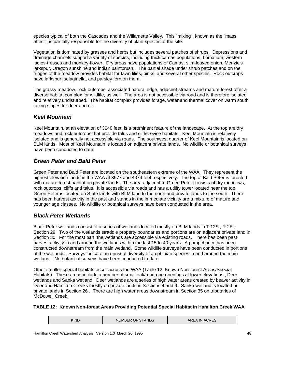species typical of both the Cascades and the Willamette Valley. This "mixing", known as the "mass effect", is partially responsible for the diversity of plant species at the site.

Vegetation is dominated by grasses and herbs but includes several patches of shrubs. Depressions and drainage channels support a variety of species, including thick camas populations, Lomatium, western ladies-tresses and monkey-flower. Dry areas have populations of Camas, slim-leaved onion, Menzie's larkspur, Oregon sunshine and indian paintbrush. The partial shade under shrub patches and on the fringes of the meadow provides habitat for fawn lilies, pinks, and several other species. Rock outcrops have larkspur, selaginella, and parsley fern on them.

The grassy meadow, rock outcrops, associated natural edge, adjacent streams and mature forest offer a diverse habitat complex for wildlife, as well. The area is not accessible via road and is therefore isolated and relatively undisturbed. The habitat complex provides forage, water and thermal cover on warm south facing slopes for deer and elk.

#### *Keel Mountain*

Keel Mountain, at an elevation of 3040 feet, is a prominent feature of the landscape. At the top are dry meadows and rock outcrops that provide talus and cliff/crevice habitats. Keel Mountain is relatively isolated and is generally not accessible via roads. The southwest quarter of Keel Mountain is located on BLM lands. Most of Keel Mountain is located on adjacent private lands. No wildlife or botanical surveys have been conducted to date.

#### *Green Peter and Bald Peter*

Green Peter and Bald Peter are located on the southeastern extreme of the WAA. They represent the highest elevation lands in the WAA at 3977 and 4079 feet respectively. The top of Bald Peter is forested with mature forest habitat on private lands. The area adjacent to Green Peter consists of dry meadows, rock outcrops, cliffs and talus. It is accessible via roads and has a utility tower located near the top. Green Peter is located on State lands with BLM land to the north and private lands to the south. There has been harvest activity in the past and stands in the immediate vicinity are a mixture of mature and younger age classes. No wildlife or botanical surveys have been conducted in the area.

#### *Black Peter Wetlands*

Black Peter wetlands consist of a series of wetlands located mostly on BLM lands in T.12S., R.2E., Section 29. Two of the wetlands straddle property boundaries and portions are on adjacent private land in Section 30. For the most part, the wetlands are accessible via existing roads. There has been past harvest activity in and around the wetlands within the last 15 to 40 years. A pumpchance has been constructed downstream from the main wetland. Some wildlife surveys have been conducted in portions of the wetlands. Surveys indicate an unusual diversity of amphibian species in and around the main wetland. No botanical surveys have been conducted to date.

Other smaller special habitats occur across the WAA (Table 12: Known Non-forest Areas/Special Habitats). These areas include a number of small oak/madrone openings at lower elevations , Deer wetlands and Sanka wetland. Deer wetlands are a series of high water areas created by beaver activity in Deer and Hamilton Creeks mostly on private lands in Sections 4 and 9. Sanka wetland is located on private lands in Section 26 . There are high water areas downstream in Section 35 on tributaries of McDowell Creek.

#### **TABLE 12: Known Non-forest Areas Providing Potential Special Habitat in Hamilton Creek WAA**

| KIND | <b>STANDS</b><br>℩ͱ<br><b>NUMBER</b> | <b>ACRES</b><br><b>IN</b><br>AREA |
|------|--------------------------------------|-----------------------------------|
|------|--------------------------------------|-----------------------------------|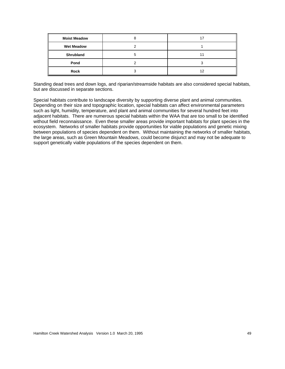| <b>Moist Meadow</b> |  |
|---------------------|--|
| <b>Wet Meadow</b>   |  |
| Shrubland           |  |
| Pond                |  |
| Rock                |  |

Standing dead trees and down logs, and riparian/streamside habitats are also considered special habitats, but are discussed in separate sections.

Special habitats contribute to landscape diversity by supporting diverse plant and animal communities. Depending on their size and topographic location, special habitats can affect environmental parameters such as light, humidity, temperature, and plant and animal communities for several hundred feet into adjacent habitats. There are numerous special habitats within the WAA that are too small to be identified without field reconnaissance. Even these smaller areas provide important habitats for plant species in the ecosystem. Networks of smaller habitats provide opportunities for viable populations and genetic mixing between populations of species dependent on them. Without maintaining the networks of smaller habitats, the large areas, such as Green Mountain Meadows, could become disjunct and may not be adequate to support genetically viable populations of the species dependent on them.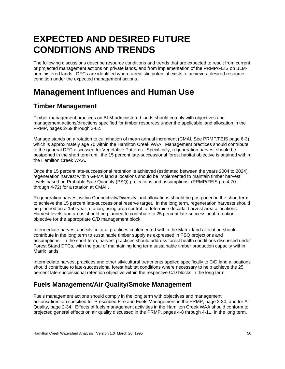# **EXPECTED AND DESIRED FUTURE CONDITIONS AND TRENDS**

The following discussions describe resource conditions and trends that are expected to result from current or projected management actions on private lands, and from implementation of the PRMP/FEIS on BLMadministered lands. DFCs are identified where a realistic potential exists to achieve a desired resource condition under the expected management actions.

## **Management Influences and Human Use**

## **Timber Management**

Timber management practices on BLM-administered lands should comply with objectives and management actions/directions specified for timber resources under the applicable land allocation in the PRMP, pages 2-59 through 2-62.

Manage stands on a rotation to culmination of mean annual increment (CMAI. See PRMP/FEIS page 6-3), which is approximately age 70 within the Hamilton Creek WAA. Management practices should contribute to the general DFC discussed for Vegetative Patterns. Specifically, regeneration harvest should be postponed in the short term until the 15 percent late-successional forest habitat objective is attained within the Hamilton Creek WAA.

Once the 15 percent late-successional retention is achieved (estimated between the years 2004 to 2024), regeneration harvest within GFMA land allocations should be implemented to maintain timber harvest levels based on Probable Sale Quantity (PSQ) projections and assumptions (PRMP/FEIS pp. 4-70 through 4-72) for a rotation at CMAI .

Regeneration harvest within Connectivity/Diversity land allocations should be postponed in the short term to achieve the 15 percent late-successional reserve target. In the long term, regeneration harvests should be planned on a 150-year rotation, using area control to determine decadal harvest area allocations. Harvest levels and areas should be planned to contribute to 25 percent late-successional retention objective for the appropriate C/D management block.

Intermediate harvest and silvicultural practices implemented within the Matrix land allocation should contribute in the long term to sustainable timber supply as expressed in PSQ projections and assumptions. In the short term, harvest practices should address forest health conditions discussed under Forest Stand DFCs, with the goal of maintaining long term sustainable timber production capacity within Matrix lands.

Intermediate harvest practices and other silvicultural treatments applied specifically to C/D land allocations should contribute to late-successional forest habitat conditions where necessary to help achieve the 25 percent late-successional retention objective within the respective C/D blocks in the long term.

### **Fuels Management/Air Quality/Smoke Management**

Fuels management actions should comply in the long term with objectives and management actions/direction specified for Prescribed Fire and Fuels Management in the PRMP, page 2-80, and for Air Quality, page 2-34. Effects of fuels management activities in the Hamilton Creek WAA should conform to projected general effects on air quality discussed in the PRMP, pages 4-8 through 4-11, in the long term.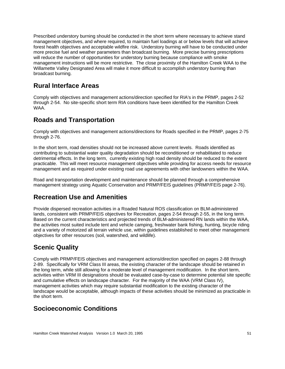Prescribed understory burning should be conducted in the short term where necessary to achieve stand management objectives, and where required, to maintain fuel loadings at or below levels that will achieve forest health objectives and acceptable wildfire risk. Understory burning will have to be conducted under more precise fuel and weather parameters than broadcast burning. More precise burning prescriptions will reduce the number of opportunities for understory burning because compliance with smoke management instructions will be more restrictive. The close proximity of the Hamilton Creek WAA to the Willamette Valley Designated Area will make it more difficult to accomplish understory burning than broadcast burning.

#### **Rural Interface Areas**

Comply with objectives and management actions/direction specified for RIA's in the PRMP, pages 2-52 through 2-54. No site-specific short term RIA conditions have been identified for the Hamilton Creek WAA.

### **Roads and Transportation**

Comply with objectives and management actions/directions for Roads specified in the PRMP, pages 2-75 through 2-76.

In the short term, road densities should not be increased above current levels. Roads identified as contributing to substantial water quality degradation should be reconditioned or rehabilitated to reduce detrimental effects. In the long term, currently existing high road density should be reduced to the extent practicable. This will meet resource management objectives while providing for access needs for resource management and as required under existing road use agreements with other landowners within the WAA.

Road and transportation development and maintenance should be planned through a comprehensive management strategy using Aquatic Conservation and PRMP/FEIS guidelines (PRMP/FEIS page 2-76).

## **Recreation Use and Amenities**

Provide dispersed recreation activities in a Roaded Natural ROS classification on BLM-administered lands, consistent with PRMP/FEIS objectives for Recreation, pages 2-54 through 2-55, in the long term. Based on the current characteristics and projected trends of BLM-administered RN lands within the WAA, the activities most suited include tent and vehicle camping, freshwater bank fishing, hunting, bicycle riding and a variety of motorized all terrain vehicle use, within guidelines established to meet other management objectives for other resources (soil, watershed, and wildlife).

### **Scenic Quality**

Comply with PRMP/FEIS objectives and management actions/direction specified on pages 2-88 through 2-89. Specifically for VRM Class III areas, the existing character of the landscape should be retained in the long term, while still allowing for a moderate level of management modification. In the short term, activities within VRM III designations should be evaluated case-by-case to determine potential site specific and cumulative effects on landscape character. For the majority of the WAA (VRM Class IV), management activities which may require substantial modification to the existing character of the landscape would be acceptable, although impacts of these activities should be minimized as practicable in the short term.

## **Socioeconomic Conditions**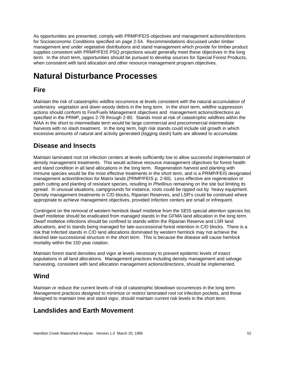As opportunities are presented, comply with PRMP/FEIS objectives and management actions/directions for Socioeconomic Conditions specified on page 2-54. Recommendations discussed under timber management and under vegetative distributions and stand management which provide for timber product supplies consistent with PRMP/FEIS PSQ projections would generally meet these objectives in the long term. In the short term, opportunities should be pursued to develop sources for Special Forest Products, when consistent with land allocation and other resource management program objectives.

# **Natural Disturbance Processes**

### **Fire**

Maintain the risk of catastrophic wildfire occurrence at levels consistent with the natural accumulation of understory vegetation and down woody debris in the long term. In the short term, wildfire suppression actions should conform to Fire/Fuels Management objectives and management actions/directions as specified in the PRMP, pages 2-78 through 2-80. Stands most at risk of catastrophic wildfires within the WAA in the short to intermediate term would be large commercial and precommercial intermediate harvests with no slash treatment. In the long term, high risk stands could include old growth in which excessive amounts of natural and activity generated (logging slash) fuels are allowed to accumulate.

### **Disease and Insects**

Maintain laminated root rot infection centers at levels sufficiently low to allow successful implementation of density management treatments. This would achieve resource management objectives for forest health and stand condition in all land allocations in the long term. Regeneration harvest and planting with immune species would be the most effective treatments in the short term, and is a PRMP/FEIS designated management action/direction for Matrix lands (PRMP/FEIS p. 2-60). Less effective are regeneration or patch cutting and planting of resistant species, resulting in *Phellinus* remaining on the site but limiting its spread. In unusual situations, campgrounds for instance, roots could be ripped out by heavy equipment. Density management treatments in C/D blocks, Riparian Reserves, and LSR's could be continued where appropriate to achieve management objectives, provided infection centers are small or infrequent.

Contingent on the removal of western hemlock dwarf mistletoe from the SEIS special attention species list, dwarf mistletoe should be eradicated from managed stands in the GFMA land allocation in the long term. Dwarf mistletoe infections should be confined to stands within the Riparian Reserve and LSR land allocations, and to stands being managed for late-successional forest retention in C/D blocks. There is a risk that Infected stands in C/D land allocations dominated by western hemlock may not achieve the desired late-successional structure in the short term. This is because the disease will cause hemlock mortality within the 150 year rotation.

Maintain forest stand densities and vigor at levels necessary to prevent epidemic levels of insect populations in all land allocations. Management practices including density management and salvage harvesting, consistent with land allocation management actions/directions, should be implemented.

#### **Wind**

Maintain or reduce the current levels of risk of catastrophic blowdown occurrences in the long term. Management practices designed to minimize or restrict laminated root rot infection pockets, and those designed to maintain tree and stand vigor, should maintain current risk levels in the short term.

### **Landslides and Earth Movement**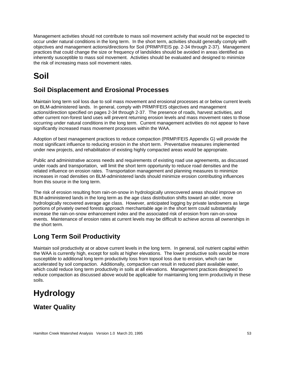Management activities should not contribute to mass soil movement activity that would not be expected to occur under natural conditions in the long term. In the short term, activities should generally comply with objectives and management actions/directions for Soil (PRMP/FEIS pp. 2-34 through 2-37). Management practices that could change the size or frequency of landslides should be avoided in areas identified as inherently susceptible to mass soil movement. Activities should be evaluated and designed to minimize the risk of increasing mass soil movement rates.

# **Soil**

## **Soil Displacement and Erosional Processes**

Maintain long term soil loss due to soil mass movement and erosional processes at or below current levels on BLM-administered lands. In general, comply with PRMP/FEIS objectives and management actions/direction specified on pages 2-34 through 2-37. The presence of roads, harvest activities, and other current non-forest land uses will prevent returning erosion levels and mass movement rates to those occurring under natural conditions in the long term. Current management activities do not appear to have significantly increased mass movement processes within the WAA.

Adoption of best management practices to reduce compaction (PRMP/FEIS Appendix G) will provide the most significant influence to reducing erosion in the short term. Preventative measures implemented under new projects, and rehabilitation of existing highly compacted areas would be appropriate.

Public and administrative access needs and requirements of existing road use agreements, as discussed under roads and transportation, will limit the short term opportunity to reduce road densities and the related influence on erosion rates. Transportation management and planning measures to minimize increases in road densities on BLM-administered lands should minimize erosion contributing influences from this source in the long term.

The risk of erosion resulting from rain-on-snow in hydrologically unrecovered areas should improve on BLM-administered lands in the long term as the age class distribution shifts toward an older, more hydrologically recovered average age class. However, anticipated logging by private landowners as large portions of privately owned forests approach merchantable age in the short term could substantially increase the rain-on-snow enhancement index and the associated risk of erosion from rain-on-snow events. Maintenance of erosion rates at current levels may be difficult to achieve across all ownerships in the short term.

## **Long Term Soil Productivity**

Maintain soil productivity at or above current levels in the long term. In general, soil nutrient capital within the WAA is currently high, except for soils at higher elevations. The lower productive soils would be more susceptible to additional long term productivity loss from topsoil loss due to erosion, which can be accelerated by soil compaction. Additionally, compaction can result in reduced plant available water, which could reduce long term productivity in soils at all elevations. Management practices designed to reduce compaction as discussed above would be applicable for maintaining long term productivity in these soils.

## **Hydrology**

**Water Quality**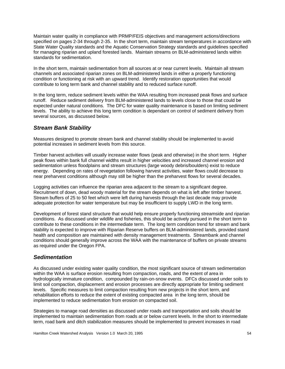Maintain water quality in compliance with PRMP/FEIS objectives and management actions/directions specified on pages 2-34 through 2-35. In the short term, maintain stream temperatures in accordance with State Water Quality standards and the Aquatic Conservation Strategy standards and guidelines specified for managing riparian and upland forested lands. Maintain streams on BLM-administered lands within standards for sedimentation.

In the short term, maintain sedimentation from all sources at or near current levels. Maintain all stream channels and associated riparian zones on BLM-administered lands in either a properly functioning condition or functioning at risk with an upward trend. Identify restoration opportunities that would contribute to long term bank and channel stability and to reduced surface runoff.

In the long term, reduce sediment levels within the WAA resulting from increased peak flows and surface runoff. Reduce sediment delivery from BLM-administered lands to levels close to those that could be expected under natural conditions. The DFC for water quality maintenance is based on limiting sediment levels. The ability to achieve this long term condition is dependant on control of sediment delivery from several sources, as discussed below.

#### *Stream Bank Stability*

Measures designed to promote stream bank and channel stability should be implemented to avoid potential increases in sediment levels from this source.

Timber harvest activities will usually increase water flows (peak and otherwise) in the short term. Higher peak flows within bank full channel widths result in higher velocities and increased channel erosion and sedimentation unless floodplains and stream structures (large woody debris/boulders) exist to reduce energy. Depending on rates of revegetation following harvest activities, water flows could decrease to near preharvest conditions although may still be higher than the preharvest flows for several decades.

Logging activities can influence the riparian area adjacent to the stream to a significant degree. Recruitment of down, dead woody material for the stream depends on what is left after timber harvest. Stream buffers of 25 to 50 feet which were left during harvests through the last decade may provide adequate protection for water temperature but may be insufficient to supply LWD in the long term.

Development of forest stand structure that would help ensure properly functioning streamside and riparian conditions. As discussed under wildlife and fisheries, this should be actively pursued in the short term to contribute to these conditions in the intermediate term. The long term condition trend for stream and bank stability is expected to improve with Riparian Reserve buffers on BLM-administered lands, provided stand health and composition are maintained with density management treatments. Streambank and channel conditions should generally improve across the WAA with the maintenance of buffers on private streams as required under the Oregon FPA.

#### *Sedimentation*

As discussed under existing water quality condition, the most significant source of stream sedimentation within the WAA is surface erosion resulting from compaction, roads, and the extent of area in hydrologically immature condition, compounded by rain-on-snow events. DFCs discussed under soils to limit soil compaction, displacement and erosion processes are directly appropriate for limiting sediment levels. Specific measures to limit compaction resulting from new projects in the short term, and rehabilitation efforts to reduce the extent of existing compacted area in the long term, should be implemented to reduce sedimentation from erosion on compacted soil.

Strategies to manage road densities as discussed under roads and transportation and soils should be implemented to maintain sedimentation from roads at or below current levels. In the short to intermediate term, road bank and ditch stabilization measures should be implemented to prevent increases in road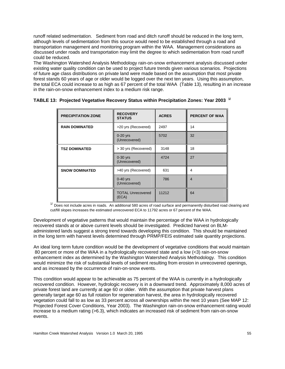runoff related sedimentation. Sediment from road and ditch runoff should be reduced in the long term, although levels of sedimentation from this source would need to be established through a road and transportation management and monitoring program within the WAA. Management considerations as discussed under roads and transportation may limit the degree to which sedimentation from road runoff could be reduced.

The Washington Watershed Analysis Methodology rain-on-snow enhancement analysis discussed under existing water quality condition can be used to project future trends given various scenarios. Projections of future age class distributions on private land were made based on the assumption that most private forest stands 60 years of age or older would be logged over the next ten years. Using this assumption, the total ECA could increase to as high as 67 percent of the total WAA (Table 13), resulting in an increase in the rain-on-snow enhancement index to a medium risk range.

| <b>PRECIPITATION ZONE</b> | <b>RECOVERY</b><br><b>STATUS</b>  | <b>ACRES</b> | <b>PERCENT OF WAA</b> |
|---------------------------|-----------------------------------|--------------|-----------------------|
| <b>RAIN DOMINATED</b>     | >20 yrs (Recovered)               | 2497         | 14                    |
|                           | $0-20$ yrs<br>(Unrecovered)       | 5702         | 32                    |
| <b>TSZ DOMINATED</b>      | > 30 yrs (Recovered)              | 3148         | 18                    |
|                           | $0-30$ yrs<br>(Unrecovered)       | 4724         | 27                    |
| <b>SNOW DOMINATED</b>     | >40 yrs (Recovered)               | 631          | 4                     |
|                           | $0-40$ yrs<br>(Unrecovered)       | 786          | $\overline{4}$        |
|                           | <b>TOTAL Unrecovered</b><br>(ECA) | 11212        | 64                    |

|  | TABLE 13: Projected Vegetative Recovery Status within Precipitation Zones: Year 2003 <sup>1/</sup> |  |
|--|----------------------------------------------------------------------------------------------------|--|
|  |                                                                                                    |  |

<sup>1/</sup> Does not include acres in roads. An additional 580 acres of road surface and permanently disturbed road clearing and cut/fill slopes increases the estimated unrecovered ECA to 11792 acres or 67 percent of the WAA.

Development of vegetative patterns that would maintain the percentage of the WAA in hydrologically recovered stands at or above current levels should be investigated. Predicted harvest on BLMadministered lands suggest a strong trend towards developing this condition. This should be maintained in the long term with harvest levels determined through PRMP/FEIS estimated sale quantity projections.

An ideal long term future condition would be the development of vegetative conditions that would maintain 80 percent or more of the WAA in a hydrologically recovered state and a low (<3) rain-on-snow enhancement index as determined by the Washington Watershed Analysis Methodology. This condition would minimize the risk of substantial levels of sediment resulting from erosion in unrecovered openings, and as increased by the occurrence of rain-on-snow events.

This condition would appear to be achievable as 75 percent of the WAA is currently in a hydrologically recovered condition. However, hydrologic recovery is in a downward trend. Approximately 8,000 acres of private forest land are currently at age 60 or older. With the assumption that private harvest plans generally target age 60 as full rotation for regeneration harvest, the area in hydrologically recovered vegetation could fall to as low as 33 percent across all ownerships within the next 10 years (See MAP 12: Projected Forest Cover Conditions, Year 2003). The Washington rain-on-snow enhancement rating would increase to a medium rating (>6.3), which indicates an increased risk of sediment from rain-on-snow events.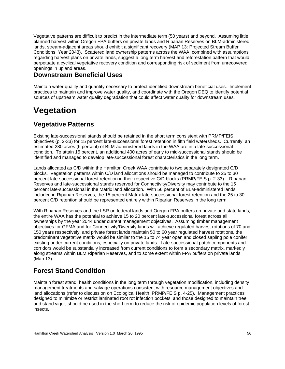Vegetative patterns are difficult to predict in the intermediate term (50 years) and beyond. Assuming little planned harvest within Oregon FPA buffers on private lands and Riparian Reserves on BLM-administered lands, stream-adjacent areas should exhibit a significant recovery (MAP 13: Projected Stream Buffer Conditions, Year 2043). Scattered land ownership patterns across the WAA, combined with assumptions regarding harvest plans on private lands, suggest a long term harvest and reforestation pattern that would perpetuate a cyclical vegetative recovery condition and corresponding risk of sediment from unrecovered openings in upland areas.

#### **Downstream Beneficial Uses**

Maintain water quality and quantity necessary to protect identified downstream beneficial uses. Implement practices to maintain and improve water quality, and coordinate with the Oregon DEQ to identify potential sources of upstream water quality degradation that could affect water quality for downstream uses.

## **Vegetation**

### **Vegetative Patterns**

Existing late-successional stands should be retained in the short term consistent with PRMP/FEIS objectives (p. 2-33) for 15 percent late-successional forest retention in fifth field watersheds. Currently, an estimated 280 acres (6 percent) of BLM-administered lands in the WAA are in a late-successional condition. To attain 15 percent, an additional 400 acres of early to mid-successional stands should be identified and managed to develop late-successional forest characteristics in the long term.

Lands allocated as C/D within the Hamilton Creek WAA contribute to two separately designated C/D blocks. Vegetation patterns within C/D land allocations should be managed to contribute to 25 to 30 percent late-successional forest retention in their respective C/D blocks (PRMP/FEIS p. 2-33). Riparian Reserves and late-successional stands reserved for Connectivity/Diversity may contribute to the 15 percent late-successional in the Matrix land allocation. With 56 percent of BLM-administered lands included in Riparian Reserves, the 15 percent Matrix late-successional forest retention and the 25 to 30 percent C/D retention should be represented entirely within Riparian Reserves in the long term.

With Riparian Reserves and the LSR on federal lands and Oregon FPA buffers on private and state lands, the entire WAA has the potential to achieve 15 to 20 percent late-successional forest across all ownerships by the year 2044 under current management objectives. Assuming timber management objectives for GFMA and for Connectivity/Diversity lands will achieve regulated harvest rotations of 70 and 150 years respectively, and private forest lands maintain 50 to 60 year regulated harvest rotations, the predominant vegetative matrix would be similar to the 15 to 74 year open and closed sapling pole conifer existing under current conditions, especially on private lands. Late-successional patch components and corridors would be substantially increased from current conditions to form a secondary matrix, markedly along streams within BLM Riparian Reserves, and to some extent within FPA buffers on private lands. (Map 13).

### **Forest Stand Condition**

Maintain forest stand health conditions in the long term through vegetation modification, including density management treatments and salvage operations consistent with resource management objectives and land allocations (refer to discussion on Ecological Health, PRMP/FEIS p. 4-25). Management practices designed to minimize or restrict laminated root rot infection pockets, and those designed to maintain tree and stand vigor, should be used in the short term to reduce the risk of epidemic population levels of forest insects.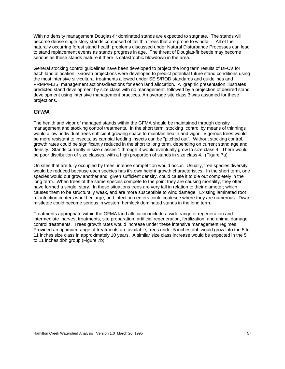With no density management Douglas-fir dominated stands are expected to stagnate. The stands will become dense single story stands composed of tall thin trees that are prone to windfall. All of the naturally occurring forest stand health problems discussed under Natural Disturbance Processes can lead to stand replacement events as stands progress in age. The threat of Douglas-fir beetle may become serious as these stands mature if there is catastrophic blowdown in the area.

General stocking control guidelines have been developed to project the long term results of DFC's for each land allocation. Growth projections were developed to predict potential future stand conditions using the most intensive silvicultural treatments allowed under SEIS/ROD standards and guidelines and PRMP/FEIS management actions/directions for each land allocation. A graphic presentation illustrates predicted stand development by size class with no management, followed by a projection of desired stand development using intensive management practices. An average site class 3 was assumed for these projections.

#### *GFMA*

The health and vigor of managed stands within the GFMA should be maintained through density management and stocking control treatments. In the short term, stocking control by means of thinnings would allow individual trees sufficient growing space to maintain health and vigor. Vigorous trees would be more resistant to insects, as cambial feeding insects can be "pitched out". Without stocking control, growth rates could be significantly reduced in the short to long term, depending on current stand age and density. Stands currently in size classes 1 through 3 would eventually grow to size class 4. There would be poor distribution of size classes, with a high proportion of stands in size class 4. (Figure 7a).

On sites that are fully occupied by trees, intense competition would occur. Usually, tree species diversity would be reduced because each species has it's own height growth characteristics. In the short term, one species would out grow another and, given sufficient density, could cause it to die out completely in the long term. When trees of the same species compete to the point they are causing mortality, they often have formed a single story. In these situations trees are very tall in relation to their diameter; which causes them to be structurally weak, and are more susceptible to wind damage. Existing laminated root rot infection centers would enlarge, and infection centers could coalesce where they are numerous. Dwarf mistletoe could become serious in western hemlock dominated stands in the long term.

Treatments appropriate within the GFMA land allocation include a wide range of regeneration and intermediate harvest treatments, site preparation, artificial regeneration, fertilization, and animal damage control treatments. Trees growth rates would increase under these intensive management regimes. Provided an optimum range of treatments are available, trees under 5 inches dbh would grow into the 5 to 11 inches size class in approximately 10 years. A similar size class increase would be expected in the 5 to 11 inches dbh group (Figure 7b).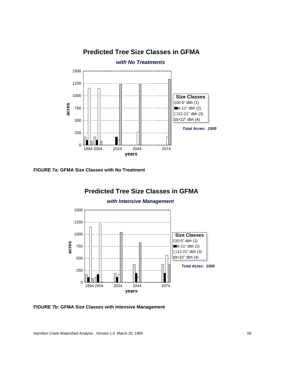## **Predicted Tree Size Classes in GFMA**



**FIGURE 7a: GFMA Size Classes with No Treatment**



**FIGURE 7b: GFMA Size Classes with Intensive Management**

Hamilton Creek Watershed Analysis Version 1.0 March 20, 1995 **58** S8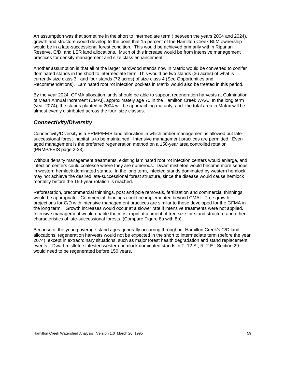An assumption was that sometime in the short to intermediate term ( between the years 2004 and 2024), growth and structure would develop to the point that 15 percent of the Hamilton Creek BLM ownership would be in a late-successional forest condition. This would be achieved primarily within Riparian Reserve, C/D, and LSR land allocations. Much of this increase would be from intensive management practices for density management and size class enhancement.

Another assumption is that all of the larger hardwood stands now in Matrix would be converted to conifer dominated stands in the short to intermediate term. This would be two stands (36 acres) of what is currently size class 3, and four stands (72 acres) of size class 4 (See Opportunities and Recommendations). Laminated root rot infection pockets in Matrix would also be treated in this period.

By the year 2024, GFMA allocation lands should be able to support regeneration harvests at Culmination of Mean Annual Increment (CMAI), approximately age 70 in the Hamilton Creek WAA. In the long term (year 2074), the stands planted in 2004 will be approaching maturity, and the total area in Matrix will be almost evenly distributed across the four size classes.

#### *Connectivity/Diversity*

Connectivity/Diversity is a PRMP/FEIS land allocation in which timber management is allowed but latesuccessional forest habitat is to be maintained. Intensive management practices are permitted. Even aged management is the preferred regeneration method on a 150-year area controlled rotation (PRMP/FEIS page 2-33).

Without density management treatments, existing laminated root rot infection centers would enlarge, and infection centers could coalesce where they are numerous. Dwarf mistletoe would become more serious in western hemlock dominated stands. In the long term, infected stands dominated by western hemlock may not achieve the desired late-successional forest structure, since the disease would cause hemlock mortality before the 150-year rotation is reached.

Reforestation, precommercial thinnings, post and pole removals, fertilization and commercial thinnings would be appropriate. Commercial thinnings could be implemented beyond CMAI. Tree growth projections for C/D with intensive management practices are similar to those developed for the GFMA in the long term. Growth increases would occur at a slower rate if intensive treatments were not applied. Intensive management would enable the most rapid attainment of tree size for stand structure and other characteristics of late-successional forests. (Compare Figure 8a with 8b)

Because of the young average stand ages generally occurring throughout Hamilton Creek's C/D land allocations, regeneration harvests would not be expected in the short to intermediate term (before the year 2074), except in extraordinary situations, such as major forest health degradation and stand replacement events. Dwarf mistletoe infested western hemlock dominated stands in T. 12 S., R. 2 E., Section 29 would need to be regenerated before 150 years.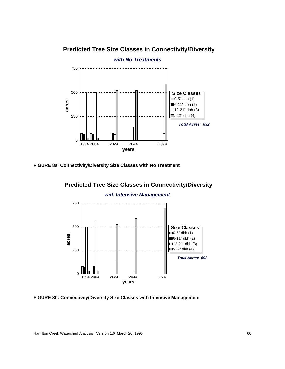#### **Predicted Tree Size Classes in Connectivity/Diversity**



**FIGURE 8a: Connectivity/Diversity Size Classes with No Treatment**



#### *with Intensive Management*



**FIGURE 8b: Connectivity/Diversity Size Classes with Intensive Management**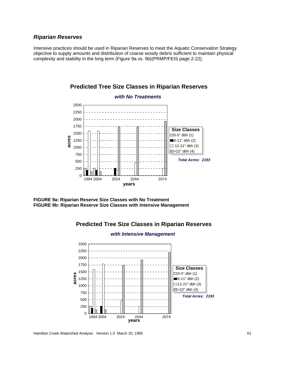#### *Riparian Reserves*

Intensive practices should be used in Riparian Reserves to meet the Aquatic Conservation Strategy objective to supply amounts and distribution of coarse woody debris sufficient to maintain physical complexity and stability in the long term (Figure 9a vs. 9b)(PRMP/FEIS page 2-22).



**Predicted Tree Size Classes in Riparian Reserves**

**FIGURE 9a: Riparian Reserve Size Classes with No Treatment FIGURE 9b: Riparian Reserve Size Classes with Intensive Management**



## **Predicted Tree Size Classes in Riparian Reserves**

Hamilton Creek Watershed Analysis Version 1.0 March 20, 1995 61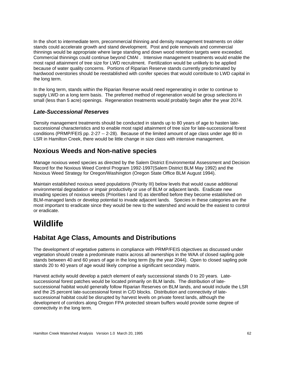In the short to intermediate term, precommercial thinning and density management treatments on older stands could accelerate growth and stand development. Post and pole removals and commercial thinnings would be appropriate where large standing and down wood retention targets were exceeded. Commercial thinnings could continue beyond CMAI . Intensive management treatments would enable the most rapid attainment of tree size for LWD recruitment. Fertilization would be unlikely to be applied because of water quality concerns. Portions of Riparian Reserve stands currently predominated by hardwood overstories should be reestablished with conifer species that would contribute to LWD capital in the long term.

In the long term, stands within the Riparian Reserve would need regenerating in order to continue to supply LWD on a long term basis. The preferred method of regeneration would be group selections in small (less than 5 acre) openings. Regeneration treatments would probably begin after the year 2074.

#### *Late-Successional Reserves*

Density management treatments should be conducted in stands up to 80 years of age to hasten latesuccessional characteristics and to enable most rapid attainment of tree size for late-successional forest conditions (PRMP/FEIS pp. 2-27 -- 2-28). Because of the limited amount of age class under age 80 in LSR in Hamilton Creek, there would be little change in size class with intensive management.

#### **Noxious Weeds and Non-native species**

Manage noxious weed species as directed by the Salem District Environmental Assessment and Decision Record for the Noxious Weed Control Program 1992-1997(Salem District BLM May 1992) and the Noxious Weed Strategy for Oregon/Washington (Oregon State Office BLM August 1994).

Maintain established noxious weed populations (Priority III) below levels that would cause additional environmental degradation or impair productivity or use of BLM or adjacent lands. Eradicate new invading species of noxious weeds (Priorities I and II) as identified before they become established on BLM-managed lands or develop potential to invade adjacent lands. Species in these categories are the most important to eradicate since they would be new to the watershed and would be the easiest to control or eradicate.

## **Wildlife**

#### **Habitat Age Class, Amounts and Distributions**

The development of vegetative patterns in compliance with PRMP/FEIS objectives as discussed under vegetation should create a predominate matrix across all ownerships in the WAA of closed sapling pole stands between 40 and 60 years of age in the long term (by the year 2044). Open to closed sapling pole stands 20 to 40 years of age would likely comprise a significant secondary matrix.

Harvest activity would develop a patch element of early successional stands 0 to 20 years. Latesuccessional forest patches would be located primarily on BLM lands. The distribution of latesuccessional habitat would generally follow Riparian Reserves on BLM lands, and would include the LSR and the 25 percent late-successional forest in C/D blocks. Distribution and connectivity of latesuccessional habitat could be disrupted by harvest levels on private forest lands, although the development of corridors along Oregon FPA protected stream buffers would provide some degree of connectivity in the long term.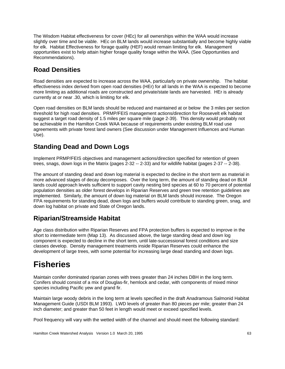The Wisdom Habitat effectiveness for cover (HEc) for all ownerships within the WAA would increase slightly over time and be viable. HEc on BLM lands would increase substantially and become highly viable for elk. Habitat Effectiveness for forage quality (HEF) would remain limiting for elk. Management opportunities exist to help attain higher forage quality forage within the WAA. (See Opportunities and Recommendations).

## **Road Densities**

Road densities are expected to increase across the WAA, particularly on private ownership. The habitat effectiveness index derived from open road densities (HEr) for all lands in the WAA is expected to become more limiting as additional roads are constructed and private/state lands are harvested. HEr is already currently at or near .30, which is limiting for elk.

Open road densities on BLM lands should be reduced and maintained at or below the 3 miles per section threshold for high road densities. PRMP/FEIS management actions/direction for Roosevelt elk habitat suggest a target road density of 1.5 miles per square mile (page 2-39). This density would probably not be achievable in the Hamilton Creek WAA because of requirements under existing BLM road use agreements with private forest land owners (See discussion under Management Influences and Human Use).

## **Standing Dead and Down Logs**

Implement PRMP/FEIS objectives and management actions/direction specified for retention of green trees, snags, down logs in the Matrix (pages 2-32 -- 2-33) and for wildlife habitat (pages 2-37 -- 2-38).

The amount of standing dead and down log material is expected to decline in the short term as material in more advanced stages of decay decomposes. Over the long term, the amount of standing dead on BLM lands could approach levels sufficient to support cavity nesting bird species at 60 to 70 percent of potential population densities as older forest develops in Riparian Reserves and green tree retention guidelines are implemented. Similarly, the amount of down log material on BLM lands should increase. The Oregon FPA requirements for standing dead, down logs and buffers would contribute to standing green, snag, and down log habitat on private and State of Oregon lands.

### **Riparian/Streamside Habitat**

Age class distribution withn Riparian Reserves and FPA protection buffers is expected to improve in the short to intermediate term (Map 13). As discussed above, the large standing dead and down log component is expected to decline in the short term, until late-successional forest conditions and size classes develop. Density management treatments inside Riparian Reserves could enhance the development of large trees, with some potential for increasing large dead standing and down logs.

## **Fisheries**

Maintain conifer dominated riparian zones with trees greater than 24 inches DBH in the long term. Conifers should consist of a mix of Douglas-fir, hemlock and cedar, with components of mixed minor species including Pacific yew and grand fir.

Maintain large woody debris in the long term at levels specified in the draft Anadramous Salmonid Habitat Management Guide (USDI BLM 1993). LWD levels of greater than 80 pieces per mile; greater than 24 inch diameter; and greater than 50 feet in length would meet or exceed specified levels.

Pool frequency will vary with the wetted width of the channel and should meet the following standard: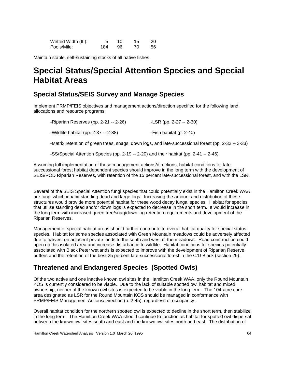| Wetted Width (ft.): |     | 10 | 15 | 20  |
|---------------------|-----|----|----|-----|
| Pools/Mile:         | 184 | 96 |    | 56. |

Maintain stable, self-sustaining stocks of all native fishes.

## **Special Status/Special Attention Species and Special Habitat Areas**

#### **Special Status/SEIS Survey and Manage Species**

Implement PRMP/FEIS objectives and management actions/direction specified for the following land allocations and resource programs:

| -Riparian Reserves (pp. 2-21 -- 2-26) | $-LSR$ (pp. 2-27 -- 2-30) |
|---------------------------------------|---------------------------|
| -Wildlife habitat (pp. 2-37 -- 2-38)  | -Fish habitat (p. 2-40)   |

-Matrix retention of green trees, snags, down logs, and late-successional forest (pp. 2-32 -- 3-33)

-SS/Special Attention Species (pp. 2-19 -- 2-20) and their habitat (pp. 2-41 -- 2-46).

Assuming full implementation of these management actions/directions, habitat conditions for latesuccessional forest habitat dependent species should improve in the long term with the development of SEIS/ROD Riparian Reserves, with retention of the 15 percent late-successional forest, and with the LSR.

Several of the SEIS Special Attention fungi species that could potentially exist in the Hamilton Creek WAA are fungi which inhabit standing dead and large logs. Increasing the amount and distribution of these structures would provide more potential habitat for these wood decay fungal species. Habitat for species that utilize standing dead and/or down logs is expected to decrease in the short term. It would increase in the long term with increased green tree/snag/down log retention requirements and development of the Riparian Reserves.

Management of special habitat areas should further contribute to overall habitat quality for special status species. Habitat for some species associated with Green Mountain meadows could be adversely affected due to harvest on adjacent private lands to the south and west of the meadows. Road construction could open up this isolated area and increase disturbance to wildlife. Habitat conditions for species potentially associated with Black Peter wetlands is expected to improve with the development of Riparian Reserve buffers and the retention of the best 25 percent late-successional forest in the C/D Block (section 29).

### **Threatened and Endangered Species (Spotted Owls)**

Of the two active and one inactive known owl sites in the Hamilton Creek WAA, only the Round Mountain KOS is currently considered to be viable. Due to the lack of suitable spotted owl habitat and mixed ownership, neither of the known owl sites is expected to be viable in the long term. The 104-acre core area designated as LSR for the Round Mountain KOS should be managed in conformance with PRMP/FEIS Management Actions/Direction (p. 2-45), regardless of occupancy.

Overall habitat condition for the northern spotted owl is expected to decline in the short term, then stabilize in the long term. The Hamilton Creek WAA should continue to function as habitat for spotted owl dispersal between the known owl sites south and east and the known owl sites north and east. The distribution of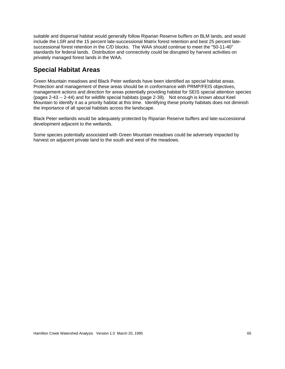suitable and dispersal habitat would generally follow Riparian Reserve buffers on BLM lands, and would include the LSR and the 15 percent late-successional Matrix forest retention and best 25 percent latesuccessional forest retention in the C/D blocks. The WAA should continue to meet the "50-11-40" standards for federal lands. Distribution and connectivity could be disrupted by harvest activities on privately managed forest lands in the WAA.

## **Special Habitat Areas**

Green Mountain meadows and Black Peter wetlands have been identified as special habitat areas. Protection and management of these areas should be in conformance with PRMP/FEIS objectives, management actions and direction for areas potentially providing habitat for SEIS special attention species (pages 2-43 -- 2-44) and for wildlife special habitats (page 2-39). Not enough is known about Keel Mountain to identify it as a priority habitat at this time. Identifying these priority habitats does not diminish the importance of all special habitats across the landscape.

Black Peter wetlands would be adequately protected by Riparian Reserve buffers and late-successional development adjacent to the wetlands.

Some species potentially associated with Green Mountain meadows could be adversely impacted by harvest on adjacent private land to the south and west of the meadows.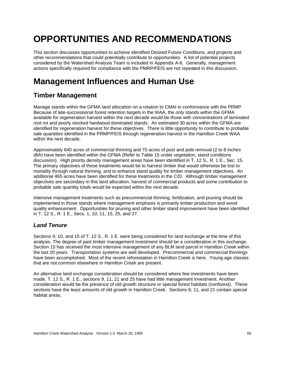# **OPPORTUNITIES AND RECOMMENDATIONS**

This section discusses opportunities to achieve identified Desired Future Conditions, and projects and other recommendations that could potentially contribute to opportunities. A list of potential projects considered by the Watershed Analysis Team is included in Appendix A-6. Generally, management actions specifically required for compliance with the PMRP/FEIS are not repeated in this discussion.

## **Management Influences and Human Use**

## **Timber Management**

Manage stands within the GFMA land allocation on a rotation to CMAI in conformance with the PRMP. Because of late-successional forest retention targets in the WAA, the only stands within the GFMA available for regeneration harvest within the next decade would be those with concentrations of laminated root rot and poorly stocked hardwood dominated stands. An estimated 30 acres within the GFMA are identified for regeneration harvest for these objectives. There is little opportunity to contribute to probable sale quantities identified in the PRMP/FEIS through regeneration harvest in the Hamilton Creek WAA within the next decade.

Approximately 640 acres of commercial thinning and 70 acres of post and pole removal (2 to 8 inches dbh) have been identified within the GFMA (Refer to Table 15 under vegetation, stand conditions discussion). High priority density management areas have been identified in T. 12 S., R. 1 E., Sec. 15. The primary objectives of these treatments would be to harvest timber that would otherwise be lost to mortality through natural thinning, and to enhance stand quality for timber management objectives. An additional 465 acres have been identified for these treatments in the C/D. Although timber management objectives are secondary in this land allocation, harvest of commercial products and some contribution to probable sale quantity totals would be expected within the next decade.

Intensive management treatments such as precommercial thinning, fertilization, and pruning should be implemented in those stands where management emphasis is primarily timber production and wood quality enhancement. Opportunities for pruning and other timber stand improvement have been identified in T. 12 S., R. 1 E., Secs. 1, 10, 11, 15, 25, and 27.

#### *Land Tenure*

Sections 9, 10, and 15 of T. 12 S., R. 1 E. were being considered for land exchange at the time of this analysis. The degree of past timber management investment should be a consideration in this exchange. Section 15 has received the most intensive management of any BLM land parcel in Hamilton Creek within the last 20 years. Transportation systems are well developed. Precommercial and commercial thinnings have been accomplished. Most of the recent reforestation in Hamilton Creek is here. Young age classes that are not common elsewhere in Hamilton Creek are present.

An alternative land exchange consideration should be considered where few investments have been made. T. 12 S., R. 1 E., sections 9, 11, 21 and 25 have had little management investment. Another consideration would be the presence of old growth structure or special forest habitats (nonforest). These sections have the least amounts of old growth in Hamilton Creek. Sections 9, 11, and 21 contain special habitat areas.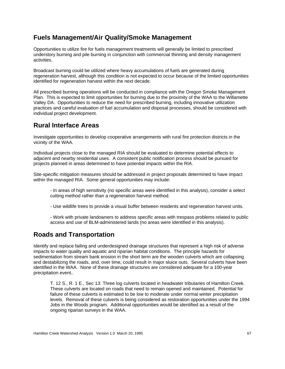### **Fuels Management/Air Quality/Smoke Management**

Opportunities to utilize fire for fuels management treatments will generally be limited to prescribed understory burning and pile burning in conjunction with commercial thinning and density management activities.

Broadcast burning could be utilized where heavy accumulations of fuels are generated during regeneration harvest, although this condition is not expected to occur because of the limited opportunities identified for regeneration harvest within the next decade.

All prescribed burning operations will be conducted in compliance with the Oregon Smoke Management Plan. This is expected to limit opportunities for burning due to the proximity of the WAA to the Willamette Valley DA. Opportunities to reduce the need for prescribed burning, including innovative utilization practices and careful evaluation of fuel accumulation and disposal processes, should be considered with individual project development.

### **Rural Interface Areas**

Investigate opportunities to develop cooperative arrangements with rural fire protection districts in the vicinity of the WAA.

Individual projects close to the managed RIA should be evaluated to determine potential effects to adjacent and nearby residential uses. A consistent public notification process should be pursued for projects planned in areas determined to have potential impacts within the RIA.

Site-specific mitigation measures should be addressed in project proposals determined to have impact within the managed RIA. Some general opportunities may include:

- In areas of high sensitivity (no specific areas were identified in this analysis), consider a select cutting method rather than a regeneration harvest method.

- Use wildlife trees to provide a visual buffer between residents and regeneration harvest units.

- Work with private landowners to address specific areas with trespass problems related to public access and use of BLM-administered lands (no areas were identified in this analysis).

### **Roads and Transportation**

Identify and replace failing and underdesigned drainage structures that represent a high risk of adverse impacts to water quality and aquatic and riparian habitat conditions. The principle hazards for sedimentation from stream bank erosion in the short term are the wooden culverts which are collapsing and destabilizing the roads, and, over time, could result in major sluice outs. Several culverts have been identified in the WAA. None of these drainage structures are considered adequate for a 100-year precipitation event..

T. 12 S., R. 1 E., Sec 13: Three log culverts located in headwater tributaries of Hamilton Creek. These culverts are located on roads that need to remain opened and maintained. Potential for failure of these culverts is estimated to be low to moderate under normal winter precipitation levels. Removal of these culverts is being considered as restoration opportunities under the 1994 Jobs in the Woods program. Additional opportunities would be identified as a result of the ongoing riparian surveys in the WAA.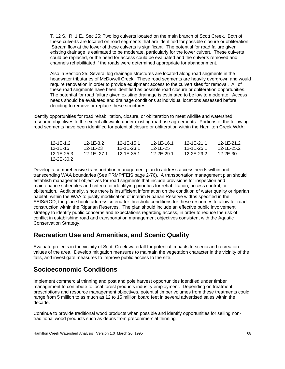T. 12 S., R. 1 E., Sec 25: Two log culverts located on the main branch of Scott Creek. Both of these culverts are located on road segments that are identified for possible closure or obliteration. Stream flow at the lower of these culverts is significant. The potential for road failure given existing drainage is estimated to be moderate, particularly for the lower culvert. These culverts could be replaced, or the need for access could be evaluated and the culverts removed and channels rehabilitated if the roads were determined appropriate for abandonment.

Also in Section 25: Several log drainage structures are located along road segments in the headwater tributaries of McDowell Creek. These road segments are heavily overgrown and would require renovation in order to provide equipment access to the culvert sites for removal. All of these road segments have been identified as possible road closure or obliteration opportunities. The potential for road failure given existing drainage is estimated to be low to moderate. Access needs should be evaluated and drainage conditions at individual locations assessed before deciding to remove or replace these structures.

Identify opportunities for road rehabilitation, closure, or obliteration to meet wildlife and watershed resource objectives to the extent allowable under existing road use agreements. Portions of the following road segments have been identified for potential closure or obliteration within the Hamilton Creek WAA:

| 12-1E-1.2  | 12-1E-3.2   | 12-1E-15.1 | 12-1E-16.1 | 12-1E-21.1 | 12-1E-21.2 |
|------------|-------------|------------|------------|------------|------------|
| 12-1E-15   | 12-1E-23    | 12-1E-23.1 | 12-1E-25   | 12-1E-25.1 | 12-1E-25.2 |
| 12-1E-25.3 | 12-1E -27.1 | 12-1E-35.1 | 12-2E-29.1 | 12-2E-29.2 | 12-2E-30   |
| 12-2E-30.2 |             |            |            |            |            |

Develop a comprehensive transportation management plan to address access needs within and transcending WAA boundaries (See PRMP/FEIS page 2-76). A transportation management plan should establish management objectives for road segments that include provisions for inspection and maintenance schedules and criteria for identifying priorities for rehabilitation, access control, or obliteration. Additionally, since there is insufficient information on the condition of water quality or riparian habitat within the WAA to justify modification of interim Riparian Reserve widths specified in the SEIS/ROD, the plan should address criteria for threshold conditions for these resources to allow for road construction within the Riparian Reserves. The plan should include an effective public involvement strategy to identify public concerns and expectations regarding access, in order to reduce the risk of conflict in establishing road and transportation management objectives consistent with the Aquatic Conservation Strategy.

#### **Recreation Use and Amenities, and Scenic Quality**

Evaluate projects in the vicinity of Scott Creek waterfall for potential impacts to scenic and recreation values of the area. Develop mitigation measures to maintain the vegetation character in the vicinity of the falls, and investigate measures to improve public access to the site.

### **Socioeconomic Conditions**

Implement commercial thinning and post and pole harvest opportunities identified under timber management to contribute to local forest products industry employment. Depending on treatment prescriptions and resource management objectives, potential timber volumes from these treatments could range from 5 million to as much as 12 to 15 million board feet in several advertised sales within the decade.

Continue to provide traditional wood products when possible and identify opportunities for selling nontraditional wood products such as debris from precommercial thinning.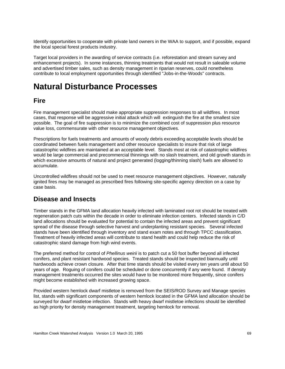Identify opportunities to cooperate with private land owners in the WAA to support, and if possible, expand the local special forest products industry.

Target local providers in the awarding of service contracts (i.e. reforestation and stream survey and enhancement projects). In some instances, thinning treatments that would not result in saleable volume and advertised timber sales, such as density management in riparian reserves, could nonetheless contribute to local employment opportunities through identified "Jobs-in-the-Woods" contracts.

## **Natural Disturbance Processes**

### **Fire**

Fire management specialist should make appropriate suppression responses to all wildfires. In most cases, that response will be aggressive initial attack which will extinguish the fire at the smallest size possible. The goal of fire suppression is to minimize the combined cost of suppression plus resource value loss, commensurate with other resource management objectives.

Prescriptions for fuels treatments and amounts of woody debris exceeding acceptable levels should be coordinated between fuels management and other resource specialists to insure that risk of large catastrophic wildfires are maintained at an acceptable level. Stands most at risk of catastrophic wildfires would be large commercial and precommercial thinnings with no slash treatment, and old growth stands in which excessive amounts of natural and project generated (logging/thinning slash) fuels are allowed to accumulate.

Uncontrolled wildfires should not be used to meet resource management objectives. However, naturally ignited fires may be managed as prescribed fires following site-specific agency direction on a case by case basis.

### **Disease and Insects**

Timber stands in the GFMA land allocation heavily infected with laminated root rot should be treated with regeneration patch cuts within the decade in order to eliminate infection centers. Infected stands in C/D land allocations should be evaluated for potential to contain the infected areas and prevent significant spread of the disease through selective harvest and underplanting resistant species. Several infected stands have been identified through inventory and stand exam notes and through TPCC classification. Treatment of heavily infected areas will contribute to stand health and could help reduce the risk of catastrophic stand damage from high wind events.

The preferred method for control of *Phellinus weirii* is to patch cut a 50 foot buffer beyond all infected conifers, and plant resistant hardwood species. Treated stands should be inspected biannually until hardwoods achieve crown closure. After that time stands should be visited every ten years until about 50 years of age. Roguing of conifers could be scheduled or done concurrently if any were found. If density management treatments occurred the sites would have to be monitored more frequently, since conifers might become established with increased growing space.

Provided western hemlock dwarf mistletoe is removed from the SEIS/ROD Survey and Manage species list, stands with significant components of western hemlock located in the GFMA land allocation should be surveyed for dwarf mistletoe infection. Stands with heavy dwarf mistletoe infections should be identified as high priority for density management treatment, targeting hemlock for removal.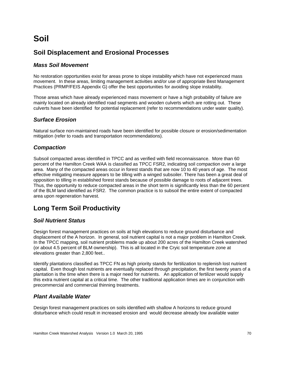## **Soil**

### **Soil Displacement and Erosional Processes**

#### *Mass Soil Movement*

No restoration opportunities exist for areas prone to slope instability which have not experienced mass movement. In these areas, limiting management activities and/or use of appropriate Best Management Practices (PRMP/FEIS Appendix G) offer the best opportunities for avoiding slope instability.

Those areas which have already experienced mass movement or have a high probability of failure are mainly located on already identified road segments and wooden culverts which are rotting out. These culverts have been identified for potential replacement (refer to recommendations under water quality).

### *Surface Erosion*

Natural surface non-maintained roads have been identified for possible closure or erosion/sedimentation mitigation (refer to roads and transportation recommendations).

#### *Compaction*

Subsoil compacted areas identified in TPCC and as verified with field reconnaissance. More than 60 percent of the Hamilton Creek WAA is classified as TPCC FSR2, indicating soil compaction over a large area. Many of the compacted areas occur in forest stands that are now 10 to 40 years of age. The most effective mitigating measure appears to be tilling with a winged subsoiler. There has been a great deal of opposition to tilling in established forest stands because of possible damage to roots of adjacent trees. Thus, the opportunity to reduce compacted areas in the short term is significantly less than the 60 percent of the BLM land identified as FSR2. The common practice is to subsoil the entire extent of compacted area upon regeneration harvest.

## **Long Term Soil Productivity**

#### *Soil Nutrient Status*

Design forest management practices on soils at high elevations to reduce ground disturbance and displacement of the A horizon. In general, soil nutrient capital is not a major problem in Hamilton Creek. In the TPCC mapping, soil nutrient problems made up about 200 acres of the Hamilton Creek watershed (or about 4.5 percent of BLM ownership). This is all located in the Cryic soil temperature zone at elevations greater than 2,800 feet..

Identify plantations classified as TPCC FN as high priority stands for fertilization to replenish lost nutrient capital. Even though lost nutrients are eventually replaced through precipitation, the first twenty years of a plantation is the time when there is a major need for nutrients. An application of fertilizer would supply this extra nutrient capital at a critical time. The other traditional application times are in conjunction with precommercial and commercial thinning treatments.

#### *Plant Available Water*

Design forest management practices on soils identified with shallow A horizons to reduce ground disturbance which could result in increased erosion and would decrease already low available water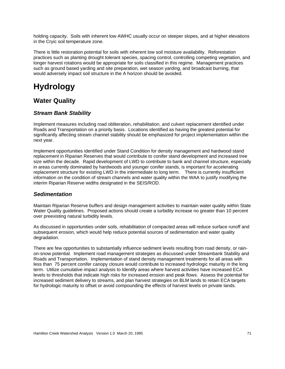holding capacity. Soils with inherent low AWHC usually occur on steeper slopes, and at higher elevations in the Cryic soil temperature zone.

There is little restoration potential for soils with inherent low soil moisture availability. Reforestation practices such as planting drought tolerant species, spacing control, controlling competing vegetation, and longer harvest rotations would be appropriate for soils classified in this regime. Management practices such as ground based yarding and site preparation, wet season yarding, and broadcast burning, that would adversely impact soil structure in the A horizon should be avoided.

# **Hydrology**

## **Water Quality**

### *Stream Bank Stability*

Implement measures including road obliteration, rehabilitation, and culvert replacement identified under Roads and Transportation on a priority basis. Locations identified as having the greatest potential for significantly affecting stream channel stability should be emphasized for project implementation within the next year.

Implement opportunities identified under Stand Condition for density management and hardwood stand replacement in Riparian Reserves that would contribute to conifer stand development and increased tree size within the decade. Rapid development of LWD to contribute to bank and channel structure, especially in areas currently dominated by hardwoods and younger conifer stands, is important for accelerating replacement structure for existing LWD in the intermediate to long term. There is currently insufficient information on the condition of stream channels and water quality within the WAA to justify modifying the interim Riparian Reserve widths designated in the SEIS/ROD.

### *Sedimentation*

Maintain Riparian Reserve buffers and design management activities to maintain water quality within State Water Quality guidelines. Proposed actions should create a turbidity increase no greater than 10 percent over preexisting natural turbidity levels.

As discussed in opportunities under soils, rehabilitation of compacted areas will reduce surface runoff and subsequent erosion, which would help reduce potential sources of sedimentation and water quality degradation.

There are few opportunities to substantially influence sediment levels resulting from road density, or rainon-snow potential. Implement road management strategies as discussed under Streambank Stability and Roads and Transportation. Implementation of stand density management treatments for all areas with less than 75 percent conifer canopy closure would contribute to increased hydrologic maturity in the long term. Utilize cumulative impact analysis to Identify areas where harvest activities have increased ECA levels to thresholds that indicate high risks for increased erosion and peak flows. Assess the potential for increased sediment delivery to streams, and plan harvest strategies on BLM lands to retain ECA targets for hydrologic maturity to offset or avoid compounding the effects of harvest levels on private lands.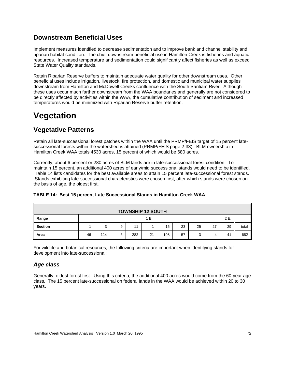## **Downstream Beneficial Uses**

Implement measures identified to decrease sedimentation and to improve bank and channel stability and riparian habitat condition. The chief downstream beneficial use in Hamilton Creek is fisheries and aquatic resources. Increased temperature and sedimentation could significantly affect fisheries as well as exceed State Water Quality standards.

Retain Riparian Reserve buffers to maintain adequate water quality for other downstream uses. Other beneficial uses include irrigation, livestock, fire protection, and domestic and municipal water supplies downstream from Hamilton and McDowell Creeks confluence with the South Santiam River. Although these uses occur much farther downstream from the WAA boundaries and generally are not considered to be directly affected by activities within the WAA, the cumulative contribution of sediment and increased temperatures would be minimized with Riparian Reserve buffer retention.

## **Vegetation**

## **Vegetative Patterns**

Retain all late-successional forest patches within the WAA until the PRMP/FEIS target of 15 percent latesuccessional forests within the watershed is attained (PRMP/FEIS page 2-33). BLM ownership in Hamilton Creek WAA totals 4530 acres, 15 percent of which would be 680 acres.

Currently, about 6 percent or 280 acres of BLM lands are in late-successional forest condition. To maintain 15 percent, an additional 400 acres of early/mid successional stands would need to be identified. Table 14 lists candidates for the best available areas to attain 15 percent late-successional forest stands. Stands exhibiting late-successional characteristics were chosen first, after which stands were chosen on the basis of age, the oldest first.

| <b>TOWNSHIP 12 SOUTH</b> |              |        |   |     |    |     |    |    |    |    |       |
|--------------------------|--------------|--------|---|-----|----|-----|----|----|----|----|-------|
| Range                    | 2 E.<br>1 E. |        |   |     |    |     |    |    |    |    |       |
| <b>Section</b>           |              | ີ<br>J | 9 | 11  |    | 15  | 23 | 25 | 27 | 29 | total |
| Area                     | 46           | 114    | 6 | 282 | 21 | 108 | 57 | پ  | 4  | 41 | 682   |

#### **TABLE 14: Best 15 percent Late Successional Stands in Hamilton Creek WAA**

For wildlife and botanical resources, the following criteria are important when identifying stands for development into late-successional:

### *Age class*

Generally, oldest forest first. Using this criteria, the additional 400 acres would come from the 60-year age class. The 15 percent late-successional on federal lands in the WAA would be achieved within 20 to 30 years.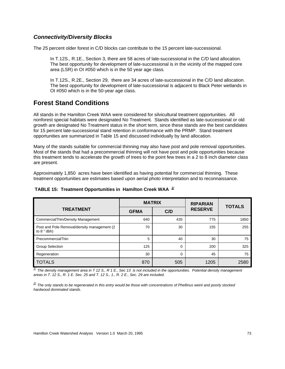#### *Connectivity/Diversity Blocks*

The 25 percent older forest in C/D blocks can contribute to the 15 percent late-successional.

In T.12S., R.1E., Section 3, there are 58 acres of late-successional in the C/D land allocation. The best opportunity for development of late-successional is in the vicinity of the mapped core area (LSR) in OI #050 which is in the 50 year age class.

In T.12S., R.2E., Section 29, there are 34 acres of late-successional in the C/D land allocation. The best opportunity for development of late-successional is adjacent to Black Peter wetlands in OI #050 which is in the 50-year age class.

## **Forest Stand Conditions**

All stands in the Hamilton Creek WAA were considered for silvicultural treatment opportunities. All nonforest special habitats were designated No Treatment. Stands identified as late-successional or old growth are designated No Treatment status in the short term, since these stands are the best candidates for 15 percent late-successional stand retention in conformance with the PRMP. Stand treatment opportunities are summarized in Table 15 and discussed individually by land allocation.

Many of the stands suitable for commercial thinning may also have post and pole removal opportunities. Most of the stands that had a precommercial thinning will not have post and pole opportunities because this treatment tends to accelerate the growth of trees to the point few trees in a 2 to 8 inch diameter class are present.

Approximately 1,850 acres have been identified as having potential for commercial thinning. These treatment opportunities are estimates based upon aerial photo interpretation and to reconnaissance.

|                                                               | <b>MATRIX</b> |     | <b>RIPARIAN</b> | <b>TOTALS</b> |  |
|---------------------------------------------------------------|---------------|-----|-----------------|---------------|--|
| <b>TREATMENT</b>                                              | <b>GFMA</b>   | C/D | <b>RESERVE</b>  |               |  |
| CommercialThin/Density Management                             | 640           | 435 | 775             | 1850          |  |
| Post and Pole Removal/density management (2)<br>to $8$ " dbh) | 70            | 30  | 155             | 255           |  |
| PrecommercialThin                                             | 5             | 40  | 30              | 75            |  |
| <b>Group Selection</b>                                        | 125           | 0   | 200             | 325           |  |
| Regeneration                                                  | 30            | 0   | 45              | 75            |  |
| <b>TOTALS</b>                                                 | 870           | 505 | 1205            | 2580          |  |

#### **TABLE 15: Treatment Opportunities in Hamilton Creek WAA** *1/*

*1/ The density management area in T 12 S., R 1 E., Sec 13 is not included in the opportunities. Potential density management areas in T. 12 S., R. 1 E. Sec. 25 and T. 12 S., 1., R. 2 E., Sec. 29 are included.*

*2/ The only stands to be regenerated in this entry would be those with concentrations of Phellinus weirii and poorly stocked hardwood dominated stands.*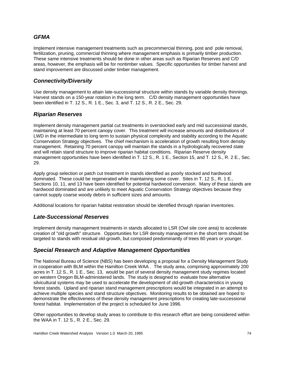#### *GFMA*

Implement intensive management treatments such as precommercial thinning, post and pole removal, fertilization, pruning, commercial thinning where management emphasis is primarily timber production. These same intensive treatments should be done in other areas such as Riparian Reserves and C/D areas, however, the emphasis will be for nontimber values. Specific opportunities for timber harvest and stand improvement are discussed under timber management.

#### *Connectivity/Diversity*

Use density management to attain late-successional structure within stands by variable density thinnings. Harvest stands on a 150-year rotation in the long term. C/D density management opportunities have been identified in T. 12 S., R. 1 E., Sec. 3, and T. 12 S., R. 2 E., Sec. 29.

#### *Riparian Reserves*

Implement density management partial cut treatments in overstocked early and mid successional stands, maintaining at least 70 percent canopy cover. This treatment will increase amounts and distributions of LWD in the intermediate to long term to sustain physical complexity and stability according to the Aquatic Conservation Strategy objectives. The chief mechanism is acceleration of growth resulting from density management. Retaining 70 percent canopy will maintain the stands in a hydrologically recovered state and will retain stand structure to improve riparian habitat conditions. Riparian Reserve density management opportunities have been identified in T. 12 S., R. 1 E., Section 15, and T. 12 S., R. 2 E., Sec. 29.

Apply group selection or patch cut treatment in stands identified as poorly stocked and hardwood dominated. These could be regenerated while maintaining some cover. Sites in T. 12 S., R. 1 E., Sections 10, 11, and 13 have been identified for potential hardwood conversion. Many of these stands are hardwood dominated and are unlikely to meet Aquatic Conservation Strategy objectives because they cannot supply coarse woody debris in sufficient sizes and amounts.

Additional locations for riparian habitat restoration should be identified through riparian inventories.

#### *Late-Successional Reserves*

Implement density management treatments in stands allocated to LSR (Owl site core area) to accelerate creation of "old growth" structure. Opportunities for LSR density management in the short term should be targeted to stands with residual old-growth, but composed predominantly of trees 80 years or younger.

#### *Special Research and Adaptive Management Opportunities*

The National Bureau of Science (NBS) has been developing a proposal for a Density Management Study in cooperation with BLM within the Hamilton Creek WAA . The study area, comprising approximately 200 acres in T. 12 S., R. 1 E., Sec. 13, would be part of several density management study regimes located on western Oregon BLM-administered lands. The study is designed to evaluate how alternative silvicultural systems may be used to accelerate the development of old-growth characteristics in young forest stands. Upland and riparian stand management prescriptions would be integrated in an attempt to achieve multiple species and stand structure objectives. Monitoring results to be obtained are hoped to demonstrate the effectiveness of these density management prescriptions for creating late-successional forest habitat. Implementation of the project is scheduled for June 1996.

Other opportunities to develop study areas to contribute to this research effort are being considered within the WAA in T. 12 S., R. 2 E., Sec. 29.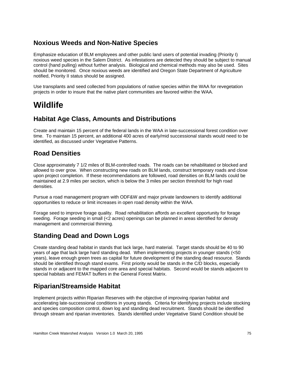## **Noxious Weeds and Non-Native Species**

Emphasize education of BLM employees and other public land users of potential invading (Priority I) noxious weed species in the Salem District. As infestations are detected they should be subject to manual control (hand pulling) without further analysis. Biological and chemical methods may also be used. Sites should be monitored. Once noxious weeds are identified and Oregon State Department of Agriculture notified, Priority II status should be assigned.

Use transplants and seed collected from populations of native species within the WAA for revegetation projects in order to insure that the native plant communities are favored within the WAA.

## **Wildlife**

## **Habitat Age Class, Amounts and Distributions**

Create and maintain 15 percent of the federal lands in the WAA in late-successional forest condition over time. To maintain 15 percent, an additional 400 acres of early/mid successional stands would need to be identified, as discussed under Vegetative Patterns.

## **Road Densities**

Close approximately 7 1/2 miles of BLM-controlled roads. The roads can be rehabilitated or blocked and allowed to over grow. When constructing new roads on BLM lands, construct temporary roads and close upon project completion. If these recommendations are followed, road densities on BLM lands could be maintained at 2.9 miles per section, which is below the 3 miles per section threshold for high road densities.

Pursue a road management program with ODF&W and major private landowners to identify additional opportunities to reduce or limit increases in open road density within the WAA.

Forage seed to improve forage quality. Road rehabilitation affords an excellent opportunity for forage seeding. Forage seeding in small (<2 acres) openings can be planned in areas identified for density management and commercial thinning.

## **Standing Dead and Down Logs**

Create standing dead habitat in stands that lack large, hard material. Target stands should be 40 to 90 years of age that lack large hard standing dead. When implementing projects in younger stands (<50 years), leave enough green trees as capital for future development of the standing dead resource. Stands should be identified through stand exams. First priority would be stands in the C/D blocks, especially stands in or adjacent to the mapped core area and special habitats. Second would be stands adjacent to special habitats and FEMAT buffers in the General Forest Matrix.

## **Riparian/Streamside Habitat**

Implement projects within Riparian Reserves with the objective of improving riparian habitat and accelerating late-successional conditions in young stands. Criteria for identifying projects include stocking and species composition control, down log and standing dead recruitment. Stands should be identified through stream and riparian inventories. Stands identified under Vegetative Stand Condition should be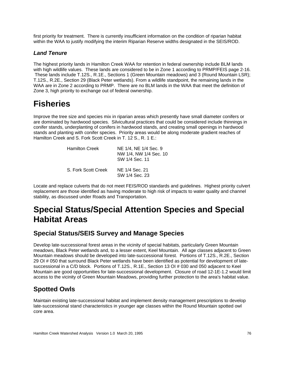first priority for treatment. There is currently insufficient information on the condition of riparian habitat within the WAA to justify modifying the interim Riparian Reserve widths designated in the SEIS/ROD.

#### *Land Tenure*

The highest priority lands in Hamilton Creek WAA for retention in federal ownership include BLM lands with high wildlife values. These lands are considered to be in Zone 1 according to PRMP/FEIS page 2-16. These lands include T.12S., R.1E., Sections 1 (Green Mountain meadows) and 3 (Round Mountain LSR); T.12S., R.2E., Section 29 (Black Peter wetlands). From a wildlife standpoint, the remaining lands in the WAA are in Zone 2 according to PRMP. There are no BLM lands in the WAA that meet the definition of Zone 3, high priority to exchange out of federal ownership.

## **Fisheries**

Improve the tree size and species mix in riparian areas which presently have small diameter conifers or are dominated by hardwood species. Silvicultural practices that could be considered include thinnings in conifer stands, underplanting of conifers in hardwood stands, and creating small openings in hardwood stands and planting with conifer species. Priority areas would be along moderate gradient reaches of Hamilton Creek and S. Fork Scott Creek in T. 12 S., R. 1 E.:

| <b>Hamilton Creek</b> | NE 1/4, NE 1/4 Sec. 9<br>NW 1/4, NW 1/4 Sec. 10<br>SW 1/4 Sec. 11 |
|-----------------------|-------------------------------------------------------------------|
| S. Fork Scott Creek   | NE 1/4 Sec. 21<br>SW 1/4 Sec. 23                                  |

Locate and replace culverts that do not meet FEIS/ROD standards and guidelines. Highest priority culvert replacement are those identified as having moderate to high risk of impacts to water quality and channel stability, as discussed under Roads and Transportation.

## **Special Status/Special Attention Species and Special Habitat Areas**

### **Special Status/SEIS Survey and Manage Species**

Develop late-successional forest areas in the vicinity of special habitats, particularly Green Mountain meadows, Black Peter wetlands and, to a lesser extent, Keel Mountain. All age classes adjacent to Green Mountain meadows should be developed into late-successional forest. Portions of T.12S., R.2E., Section 29 OI # 050 that surround Black Peter wetlands have been identified as potential for development of latesuccessional in a C/D block. Portions of T.12S., R.1E., Section 13 OI # 030 and 050 adjacent to Keel Mountain are good opportunities for late-successional development. Closure of road 12-1E-1.2 would limit access to the vicinity of Green Mountain Meadows, providing further protection to the area's habitat value.

## **Spotted Owls**

Maintain existing late-successional habitat and implement density management prescriptions to develop late-successional stand characteristics in younger age classes within the Round Mountain spotted owl core area.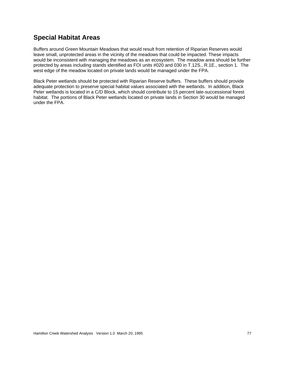## **Special Habitat Areas**

Buffers around Green Mountain Meadows that would result from retention of Riparian Reserves would leave small, unprotected areas in the vicinity of the meadows that could be impacted. These impacts would be inconsistent with managing the meadows as an ecosystem. The meadow area should be further protected by areas including stands identified as FOI units #020 and 030 in T.12S., R.1E., section 1. The west edge of the meadow located on private lands would be managed under the FPA.

Black Peter wetlands should be protected with Riparian Reserve buffers. These buffers should provide adequate protection to preserve special habitat values associated with the wetlands. In addition, Black Peter wetlands is located in a C/D Block, which should contribute to 15 percent late-successional forest habitat. The portions of Black Peter wetlands located on private lands in Section 30 would be managed under the FPA.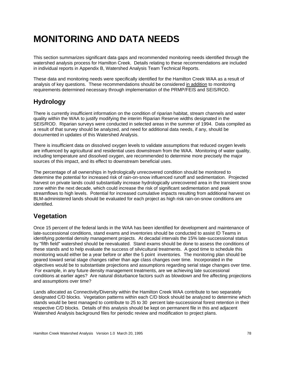# **MONITORING AND DATA NEEDS**

This section summarizes significant data gaps and recommended monitoring needs identified through the watershed analysis process for Hamilton Creek. Details relating to these recommendations are included in individual reports in Appendix B, Watershed Analysis Team Technical Reports.

These data and monitoring needs were specifically identified for the Hamilton Creek WAA as a result of analysis of key questions. These recommendations should be considered in addition to monitoring requirements determined necessary through implementation of the PRMP/FEIS and SEIS/ROD.

## **Hydrology**

There is currently insufficient information on the condition of riparian habitat, stream channels and water quality within the WAA to justify modifying the interim Riparian Reserve widths designated in the SEIS/ROD. Riparian surveys were conducted in selected areas in the summer of 1994. Data compiled as a result of that survey should be analyzed, and need for additional data needs, if any, should be documented in updates of this Watershed Analysis.

There is insufficient data on dissolved oxygen levels to validate assumptions that reduced oxygen levels are influenced by agricultural and residential uses downstream from the WAA. Monitoring of water quality, including temperature and dissolved oxygen, are recommended to determine more precisely the major sources of this impact, and its effect to downstream beneficial uses.

The percentage of all ownerships in hydrologically unrecovered condition should be monitored to determine the potential for increased risk of rain-on-snow influenced runoff and sedimentation. Projected harvest on private lands could substantially increase hydrologically unrecovered area in the transient snow zone within the next decade, which could increase the risk of significant sedimentation and peak streamflows to high levels. Potential for increased cumulative impacts resulting from additional harvest on BLM-administered lands should be evaluated for each project as high risk rain-on-snow conditions are identified.

## **Vegetation**

Once 15 percent of the federal lands in the WAA has been identified for development and maintenance of late-successional conditions, stand exams and inventories should be conducted to assist ID Teams in identifying potential density management projects. At decadal intervals the 15% late-successional status by "fifth field" watershed should be reevaluated. Stand exams should be done to assess the conditions of these stands and to help evaluate the success of silvicultural treatments. A good time to schedule this monitoring would either be a year before or after the 5 point inventories. The monitoring plan should be geared toward serial stage changes rather than age class changes over time. Incorporated in the objectives would be to substantiate projections and assumptions regarding serial stage changes over time. For example, in any future density management treatments, are we achieving late successional conditions at earlier ages? Are natural disturbance factors such as blowdown and fire affecting projections and assumptions over time?

Lands allocated as Connectivity/Diversity within the Hamilton Creek WAA contribute to two separately designated C/D blocks. Vegetation patterns within each C/D block should be analyzed to determine which stands would be best managed to contribute to 25 to 30 percent late-successional forest retention in their respective C/D blocks. Details of this analysis should be kept on permanent file in this and adjacent Watershed Analysis background files for periodic review and modification to project plans.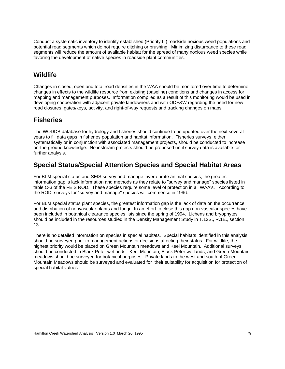Conduct a systematic inventory to identify established (Priority III) roadside noxious weed populations and potential road segments which do not require ditching or brushing. Minimizing disturbance to these road segments will reduce the amount of available habitat for the spread of many noxious weed species while favoring the development of native species in roadside plant communities.

## **Wildlife**

Changes in closed, open and total road densities in the WAA should be monitored over time to determine changes in effects to the wildlife resource from existing (baseline) conditions and changes in access for mapping and management purposes. Information compiled as a result of this monitoring would be used in developing cooperation with adjacent private landowners and with ODF&W regarding the need for new road closures, gates/keys, activity, and right-of-way requests and tracking changes on maps.

## **Fisheries**

The WODDB database for hydrology and fisheries should continue to be updated over the next several years to fill data gaps in fisheries population and habitat information. Fisheries surveys, either systematically or in conjunction with associated management projects, should be conducted to increase on-the-ground knowledge. No instream projects should be proposed until survey data is available for further analysis.

## **Special Status/Special Attention Species and Special Habitat Areas**

For BLM special status and SEIS survey and manage invertebrate animal species, the greatest information gap is lack information and methods as they relate to "survey and manage" species listed in table C-3 of the FEIS ROD. These species require some level of protection in all WAA's. According to the ROD, surveys for "survey and manage" species will commence in 1996.

For BLM special status plant species, the greatest information gap is the lack of data on the occurrence and distribution of nonvascular plants and fungi. In an effort to close this gap non-vascular species have been included in botanical clearance species lists since the spring of 1994. Lichens and bryophytes should be included in the resources studied in the Density Management Study in T.12S., R.1E., section 13.

There is no detailed information on species in special habitats. Special habitats identified in this analysis should be surveyed prior to management actions or decisions affecting their status. For wildlife, the highest priority would be placed on Green Mountain meadows and Keel Mountain. Additional surveys should be conducted in Black Peter wetlands. Keel Mountain, Black Peter wetlands, and Green Mountain meadows should be surveyed for botanical purposes. Private lands to the west and south of Green Mountain Meadows should be surveyed and evaluated for their suitability for acquisition for protection of special habitat values.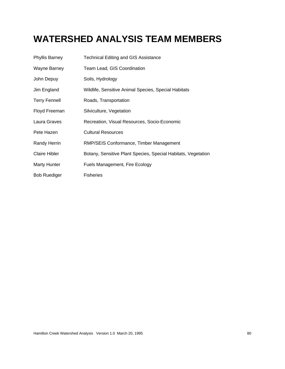# **WATERSHED ANALYSIS TEAM MEMBERS**

| <b>Phyllis Barney</b> | <b>Technical Editing and GIS Assistance</b>                   |
|-----------------------|---------------------------------------------------------------|
| Wayne Barney          | Team Lead, GIS Coordination                                   |
| John Depuy            | Soils, Hydrology                                              |
| Jim England           | Wildlife, Sensitive Animal Species, Special Habitats          |
| <b>Terry Fennell</b>  | Roads, Transportation                                         |
| Floyd Freeman         | Silviculture, Vegetation                                      |
| Laura Graves          | Recreation, Visual Resources, Socio-Economic                  |
| Pete Hazen            | <b>Cultural Resources</b>                                     |
| <b>Randy Herrin</b>   | RMP/SEIS Conformance, Timber Management                       |
| <b>Claire Hibler</b>  | Botany, Sensitive Plant Species, Special Habitats, Vegetation |
| Marty Hunter          | Fuels Management, Fire Ecology                                |
| <b>Bob Ruediger</b>   | <b>Fisheries</b>                                              |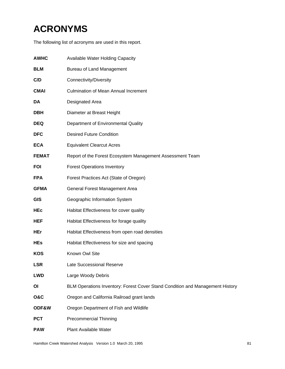# **ACRONYMS**

The following list of acronyms are used in this report.

| <b>AWHC</b>    | <b>Available Water Holding Capacity</b>                                       |
|----------------|-------------------------------------------------------------------------------|
| <b>BLM</b>     | <b>Bureau of Land Management</b>                                              |
| C/D            | Connectivity/Diversity                                                        |
| <b>CMAI</b>    | <b>Culmination of Mean Annual Increment</b>                                   |
| DA             | Designated Area                                                               |
| <b>DBH</b>     | Diameter at Breast Height                                                     |
| <b>DEQ</b>     | Department of Environmental Quality                                           |
| <b>DFC</b>     | <b>Desired Future Condition</b>                                               |
| <b>ECA</b>     | <b>Equivalent Clearcut Acres</b>                                              |
| <b>FEMAT</b>   | Report of the Forest Ecosystem Management Assessment Team                     |
| <b>FOI</b>     | <b>Forest Operations Inventory</b>                                            |
| <b>FPA</b>     | Forest Practices Act (State of Oregon)                                        |
| <b>GFMA</b>    | General Forest Management Area                                                |
| <b>GIS</b>     | Geographic Information System                                                 |
| <b>HEc</b>     | Habitat Effectiveness for cover quality                                       |
| <b>HEF</b>     | Habitat Effectiveness for forage quality                                      |
| <b>HEr</b>     | Habitat Effectiveness from open road densities                                |
| <b>HEs</b>     | Habitat Effectiveness for size and spacing                                    |
| <b>KOS</b>     | Known Owl Site                                                                |
| <b>LSR</b>     | Late Successional Reserve                                                     |
| <b>LWD</b>     | Large Woody Debris                                                            |
| ΟI             | BLM Operations Inventory: Forest Cover Stand Condition and Management History |
| <b>O&amp;C</b> | Oregon and California Railroad grant lands                                    |
| ODF&W          | Oregon Department of Fish and Wildlife                                        |
| <b>PCT</b>     | <b>Precommercial Thinning</b>                                                 |
| <b>PAW</b>     | <b>Plant Available Water</b>                                                  |
|                |                                                                               |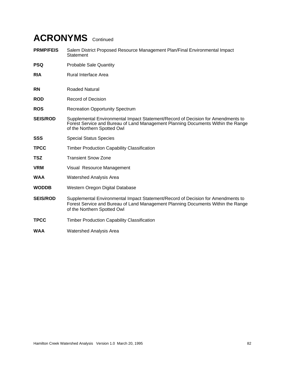# **ACRONYMS** Continued

- **PRMP/FEIS** Salem District Proposed Resource Management Plan/Final Environmental Impact **Statement**
- **PSQ** Probable Sale Quantity
- **RIA** Rural Interface Area
- **RN** Roaded Natural
- **ROD** Record of Decision
- **ROS** Recreation Opportunity Spectrum
- **SEIS/ROD** Supplemental Environmental Impact Statement/Record of Decision for Amendments to Forest Service and Bureau of Land Management Planning Documents Within the Range of the Northern Spotted Owl
- **SSS** Special Status Species
- **TPCC** Timber Production Capability Classification
- **TSZ** Transient Snow Zone
- **VRM** Visual Resource Management
- **WAA** Watershed Analysis Area
- **WODDB** Western Oregon Digital Database
- **SEIS/ROD** Supplemental Environmental Impact Statement/Record of Decision for Amendments to Forest Service and Bureau of Land Management Planning Documents Within the Range of the Northern Spotted Owl
- **TPCC** Timber Production Capability Classification
- **WAA** Watershed Analysis Area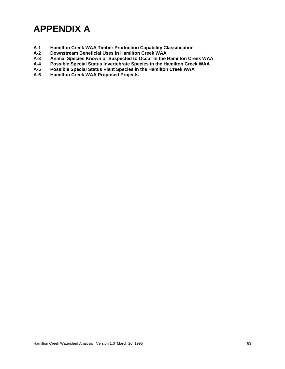# **APPENDIX A**

- **A-1 Hamilton Creek WAA Timber Production Capability Classification**
- **A-2 Downstream Beneficial Uses in Hamilton Creek WAA**
- **Animal Species Known or Suspected to Occur in the Hamilton Creek WAA**
- **A-4 Possible Special Status Invertebrate Species in the Hamilton Creek WAA**
- **A-5 Possible Special Status Plant Species in the Hamilton Creek WAA**
- **Hamilton Creek WAA Proposed Projects**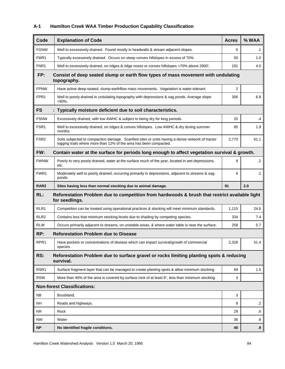#### **A-1 Hamilton Creek WAA Timber Production Capability Classification**

| Code             | <b>Explanation of Code</b>                                                                                                                                             | <b>Acres</b> | % WAA     |  |  |  |  |
|------------------|------------------------------------------------------------------------------------------------------------------------------------------------------------------------|--------------|-----------|--|--|--|--|
| <b>FGNW</b>      | Well to excessively drained. Found mostly in headwalls & stream adjacent slopes.                                                                                       | 6            | .1        |  |  |  |  |
| FMR <sub>1</sub> | Typically excessively drained. Occurs on steep convex hillslopes in excess of 70%.                                                                                     | 50           | 1.0       |  |  |  |  |
| FNR1             | Well to excessively drained, on ridges & ridge noses or convex hillslopes >70% above 2800'.                                                                            | 191          | 4.0       |  |  |  |  |
| FP:              | Consist of deep seated slump or earth flow types of mass movement with undulating<br>topography.                                                                       |              |           |  |  |  |  |
| <b>FPNW</b>      | Have active deep-seated, slump-earthflow mass movements. Vegetation is water-tolerant.                                                                                 | 2            |           |  |  |  |  |
| FPR1             | Well to poorly drained in undulating topography with depressions & sag ponds. Average slope<br>$<60\%$ .                                                               | 306          | 6.8       |  |  |  |  |
| <b>FS</b>        | : Typically moisture deficient due to soil characteristics.                                                                                                            |              |           |  |  |  |  |
| <b>FSNW</b>      | Excessively drained, with low AWHC & subject to being dry for long periods.                                                                                            | 20           | .4        |  |  |  |  |
| FSR1             | Well to excessively drained, on ridges & convex hillslopes. Low AWHC & dry during summer<br>months.                                                                    | 85           | 1.9       |  |  |  |  |
| FSR <sub>2</sub> | Soils subjected to compaction damage. Scarified sites or units having a dense network of tractor<br>logging trails where more than 12% of the area has been compacted. | 2,770        | 61.1      |  |  |  |  |
| FW:              | Contain water at the surface for periods long enough to affect vegetation survival & growth.                                                                           |              |           |  |  |  |  |
| <b>FWNW</b>      | Poorly to very poorly drained, water at the surface much of the year, located in wet depressions,<br>etc.                                                              | 8            | $\cdot$   |  |  |  |  |
| FWR <sub>1</sub> | Moderately well to poorly drained, occurring primarily in depressions, adjacent to streams & sag-<br>ponds.                                                            | 6            | $\cdot$ 1 |  |  |  |  |
| RAR <sub>2</sub> | Sites having less than normal stocking due to animal damage.                                                                                                           | 91           | 2.0       |  |  |  |  |
| RL:              | Reforestation Problem due to competition from hardwoods & brush that restrict available light<br>for seedlings.                                                        |              |           |  |  |  |  |
| RLR1             | Competition can be treated using operational practices & stocking will meet minimum standards.                                                                         | 1,115        | 24.6      |  |  |  |  |
| RLR <sub>2</sub> | Contains less that minimum stocking levels due to shading by competing species.                                                                                        | 334          | 7.4       |  |  |  |  |
| <b>RLW</b>       | Occurs primarily adjacent to streams, on unstable areas, & where water table is near the surface.                                                                      | 258          | 5.7       |  |  |  |  |
| RP:              | <b>Reforestation Problem due to Disease</b>                                                                                                                            |              |           |  |  |  |  |
| RPR <sub>1</sub> | Have pockets or concentrations of disease which can impact survival/growth of commercial<br>species.                                                                   | 2,328        | 51.4      |  |  |  |  |
| RS:              | Reforestation Problem due to surface gravel or rocks limiting planting spots & reducing<br>survival.                                                                   |              |           |  |  |  |  |
| RSR1             | Surface fragment layer that can be managed to create planting spots & allow minimum stocking.                                                                          | 69           | 1.5       |  |  |  |  |
| <b>RSW</b>       | More than 40% of the area is covered by surface rock of at least 6", less than minimum stocking.                                                                       | 3            |           |  |  |  |  |
|                  | <b>Non-forest Classifications:</b>                                                                                                                                     |              |           |  |  |  |  |
| NB.              | Brushland.                                                                                                                                                             | 3            |           |  |  |  |  |
| <b>NH</b>        | Roads and highways.                                                                                                                                                    | 8            | .2        |  |  |  |  |
| NR.              | Rock                                                                                                                                                                   | 29           | 6.6       |  |  |  |  |
| <b>NW</b>        | Water                                                                                                                                                                  | 36           | 8.5       |  |  |  |  |
| <b>NP</b>        | No identified fragile conditions.                                                                                                                                      | 40           | .9        |  |  |  |  |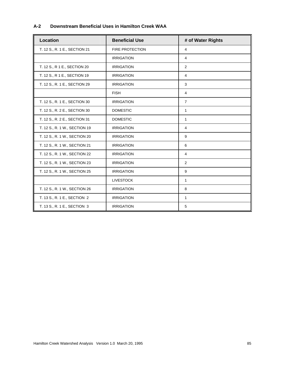#### **A-2 Downstream Beneficial Uses in Hamilton Creek WAA**

| Location                      | <b>Beneficial Use</b>  | # of Water Rights |
|-------------------------------|------------------------|-------------------|
| T. 12 S., R. 1 E., SECTION 21 | <b>FIRE PROTECTION</b> | 4                 |
|                               | <b>IRRIGATION</b>      | $\overline{4}$    |
| T. 12 S., R 1 E., SECTION 20  | <b>IRRIGATION</b>      | 2                 |
| T. 12 S., R 1 E., SECTION 19  | <b>IRRIGATION</b>      | 4                 |
| T. 12 S., R. 1 E., SECTION 29 | <b>IRRIGATION</b>      | 3                 |
|                               | <b>FISH</b>            | 4                 |
| T. 12 S., R. 1 E., SECTION 30 | <b>IRRIGATION</b>      | $\overline{7}$    |
| T. 12 S., R. 2 E., SECTION 30 | <b>DOMESTIC</b>        | 1                 |
| T. 12 S., R. 2 E., SECTION 31 | <b>DOMESTIC</b>        | 1                 |
| T. 12 S., R. 1 W., SECTION 19 | <b>IRRIGATION</b>      | 4                 |
| T. 12 S., R. 1 W., SECTION 20 | <b>IRRIGATION</b>      | 9                 |
| T. 12 S., R. 1 W., SECTION 21 | <b>IRRIGATION</b>      | 6                 |
| T. 12 S., R. 1 W., SECTION 22 | <b>IRRIGATION</b>      | 4                 |
| T. 12 S., R. 1 W., SECTION 23 | <b>IRRIGATION</b>      | 2                 |
| T. 12 S., R. 1 W., SECTION 25 | <b>IRRIGATION</b>      | 9                 |
|                               | <b>LIVESTOCK</b>       | 1                 |
| T. 12 S., R. 1 W., SECTION 26 | <b>IRRIGATION</b>      | 8                 |
| T. 13 S., R. 1 E., SECTION 2  | <b>IRRIGATION</b>      | 1                 |
| T. 13 S., R. 1 E., SECTION 3  | <b>IRRIGATION</b>      | 5                 |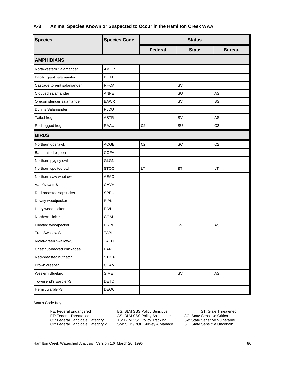#### **A-3 Animal Species Known or Suspected to Occur in the Hamilton Creek WAA**

| <b>Species</b>             | <b>Species Code</b> | <b>Status</b>  |              |                |
|----------------------------|---------------------|----------------|--------------|----------------|
|                            |                     | Federal        | <b>State</b> | <b>Bureau</b>  |
| <b>AMPHIBIANS</b>          |                     |                |              |                |
| Northwestern Salamander    | <b>AMGR</b>         |                |              |                |
| Pacific giant salamander   | <b>DIEN</b>         |                |              |                |
| Cascade torrent salamander | <b>RHCA</b>         |                | SV           |                |
| Clouded salamander         | <b>ANFE</b>         |                | SU           | AS             |
| Oregon slender salamander  | <b>BAWR</b>         |                | SV           | <b>BS</b>      |
| Dunn's Salamander          | PLDU                |                |              |                |
| <b>Tailed frog</b>         | <b>ASTR</b>         |                | <b>SV</b>    | AS             |
| Red-legged frog            | <b>RAAU</b>         | C <sub>2</sub> | SU           | C <sub>2</sub> |
| <b>BIRDS</b>               |                     |                |              |                |
| Northern goshawk           | <b>ACGE</b>         | C <sub>2</sub> | SC           | C <sub>2</sub> |
| Band-tailed pigeon         | <b>COFA</b>         |                |              |                |
| Northern pygmy owl         | <b>GLGN</b>         |                |              |                |
| Northern spotted owl       | <b>STOC</b>         | LT             | <b>ST</b>    | LT             |
| Northern saw-whet owl      | <b>AEAC</b>         |                |              |                |
| Vaux's swift-S             | <b>CHVA</b>         |                |              |                |
| Red-breasted sapsucker     | SPRU                |                |              |                |
| Downy woodpecker           | PIPU                |                |              |                |
| Hairy woodpecker           | <b>PIVI</b>         |                |              |                |
| Northern flicker           | COAU                |                |              |                |
| Pileated woodpecker        | <b>DRPI</b>         |                | SV           | AS             |
| <b>Tree Swallow-S</b>      | <b>TABI</b>         |                |              |                |
| Violet-green swallow-S     | <b>TATH</b>         |                |              |                |
| Chestnut-backed chickadee  | PARU                |                |              |                |
| Red-breasted nuthatch      | <b>STICA</b>        |                |              |                |
| Brown creeper              | <b>CEAM</b>         |                |              |                |
| Western Bluebird           | <b>SIME</b>         |                | SV           | ${\sf AS}$     |
| Townsend's warbler-S       | DETO                |                |              |                |
| Hermit warbler-S           | DEOC                |                |              |                |

Status Code Key

FE: Federal Endangered **BS: BLM SSS Policy Sensitive ST: State Threatened** FT: Federal Threatened **AS: BLM SSS Policy Assessment** SC: State Sensitive Critical C1: Federal Candidate Category 1 TS: BLM SSS Policy Tracking SV: State Sensitive Vulnerable C2: Federal Candidate Category 2 SM: SEIS/ROD Survey & Manage SU: State Sensitive Uncertain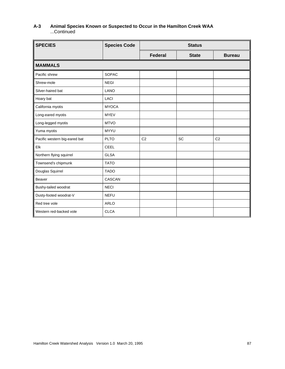#### **A-3 Animal Species Known or Suspected to Occur in the Hamilton Creek WAA** ...Continued

| <b>SPECIES</b>                | <b>Species Code</b> | <b>Status</b>  |              |                |
|-------------------------------|---------------------|----------------|--------------|----------------|
|                               |                     | <b>Federal</b> | <b>State</b> | <b>Bureau</b>  |
| <b>MAMMALS</b>                |                     |                |              |                |
| Pacific shrew                 | <b>SOPAC</b>        |                |              |                |
| Shrew-mole                    | <b>NEGI</b>         |                |              |                |
| Silver-haired bat             | <b>LANO</b>         |                |              |                |
| Hoary bat                     | <b>LACI</b>         |                |              |                |
| California myotis             | <b>MYOCA</b>        |                |              |                |
| Long-eared myotis             | <b>MYEV</b>         |                |              |                |
| Long-legged myotis            | <b>MTVO</b>         |                |              |                |
| Yuma myotis                   | <b>MYYU</b>         |                |              |                |
| Pacific western big-eared bat | <b>PLTO</b>         | C <sub>2</sub> | SC           | C <sub>2</sub> |
| Elk                           | <b>CEEL</b>         |                |              |                |
| Northern flying squirrel      | <b>GLSA</b>         |                |              |                |
| Townsend's chipmunk           | <b>TATO</b>         |                |              |                |
| Douglas Squirrel              | <b>TADO</b>         |                |              |                |
| Beaver                        | CASCAN              |                |              |                |
| Bushy-tailed woodrat          | <b>NECI</b>         |                |              |                |
| Dusty-footed woodrat-V        | <b>NEFU</b>         |                |              |                |
| Red tree vole                 | <b>ARLO</b>         |                |              |                |
| Western red-backed vole       | <b>CLCA</b>         |                |              |                |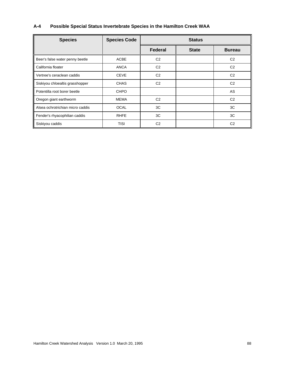### **A-4 Possible Special Status Invertebrate Species in the Hamilton Creek WAA**

| <b>Species</b>                   | <b>Species Code</b> | <b>Status</b>  |              |                |
|----------------------------------|---------------------|----------------|--------------|----------------|
|                                  |                     | Federal        | <b>State</b> | <b>Bureau</b>  |
| Beer's false water penny beetle  | <b>ACBE</b>         | C <sub>2</sub> |              | C <sub>2</sub> |
| California floater               | <b>ANCA</b>         | C <sub>2</sub> |              | C <sub>2</sub> |
| Vertree's ceraclean caddis       | <b>CEVE</b>         | C <sub>2</sub> |              | C <sub>2</sub> |
| Siskiyou chloealtis grasshopper  | <b>CHAS</b>         | C <sub>2</sub> |              | C <sub>2</sub> |
| Potentilla root borer beetle     | <b>CHPO</b>         |                |              | AS             |
| Oregon giant earthworm           | MEMA                | C <sub>2</sub> |              | C <sub>2</sub> |
| Alsea ochrotrichian micro caddis | <b>OCAL</b>         | 3C             |              | 3C             |
| Fender's rhyacophilian caddis    | <b>RHFE</b>         | 3C             |              | 3C             |
| Siskiyou caddis                  | <b>TISI</b>         | C <sub>2</sub> |              | C <sub>2</sub> |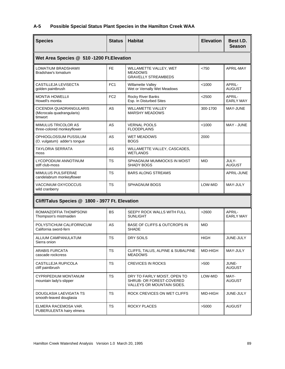#### **A-5 Possible Special Status Plant Species in the Hamilton Creek WAA**

| <b>Species</b>                                                          | <b>Status</b>   | <b>Habitat</b>                                                                                | <b>Elevation</b> | Best I.D.<br><b>Season</b> |
|-------------------------------------------------------------------------|-----------------|-----------------------------------------------------------------------------------------------|------------------|----------------------------|
| Wet Area Species @ 510 -1200 Ft. Elevation                              |                 |                                                                                               |                  |                            |
| <b>LOMATIUM BRADSHAWII</b><br>Bradshaw's lomatium                       | FE.             | WILLAMETTE VALLEY, WET<br><b>MEADOWS</b><br><b>GRAVELLY STREAMBEDS</b>                        | < 750            | <b>APRIL-MAY</b>           |
| CASTILLEJA LEVISECTA<br>golden paintbrush                               | FC <sub>1</sub> | Willamette Valley<br>Wet or Vernally Wet Meadows                                              | < 1000           | APRIL-<br><b>AUGUST</b>    |
| <b>MONTIA HOWELLII</b><br>Howell's montia                               | FC <sub>2</sub> | Rocky River Banks<br>Esp. In Disturbed Sites                                                  | $<$ 2500         | APRIL-<br><b>EARLY MAY</b> |
| <b>CICENDIA QUADRANGULARIS</b><br>(Microcala quadrangularis)<br>timwort | <b>AS</b>       | <b>WILLAMETTE VALLEY</b><br><b>MARSHY MEADOWS</b>                                             | 300-1700         | MAY-JUNE                   |
| <b>MIMULUS TRICOLOR AS</b><br>three-colored monkeyflower                | AS              | <b>VERNAL POOLS</b><br><b>FLOODPLAINS</b>                                                     | < 1000           | MAY - JUNE                 |
| OPHIOGLOSSUM PUSSILUM<br>(O. vulgatum) adder's tongue                   | AS              | WET MEADOWS<br><b>BOGS</b>                                                                    | 2000             |                            |
| <b>TAYLORIA SERRATA</b><br>moss                                         | <b>AS</b>       | WILLAMETTE VALLEY, CASCADES,<br><b>WETLANDS</b>                                               |                  |                            |
| LYCOPODIUM ANNOTINUM<br>stiff club-moss                                 | <b>TS</b>       | SPHAGNUM MUMMOCKS IN MOIST<br><b>SHADY BOGS</b>                                               | <b>MID</b>       | JULY-<br><b>AUGUST</b>     |
| MIMULUS PULSIFERAE<br>candelabrum monkeyflower                          | <b>TS</b>       | <b>BARS ALONG STREAMS</b>                                                                     |                  | APRIL-JUNE                 |
| VACCINIUM OXYCOCCUS<br>wild cranberry                                   | <b>TS</b>       | SPHAGNUM BOGS                                                                                 | LOW-MID          | MAY-JULY                   |
| Cliff/Talus Species @ 1800 - 3977 Ft. Elevation                         |                 |                                                                                               |                  |                            |
| ROMANZOFFIA THOMPSONII<br>Thompson's mistmaiden                         | <b>BS</b>       | SEEPY ROCK WALLS WITH FULL<br><b>SUNLIGHT</b>                                                 | >2600            | APRIL-<br><b>EARLY MAY</b> |
| POLYSTICHUM CALIFORNICUM<br>California sword-fern                       | AS              | <b>BASE OF CLIFFS &amp; OUTCROPS IN</b><br><b>SHADE</b>                                       | <b>MID</b>       |                            |
| ALLIUM CAMPANULATUM<br>Sierra onion                                     | <b>TS</b>       | <b>DRY SOILS</b>                                                                              | <b>HIGH</b>      | JUNE-JULY                  |
| <b>ARABIS FURCATA</b><br>cascade rockcress                              | <b>TS</b>       | CLIFFS, TALUS, ALPINE & SUBALPINE<br><b>MEADOWS</b>                                           | MID-HIGH         | MAY-JULY                   |
| CASTILLEJA RUPICOLA<br>cliff paintbrush                                 | <b>TS</b>       | <b>CREVICES IN ROCKS</b>                                                                      | >500             | JUNE-<br><b>AUGUST</b>     |
| CYPRIPEDIUM MONTANUM<br>mountain lady's-slipper                         | <b>TS</b>       | DRY TO FAIRLY MOIST, OPEN TO<br>SHRUB- OR FOREST-COVERED<br><b>VALLEYS OR MOUNTAIN SIDES.</b> | LOW-MID          | MAY-<br><b>AUGUST</b>      |
| DOUGLASIA LAEVIGATA TS<br>smooth-leaved douglasia                       | <b>TS</b>       | ROCK CREVICES ON WET CLIFFS                                                                   | MID-HIGH         | JUNE-JULY                  |
| ELMERA RACEMOSA VAR.<br>PUBERULENTA hairy elmera                        | <b>TS</b>       | <b>ROCKY PLACES</b>                                                                           | >5000            | <b>AUGUST</b>              |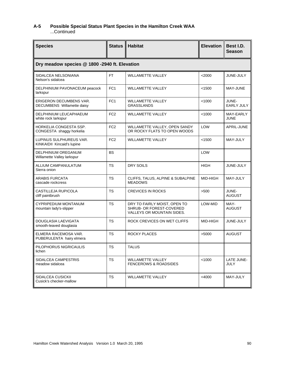#### **A-5 Possible Special Status Plant Species in the Hamilton Creek WAA** ...Continued

| <b>Species</b>                                               | <b>Status</b>   | <b>Habitat</b>                                                                         | <b>Elevation</b> | Best I.D.<br><b>Season</b> |
|--------------------------------------------------------------|-----------------|----------------------------------------------------------------------------------------|------------------|----------------------------|
| Dry meadow species @ 1800 -2940 ft. Elevation                |                 |                                                                                        |                  |                            |
| SIDALCEA NELSONIANA<br>Nelson's sidalcea                     | FT.             | <b>WILLAMETTE VALLEY</b>                                                               | $<$ 2000         | JUNE-JULY                  |
| DELPHINIUM PAVONACEUM peacock<br>larkspur                    | FC <sub>1</sub> | <b>WILLAMETTE VALLEY</b>                                                               | < 1500           | MAY-JUNE                   |
| <b>ERIGERON DECUMBENS VAR.</b><br>DECUMBENS Willamette daisy | FC <sub>1</sub> | <b>WILLAMETTE VALLEY</b><br><b>GRASSLANDS</b>                                          | < 1000           | JUNE-<br><b>EARLY JULY</b> |
| DELPHINIUM LEUCAPHAEUM<br>white rock larkspur                | FC <sub>2</sub> | <b>WILLAMETTE VALLEY</b>                                                               | < 1000           | MAY-EARLY<br><b>JUNE</b>   |
| HORKELIA CONGESTA SSP.<br>CONGESTA shaggy horkelia           | FC <sub>2</sub> | WILLAMETTE VALLEY, OPEN SANDY<br>OR ROCKY FLATS TO OPEN WOODS                          | LOW              | APRIL-JUNE                 |
| LUPINUS SULPHUREUS VAR.<br>KINKAIDII Kincaid's lupine        | FC <sub>2</sub> | <b>WILLAMETTE VALLEY</b>                                                               | < 1500           | MAY-JULY                   |
| <b>DELPHINIUM OREGANUM</b><br>Willamette Valley larkspur     | <b>BS</b>       |                                                                                        | LOW              |                            |
| ALLIUM CAMPANULATUM<br>Sierra onion                          | <b>TS</b>       | <b>DRY SOILS</b>                                                                       | <b>HIGH</b>      | JUNE-JULY                  |
| <b>ARABIS FURCATA</b><br>cascade rockcress                   | <b>TS</b>       | CLIFFS, TALUS, ALPINE & SUBALPINE<br><b>MEADOWS</b>                                    | MID-HIGH         | MAY-JULY                   |
| CASTILLEJA RUPICOLA<br>cliff paintbrush                      | <b>TS</b>       | <b>CREVICES IN ROCKS</b>                                                               | $>500$           | JUNE-<br><b>AUGUST</b>     |
| CYPRIPEDIUM MONTANUM<br>mountain lady's-slipper              | <b>TS</b>       | DRY TO FAIRLY MOIST, OPEN TO<br>SHRUB- OR FOREST-COVERED<br>VALLEYS OR MOUNTAIN SIDES. | LOW-MID          | MAY-<br><b>AUGUST</b>      |
| <b>DOUGLASIA LAEVIGATA</b><br>smooth-leaved douglasia        | <b>TS</b>       | ROCK CREVICES ON WET CLIFFS                                                            | MID-HIGH         | JUNE-JULY                  |
| ELMERA RACEMOSA VAR.<br>PUBERULENTA hairy elmera             | <b>TS</b>       | <b>ROCKY PLACES</b>                                                                    | >5000            | <b>AUGUST</b>              |
| PILOPHORUS NIGRICAULIS<br>lichen                             | ${\tt TS}$      | <b>TALUS</b>                                                                           |                  |                            |
| SIDALCEA CAMPESTRIS<br>meadow sidalcea                       | <b>TS</b>       | <b>WILLAMETTE VALLEY</b><br><b>FENCEROWS &amp; ROADSIDES</b>                           | < 1000           | LATE JUNE-<br>JULY         |
| SIDALCEA CUSICKII<br>Cusick's checker-mallow                 | <b>TS</b>       | <b>WILLAMETTE VALLEY</b>                                                               | $<$ 4000         | MAY-JULY                   |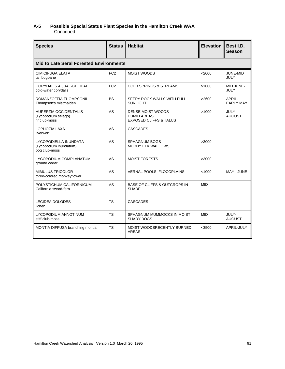### **A-5 Possible Special Status Plant Species in the Hamilton Creek WAA**

...Continued

| <b>Species</b>                                                       | <b>Status</b>   | <b>Habitat</b>                                                               | <b>Elevation</b> | Best I.D.<br><b>Season</b> |  |  |  |
|----------------------------------------------------------------------|-----------------|------------------------------------------------------------------------------|------------------|----------------------------|--|--|--|
| <b>Mid to Late Seral Forested Environments</b>                       |                 |                                                                              |                  |                            |  |  |  |
| <b>CIMICIFUGA ELATA</b><br>tall bugbane                              | FC <sub>2</sub> | <b>MOIST WOODS</b>                                                           | <2000            | JUNE-MID<br>JULY           |  |  |  |
| <b>CORYDALIS AQUAE-GELIDAE</b><br>cold-water corydalis               | FC <sub>2</sub> | <b>COLD SPRINGS &amp; STREAMS</b>                                            | >1000            | MID JUNE-<br>JULY          |  |  |  |
| ROMANZOFFIA THOMPSONII<br>Thompson's mistmaiden                      | <b>BS</b>       | SEEPY ROCK WALLS WITH FULL<br><b>SUNLIGHT</b>                                | >2600            | APRIL-<br><b>EARLY MAY</b> |  |  |  |
| <b>HUPERZIA OCCIDENTALIS</b><br>(Lycopodium selago)<br>fir club-moss | <b>AS</b>       | DENSE MOIST WOODS<br><b>HUMID AREAS</b><br><b>EXPOSED CLIFFS &amp; TALUS</b> | >1000            | JULY-<br><b>AUGUST</b>     |  |  |  |
| LOPHOZIA LAXA<br>liverwort                                           | AS              | <b>CASCADES</b>                                                              |                  |                            |  |  |  |
| LYCOPODIELLA INUNDATA<br>(Lycopodium inundatum)<br>bog club-moss     | AS              | SPHAGNUM BOGS<br><b>MUDDY ELK WALLOWS</b>                                    | >3000            |                            |  |  |  |
| LYCOPODIUM COMPLANATUM<br>ground cedar                               | AS              | <b>MOIST FORESTS</b>                                                         | >3000            |                            |  |  |  |
| <b>MIMULUS TRICOLOR</b><br>three-colored monkeyflower                | AS              | VERNAL POOLS, FLOODPLAINS                                                    | < 1000           | MAY - JUNE                 |  |  |  |
| POLYSTICHUM CALIFORNICUM<br>California sword-fern                    | <b>AS</b>       | <b>BASE OF CLIFFS &amp; OUTCROPS IN</b><br><b>SHADE</b>                      | <b>MID</b>       |                            |  |  |  |
| <b>LECIDEA DOLODES</b><br>lichen                                     | <b>TS</b>       | <b>CASCADES</b>                                                              |                  |                            |  |  |  |
| LYCOPODIUM ANNOTINUM<br>stiff club-moss                              | <b>TS</b>       | SPHAGNUM MUMMOCKS IN MOIST<br><b>SHADY BOGS</b>                              | <b>MID</b>       | JULY-<br><b>AUGUST</b>     |  |  |  |
| MONTIA DIFFUSA branching montia                                      | <b>TS</b>       | MOIST WOODSRECENTLY BURNED<br><b>AREAS</b>                                   | $<$ 3500         | APRIL-JULY                 |  |  |  |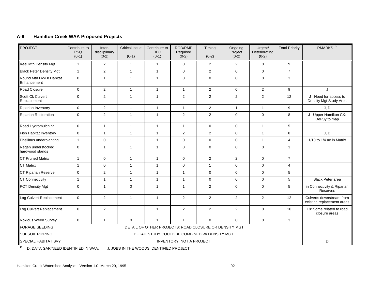#### **A-6 Hamilton Creek WAA Proposed Projects**

| PROJECT                               | Contribute to<br><b>PSQ</b><br>$(0-1)$                | Inter-<br>discilplinary<br>$(0-2)$            | <b>Critical Issue</b><br>$(0-1)$ | Contribute to<br><b>DFC</b><br>$(0-1)$ | ROD/RMP<br>Required<br>$(0-2)$ | Timing<br>$(0-2)$ | Ongoing<br>Project<br>$(0-2)$ | Urgent/<br>Deteriorating<br>$(0-2)$ | <b>Total Priority</b>   | RMARKS <sup>1/</sup>                                   |
|---------------------------------------|-------------------------------------------------------|-----------------------------------------------|----------------------------------|----------------------------------------|--------------------------------|-------------------|-------------------------------|-------------------------------------|-------------------------|--------------------------------------------------------|
| Keel Mtn Density Mgt                  | $\mathbf{1}$                                          | 2                                             | $\mathbf{1}$                     | $\mathbf{1}$                           | $\mathsf{O}$                   | $\overline{2}$    | $\overline{2}$                | $\mathbf 0$                         | $\boldsymbol{9}$        |                                                        |
| <b>Black Peter Density Mgt</b>        | $\mathbf{1}$                                          | $\overline{2}$                                | $\mathbf{1}$                     | $\overline{1}$                         | $\mathsf{O}$                   | $\overline{2}$    | $\mathbf 0$                   | $\mathbf 0$                         | $\overline{7}$          |                                                        |
| Round Mtn DWD/ Habitat<br>Enhancement | $\pmb{0}$                                             | $\mathbf{1}$                                  | $\mathbf{1}$                     | $\mathbf{1}$                           | $\mathbf 0$                    | $\mathbf 0$       | $\mathbf 0$                   | $\mathbf 0$                         | 3                       |                                                        |
| Road Closure                          | $\mathbf 0$                                           | $\overline{2}$                                | $\mathbf{1}$                     | $\mathbf{1}$                           | $\mathbf{1}$                   | $\overline{2}$    | $\mathbf 0$                   | $\overline{2}$                      | 9                       | J                                                      |
| Scott Ck Culvert<br>Replacement       | $\mathbf 0$                                           | $\mathbf 2$                                   | $\mathbf{1}$                     | $\mathbf{1}$                           | $\overline{2}$                 | $\overline{2}$    | $\overline{2}$                | $\overline{2}$                      | 12                      | J Need for access to<br>Density Mgt Study Area         |
| <b>Riparian Inventory</b>             | $\mathbf 0$                                           | $\overline{2}$                                | $\mathbf{1}$                     | $\overline{1}$                         | $\mathbf{1}$                   | $\overline{2}$    | $\mathbf{1}$                  | $\mathbf{1}$                        | 9                       | J, D                                                   |
| <b>Riparian Restoration</b>           | $\mathbf 0$                                           | $\overline{2}$                                | $\mathbf{1}$                     | $\mathbf{1}$                           | $\overline{2}$                 | $\overline{2}$    | $\mathbf 0$                   | $\mathbf 0$                         | 8                       | J Upper Hamilton CK:<br>DePuy to map                   |
| Road Hydromulching                    | $\mathbf 0$                                           | $\mathbf{1}$                                  | $\mathbf{1}$                     | $\overline{1}$                         | $\mathbf{1}$                   | $\mathbf 0$       | $\mathbf 0$                   | $\overline{1}$                      | 5                       |                                                        |
| <b>Fish Habitat Inventory</b>         | $\mathbf 0$                                           | $\mathbf{1}$                                  | $\mathbf{1}$                     | $\mathbf{1}$                           | $\overline{c}$                 | $\overline{2}$    | $\mathsf{O}$                  | $\mathbf{1}$                        | 8                       | J, D                                                   |
| Phellinus underplanting               | $\mathbf{1}$                                          | $\mathsf{O}\xspace$                           | $\mathbf{1}$                     | $\overline{1}$                         | $\mathbf{0}$                   | $\mathbf 0$       | $\mathbf{0}$                  | $\overline{1}$                      | 4                       | 1/10 to 1/4 ac in Matrix                               |
| Regen understocked<br>hardwood stands | $\mathbf 0$                                           | $\mathbf{1}$                                  | $\mathbf{1}$                     | $\mathbf{1}$                           | $\mathsf{O}$                   | $\mathbf 0$       | $\mathbf 0$                   | $\mathbf 0$                         | 3                       |                                                        |
| <b>CT Pruned Matrix</b>               | $\mathbf{1}$                                          | $\mathbf{0}$                                  | $\mathbf{1}$                     | $\mathbf{1}$                           | $\mathbf{0}$                   | $\overline{2}$    | $\overline{2}$                | $\mathbf 0$                         | $\overline{7}$          |                                                        |
| <b>CT Matrix</b>                      | $\mathbf{1}$                                          | $\mathsf{O}\xspace$                           | $\mathbf{1}$                     | $\mathbf{1}$                           | $\mathsf{O}$                   | $\mathbf{1}$      | $\mathbf{0}$                  | $\mathbf 0$                         | $\overline{\mathbf{4}}$ |                                                        |
| CT Riparian Reserve                   | $\mathbf 0$                                           | $\overline{2}$                                | $\mathbf{1}$                     | $\mathbf{1}$                           | $\mathbf{1}$                   | $\mathbf 0$       | $\mathbf 0$                   | $\mathbf 0$                         | 5                       |                                                        |
| <b>CT Connectivity</b>                | $\mathbf{1}$                                          | $\mathbf{1}$                                  | $\mathbf{1}$                     | $\mathbf{1}$                           | $\mathbf{1}$                   | $\mathbf 0$       | $\mathbf{0}$                  | $\mathbf 0$                         | 5                       | <b>Black Peter area</b>                                |
| <b>PCT Density Mgt</b>                | $\mathbf 0$                                           | $\mathbf{1}$                                  | $\mathbf 0$                      | $\mathbf{1}$                           | $\mathbf{1}$                   | 2                 | $\mathbf 0$                   | $\mathbf 0$                         | 5                       | in Connectivity & Riparian<br>Reserves                 |
| Log Culvert Replacement               | $\mathbf 0$                                           | 2                                             | $\mathbf{1}$                     | $\overline{1}$                         | $\overline{2}$                 | $\overline{2}$    | $\overline{2}$                | $\overline{2}$                      | 12                      | Culverts downstream from<br>existing replacement areas |
| Log Culvert Replacement               | $\mathbf 0$                                           | $\overline{2}$                                | $\mathbf{1}$                     | $\mathbf{1}$                           | $\overline{2}$                 | $\overline{2}$    | $\overline{2}$                | $\mathbf 0$                         | 10                      | 18: Some related to road<br>closure areas              |
| <b>Noxious Weed Survey</b>            | $\Omega$                                              | $\mathbf{1}$                                  | $\Omega$                         | $\overline{1}$                         | $\mathbf{1}$                   | $\Omega$          | $\Omega$                      | $\mathbf 0$                         | 3                       |                                                        |
| <b>FORAGE SEEDING</b>                 | DETAIL OF OTHER PROJECTS: ROAD CLOSURE OR DENSITY MGT |                                               |                                  |                                        |                                |                   |                               |                                     |                         |                                                        |
| <b>SUBSOIL RIPPING</b>                |                                                       | DETAIL STUDY COULD BE COMBINED W/ DENSITY MGT |                                  |                                        |                                |                   |                               |                                     |                         |                                                        |
| SPECIAL HABITAT SVY                   | <b>INVENTORY: NOT A PROJECT</b>                       |                                               |                                  |                                        |                                |                   | D                             |                                     |                         |                                                        |